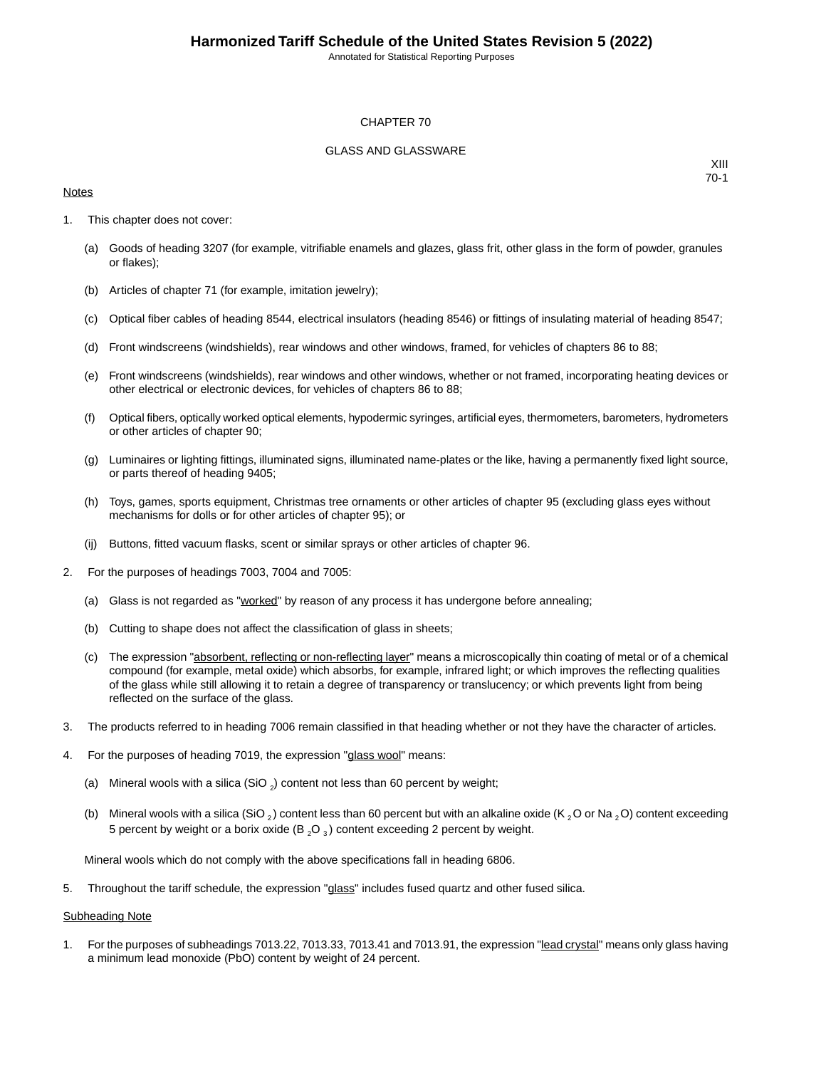Annotated for Statistical Reporting Purposes

#### CHAPTER 70

#### GLASS AND GLASSWARE

#### **Notes**

XIII 70-1

- 1. This chapter does not cover:
	- (a) Goods of heading 3207 (for example, vitrifiable enamels and glazes, glass frit, other glass in the form of powder, granules or flakes);
	- (b) Articles of chapter 71 (for example, imitation jewelry);
	- (c) Optical fiber cables of heading 8544, electrical insulators (heading 8546) or fittings of insulating material of heading 8547;
	- (d) Front windscreens (windshields), rear windows and other windows, framed, for vehicles of chapters 86 to 88;
	- (e) Front windscreens (windshields), rear windows and other windows, whether or not framed, incorporating heating devices or other electrical or electronic devices, for vehicles of chapters 86 to 88;
	- (f) Optical fibers, optically worked optical elements, hypodermic syringes, artificial eyes, thermometers, barometers, hydrometers or other articles of chapter 90;
	- (g) Luminaires or lighting fittings, illuminated signs, illuminated name-plates or the like, having a permanently fixed light source, or parts thereof of heading 9405;
	- (h) Toys, games, sports equipment, Christmas tree ornaments or other articles of chapter 95 (excluding glass eyes without mechanisms for dolls or for other articles of chapter 95); or
	- (ij) Buttons, fitted vacuum flasks, scent or similar sprays or other articles of chapter 96.
- 2. For the purposes of headings 7003, 7004 and 7005:
	- (a) Glass is not regarded as "worked" by reason of any process it has undergone before annealing;
	- (b) Cutting to shape does not affect the classification of glass in sheets;
	- (c) The expression "absorbent, reflecting or non-reflecting layer" means a microscopically thin coating of metal or of a chemical compound (for example, metal oxide) which absorbs, for example, infrared light; or which improves the reflecting qualities of the glass while still allowing it to retain a degree of transparency or translucency; or which prevents light from being reflected on the surface of the glass.
- 3. The products referred to in heading 7006 remain classified in that heading whether or not they have the character of articles.
- 4. For the purposes of heading 7019, the expression "glass wool" means:
	- (a) Mineral wools with a silica (SiO  $_2$ ) content not less than 60 percent by weight;
	- (b) Mineral wools with a silica (SiO <sub>2</sub>) content less than 60 percent but with an alkaline oxide (K <sub>2</sub> O or Na <sub>2</sub> O) content exceeding 5 percent by weight or a borix oxide (B  ${_2}O_{3}$ ) content exceeding 2 percent by weight.

Mineral wools which do not comply with the above specifications fall in heading 6806.

5. Throughout the tariff schedule, the expression "glass" includes fused quartz and other fused silica.

#### Subheading Note

1. For the purposes of subheadings 7013.22, 7013.33, 7013.41 and 7013.91, the expression "lead crystal" means only glass having a minimum lead monoxide (PbO) content by weight of 24 percent.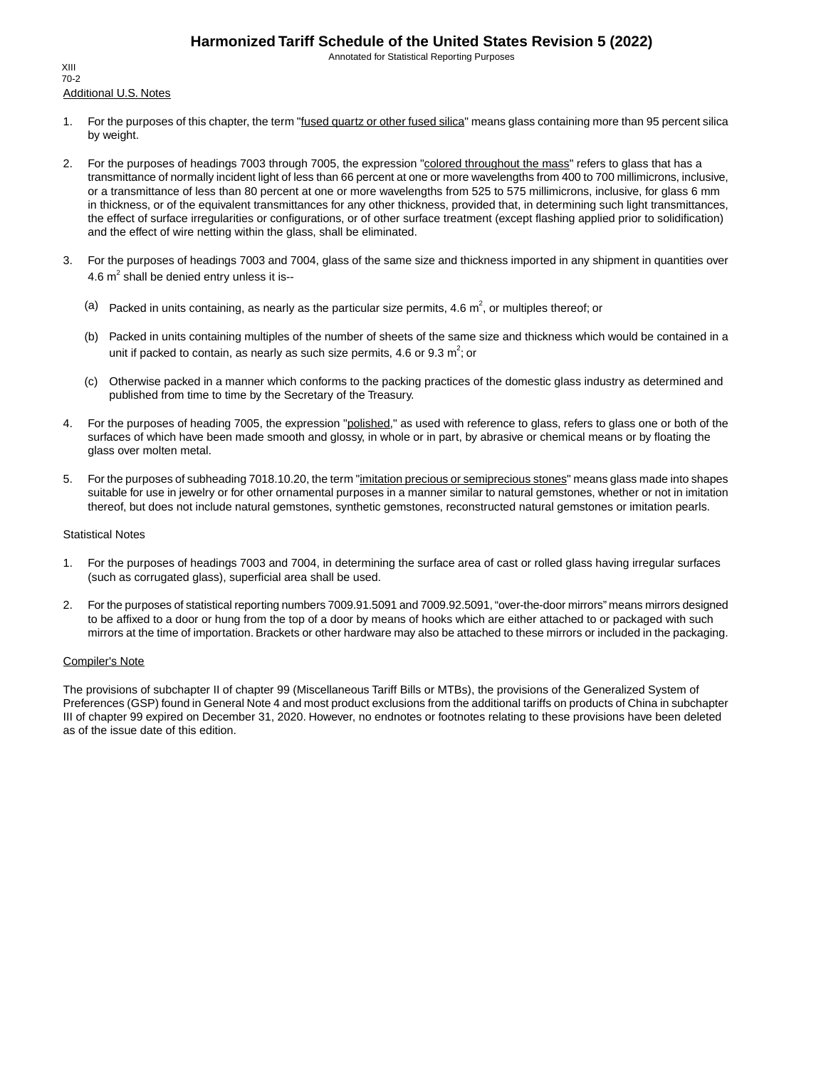Annotated for Statistical Reporting Purposes

Additional U.S. Notes XIII 70-2

- 1. For the purposes of this chapter, the term "fused quartz or other fused silica" means glass containing more than 95 percent silica by weight.
- 2. For the purposes of headings 7003 through 7005, the expression "colored throughout the mass" refers to glass that has a transmittance of normally incident light of less than 66 percent at one or more wavelengths from 400 to 700 millimicrons, inclusive, or a transmittance of less than 80 percent at one or more wavelengths from 525 to 575 millimicrons, inclusive, for glass 6 mm in thickness, or of the equivalent transmittances for any other thickness, provided that, in determining such light transmittances, the effect of surface irregularities or configurations, or of other surface treatment (except flashing applied prior to solidification) and the effect of wire netting within the glass, shall be eliminated.
- 3. For the purposes of headings 7003 and 7004, glass of the same size and thickness imported in any shipment in quantities over 4.6  $m^2$  shall be denied entry unless it is--
	- (a) Packed in units containing, as nearly as the particular size permits, 4.6  $m^2$ , or multiples thereof; or
	- (b) Packed in units containing multiples of the number of sheets of the same size and thickness which would be contained in a unit if packed to contain, as nearly as such size permits, 4.6 or 9.3  $m^2$ ; or
	- (c) Otherwise packed in a manner which conforms to the packing practices of the domestic glass industry as determined and published from time to time by the Secretary of the Treasury.
- 4. For the purposes of heading 7005, the expression "polished," as used with reference to glass, refers to glass one or both of the surfaces of which have been made smooth and glossy, in whole or in part, by abrasive or chemical means or by floating the glass over molten metal.
- 5. For the purposes of subheading 7018.10.20, the term "imitation precious or semiprecious stones" means glass made into shapes suitable for use in jewelry or for other ornamental purposes in a manner similar to natural gemstones, whether or not in imitation thereof, but does not include natural gemstones, synthetic gemstones, reconstructed natural gemstones or imitation pearls.

#### Statistical Notes

- 1. For the purposes of headings 7003 and 7004, in determining the surface area of cast or rolled glass having irregular surfaces (such as corrugated glass), superficial area shall be used.
- 2. For the purposes of statistical reporting numbers 7009.91.5091 and 7009.92.5091, "over-the-door mirrors" means mirrors designed to be affixed to a door or hung from the top of a door by means of hooks which are either attached to or packaged with such mirrors at the time of importation. Brackets or other hardware may also be attached to these mirrors or included in the packaging.

#### Compiler's Note

The provisions of subchapter II of chapter 99 (Miscellaneous Tariff Bills or MTBs), the provisions of the Generalized System of Preferences (GSP) found in General Note 4 and most product exclusions from the additional tariffs on products of China in subchapter III of chapter 99 expired on December 31, 2020. However, no endnotes or footnotes relating to these provisions have been deleted as of the issue date of this edition.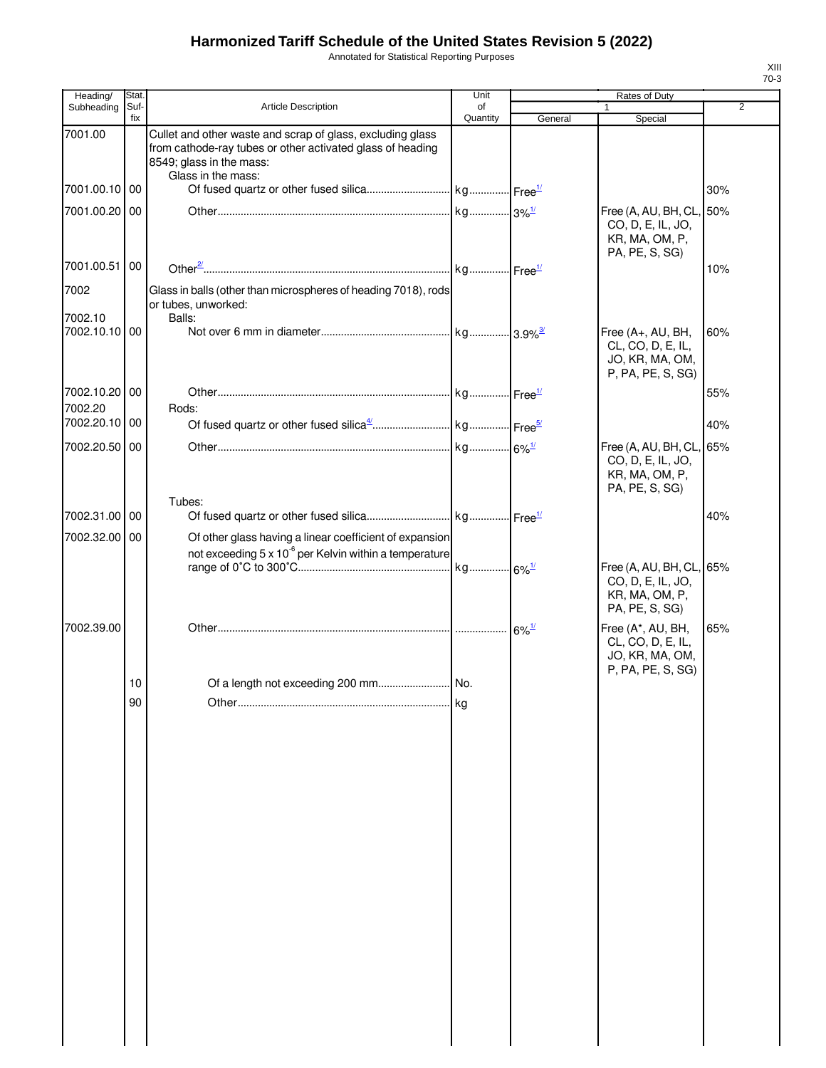Annotated for Statistical Reporting Purposes

| Heading/                 | Stat.       |                                                                                                                                                                            | Unit           |         | Rates of Duty                                                                     |     |
|--------------------------|-------------|----------------------------------------------------------------------------------------------------------------------------------------------------------------------------|----------------|---------|-----------------------------------------------------------------------------------|-----|
| Subheading               | Suf-<br>fix | <b>Article Description</b>                                                                                                                                                 | of<br>Quantity | General | $\mathbf{1}$<br>Special                                                           | 2   |
| 7001.00                  |             | Cullet and other waste and scrap of glass, excluding glass<br>from cathode-ray tubes or other activated glass of heading<br>8549; glass in the mass:<br>Glass in the mass: |                |         |                                                                                   |     |
| 7001.00.10 00            |             |                                                                                                                                                                            |                |         |                                                                                   | 30% |
| 7001.00.20 00            |             |                                                                                                                                                                            |                |         | Free (A, AU, BH, CL, 50%<br>CO, D, E, IL, JO,<br>KR, MA, OM, P,<br>PA, PE, S, SG) |     |
| 7001.00.51               | 00          |                                                                                                                                                                            |                |         |                                                                                   | 10% |
| 7002<br>7002.10          |             | Glass in balls (other than microspheres of heading 7018), rods<br>or tubes, unworked:<br>Balls:                                                                            |                |         |                                                                                   |     |
| 7002.10.10               | 00          |                                                                                                                                                                            |                |         | Free (A+, AU, BH,<br>CL, CO, D, E, IL,<br>JO, KR, MA, OM,<br>P, PA, PE, S, SG)    | 60% |
| 7002.10.20 00<br>7002.20 |             | Rods:                                                                                                                                                                      |                |         |                                                                                   | 55% |
| 7002.20.10 00            |             |                                                                                                                                                                            |                |         |                                                                                   | 40% |
| 7002.20.50 00            |             |                                                                                                                                                                            |                |         | Free (A, AU, BH, CL, 65%<br>CO, D, E, IL, JO,<br>KR, MA, OM, P,<br>PA, PE, S, SG) |     |
| 7002.31.00 00            |             | Tubes:                                                                                                                                                                     |                |         |                                                                                   | 40% |
| 7002.32.00 00            |             | Of other glass having a linear coefficient of expansion<br>not exceeding $5 \times 10^{-6}$ per Kelvin within a temperature                                                |                |         |                                                                                   |     |
|                          |             |                                                                                                                                                                            |                |         | Free (A, AU, BH, CL, 65%<br>CO, D, E, IL, JO,<br>KR, MA, OM, P,<br>PA, PE, S, SG) |     |
| 7002.39.00               |             |                                                                                                                                                                            |                |         | Free (A*, AU, BH,<br>CL, CO, D, E, IL,<br>JO, KR, MA, OM,<br>P, PA, PE, S, SG)    | 65% |
|                          | 10          |                                                                                                                                                                            |                |         |                                                                                   |     |
|                          | 90          |                                                                                                                                                                            | kg             |         |                                                                                   |     |
|                          |             |                                                                                                                                                                            |                |         |                                                                                   |     |
|                          |             |                                                                                                                                                                            |                |         |                                                                                   |     |
|                          |             |                                                                                                                                                                            |                |         |                                                                                   |     |
|                          |             |                                                                                                                                                                            |                |         |                                                                                   |     |
|                          |             |                                                                                                                                                                            |                |         |                                                                                   |     |
|                          |             |                                                                                                                                                                            |                |         |                                                                                   |     |
|                          |             |                                                                                                                                                                            |                |         |                                                                                   |     |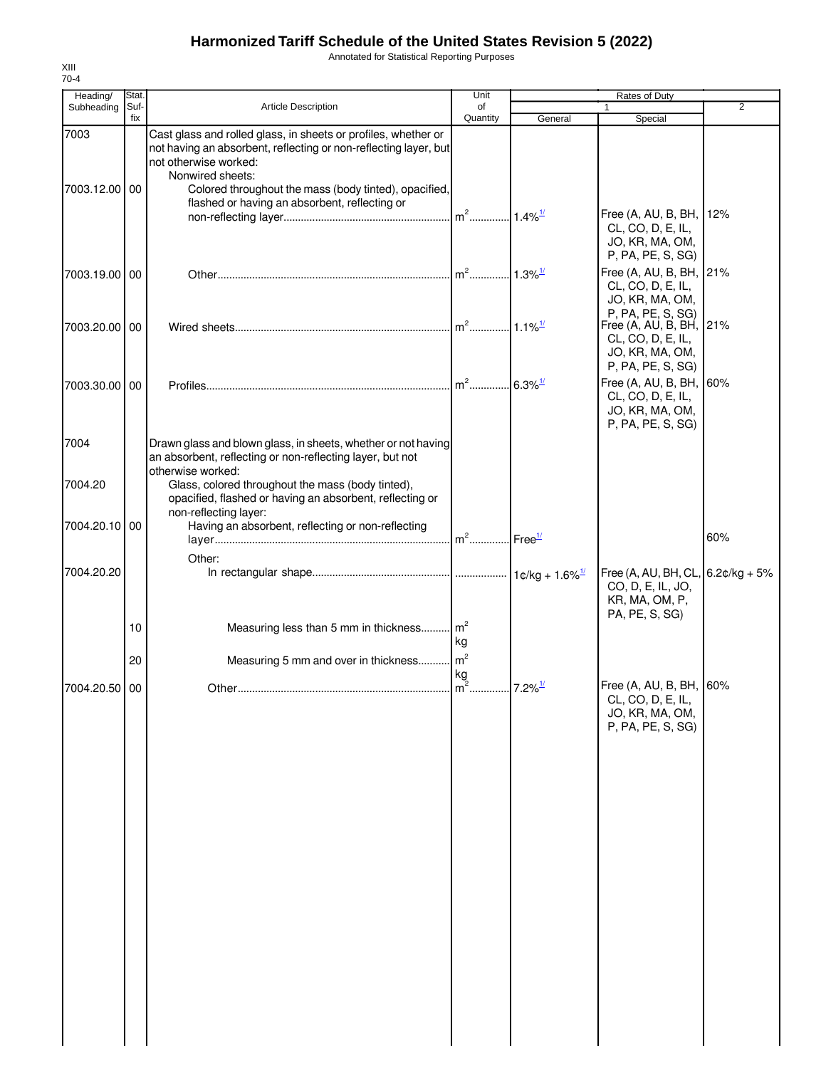Annotated for Statistical Reporting Purposes

| Heading/              | Stat.       |                                                                                                                                                                                                                                                                                           | Unit                 |                        | Rates of Duty                                                                        |                       |
|-----------------------|-------------|-------------------------------------------------------------------------------------------------------------------------------------------------------------------------------------------------------------------------------------------------------------------------------------------|----------------------|------------------------|--------------------------------------------------------------------------------------|-----------------------|
| Subheading            | Suf-<br>fix | <b>Article Description</b>                                                                                                                                                                                                                                                                | of<br>Quantity       | General                | $\mathbf{1}$<br>Special                                                              | $\overline{2}$        |
| 7003<br>7003.12.00 00 |             | Cast glass and rolled glass, in sheets or profiles, whether or<br>not having an absorbent, reflecting or non-reflecting layer, but<br>not otherwise worked:<br>Nonwired sheets:<br>Colored throughout the mass (body tinted), opacified,<br>flashed or having an absorbent, reflecting or |                      |                        |                                                                                      |                       |
|                       |             |                                                                                                                                                                                                                                                                                           | $m2$                 | $1.4\%$ <sup>1/</sup>  | Free $(A, AU, B, BH,$<br>CL, CO, D, E, IL,<br>JO, KR, MA, OM,<br>P, PA, PE, S, SG)   | 12%                   |
| 7003.19.00 00         |             |                                                                                                                                                                                                                                                                                           | $m2$                 | $.1.3\%$ <sup>1/</sup> | Free (A, AU, B, BH,<br>CL, CO, D, E, IL,<br>JO, KR, MA, OM,<br>P, PA, PE, S, SG)     | 21%                   |
| 7003.20.00 00         |             |                                                                                                                                                                                                                                                                                           |                      |                        | Free (A, AU, B, BH,<br>CL, CO, D, E, IL,<br>JO, KR, MA, OM,<br>P, PA, PE, S, SG)     | 21%                   |
| 7003.30.00 00         |             |                                                                                                                                                                                                                                                                                           |                      |                        | Free (A, AU, B, BH,<br>CL, CO, D, E, IL,<br>JO, KR, MA, OM,<br>P, PA, PE, S, SG)     | 60%                   |
| 7004<br>7004.20       |             | Drawn glass and blown glass, in sheets, whether or not having<br>an absorbent, reflecting or non-reflecting layer, but not<br>otherwise worked:<br>Glass, colored throughout the mass (body tinted),                                                                                      |                      |                        |                                                                                      |                       |
| 7004.20.10 00         |             | opacified, flashed or having an absorbent, reflecting or<br>non-reflecting layer:<br>Having an absorbent, reflecting or non-reflecting                                                                                                                                                    |                      |                        |                                                                                      |                       |
| 7004.20.20            |             | Other:                                                                                                                                                                                                                                                                                    | $m2$                 | Free <sup>1/</sup>     | Free (A, AU, BH, CL,                                                                 | 60%<br>$6.2¢/kg + 5%$ |
|                       |             |                                                                                                                                                                                                                                                                                           |                      |                        | CO, D, E, IL, JO,<br>KR, MA, OM, P,<br>PA, PE, S, SG)                                |                       |
|                       | 10<br>20    | Measuring less than 5 mm in thickness m <sup>2</sup><br>Measuring 5 mm and over in thickness                                                                                                                                                                                              | kg<br>m <sup>2</sup> |                        |                                                                                      |                       |
| 7004.20.50 00         |             | Other                                                                                                                                                                                                                                                                                     | $\frac{kg}{m^2}$     | $7.2\%$ <sup>1/</sup>  | Free (A, AU, B, BH, 60%<br>CL, CO, D, E, IL,<br>JO, KR, MA, OM,<br>P, PA, PE, S, SG) |                       |
|                       |             |                                                                                                                                                                                                                                                                                           |                      |                        |                                                                                      |                       |
|                       |             |                                                                                                                                                                                                                                                                                           |                      |                        |                                                                                      |                       |
|                       |             |                                                                                                                                                                                                                                                                                           |                      |                        |                                                                                      |                       |
|                       |             |                                                                                                                                                                                                                                                                                           |                      |                        |                                                                                      |                       |
|                       |             |                                                                                                                                                                                                                                                                                           |                      |                        |                                                                                      |                       |
|                       |             |                                                                                                                                                                                                                                                                                           |                      |                        |                                                                                      |                       |
|                       |             |                                                                                                                                                                                                                                                                                           |                      |                        |                                                                                      |                       |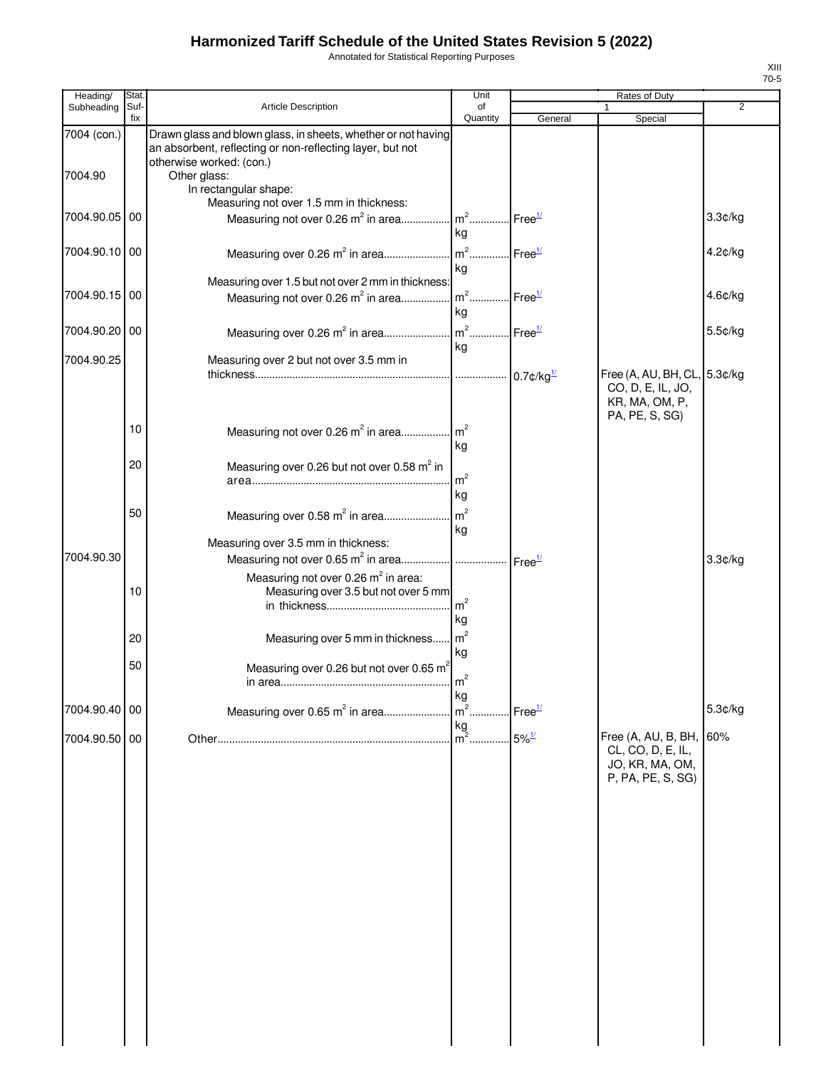Annotated for Statistical Reporting Purposes

| Heading/      | Stat.       |                                                                                                                                                        | Unit                              |                     | Rates of Duty                                                                    |         |
|---------------|-------------|--------------------------------------------------------------------------------------------------------------------------------------------------------|-----------------------------------|---------------------|----------------------------------------------------------------------------------|---------|
| Subheading    | Suf-<br>fix | <b>Article Description</b>                                                                                                                             | of<br>Quantity                    |                     | 1                                                                                | 2       |
| 7004 (con.)   |             | Drawn glass and blown glass, in sheets, whether or not having<br>an absorbent, reflecting or non-reflecting layer, but not<br>otherwise worked: (con.) |                                   | General             | Special                                                                          |         |
| 7004.90       |             | Other glass:<br>In rectangular shape:<br>Measuring not over 1.5 mm in thickness:                                                                       |                                   |                     |                                                                                  |         |
| 7004.90.05 00 |             | Measuring not over 0.26 m <sup>2</sup> in area                                                                                                         | $m^2$<br>kg                       | Free <sup>1/</sup>  |                                                                                  | 3.3¢/kg |
| 7004.90.10 00 |             |                                                                                                                                                        | kg                                | Free <sup>1/</sup>  |                                                                                  | 4.2¢/kg |
| 7004.90.15 00 |             | Measuring over 1.5 but not over 2 mm in thickness:<br>Measuring not over 0.26 m <sup>2</sup> in area                                                   | $\lfloor m^2 \rfloor$<br>kg       | Free <sup>1/</sup>  |                                                                                  | 4.6¢/kg |
| 7004.90.20 00 |             |                                                                                                                                                        | kg                                |                     |                                                                                  | 5.5¢/kg |
| 7004.90.25    |             | Measuring over 2 but not over 3.5 mm in                                                                                                                |                                   |                     | Free (A, AU, BH, CL, 5.3¢/kg                                                     |         |
|               |             |                                                                                                                                                        |                                   |                     | CO, D, E, IL, JO,<br>KR, MA, OM, P,<br>PA, PE, S, SG)                            |         |
|               | 10          |                                                                                                                                                        | kg                                |                     |                                                                                  |         |
|               | 20          | Measuring over 0.26 but not over 0.58 m <sup>2</sup> in                                                                                                | m <sup>2</sup>                    |                     |                                                                                  |         |
|               | 50          | Measuring over 0.58 $m^2$ in area                                                                                                                      | kg<br>m <sup>2</sup><br>kg        |                     |                                                                                  |         |
| 7004.90.30    |             | Measuring over 3.5 mm in thickness:                                                                                                                    |                                   |                     |                                                                                  | 3.3¢/kg |
|               | 10          | Measuring not over 0.26 m <sup>2</sup> in area:<br>Measuring over 3.5 but not over 5 mm                                                                | m <sup>2</sup><br>kg              |                     |                                                                                  |         |
|               | 20          | Measuring over 5 mm in thickness                                                                                                                       | m <sup>2</sup><br>kg              |                     |                                                                                  |         |
|               | 50          | Measuring over 0.26 but not over 0.65 m <sup>2</sup>                                                                                                   | m <sup>2</sup>                    |                     |                                                                                  |         |
| 7004.90.40 00 |             |                                                                                                                                                        | kg<br>$\overline{m}^2$<br>.<br>kg | Free <sup>1/</sup>  |                                                                                  | 5.3¢/kg |
| 7004.90.50 00 |             |                                                                                                                                                        | $m^2$                             | $5\%$ <sup>1/</sup> | Free (A, AU, B, BH,<br>CL, CO, D, E, IL,<br>JO, KR, MA, OM,<br>P, PA, PE, S, SG) | 60%     |
|               |             |                                                                                                                                                        |                                   |                     |                                                                                  |         |
|               |             |                                                                                                                                                        |                                   |                     |                                                                                  |         |
|               |             |                                                                                                                                                        |                                   |                     |                                                                                  |         |
|               |             |                                                                                                                                                        |                                   |                     |                                                                                  |         |
|               |             |                                                                                                                                                        |                                   |                     |                                                                                  |         |
|               |             |                                                                                                                                                        |                                   |                     |                                                                                  |         |
|               |             |                                                                                                                                                        |                                   |                     |                                                                                  |         |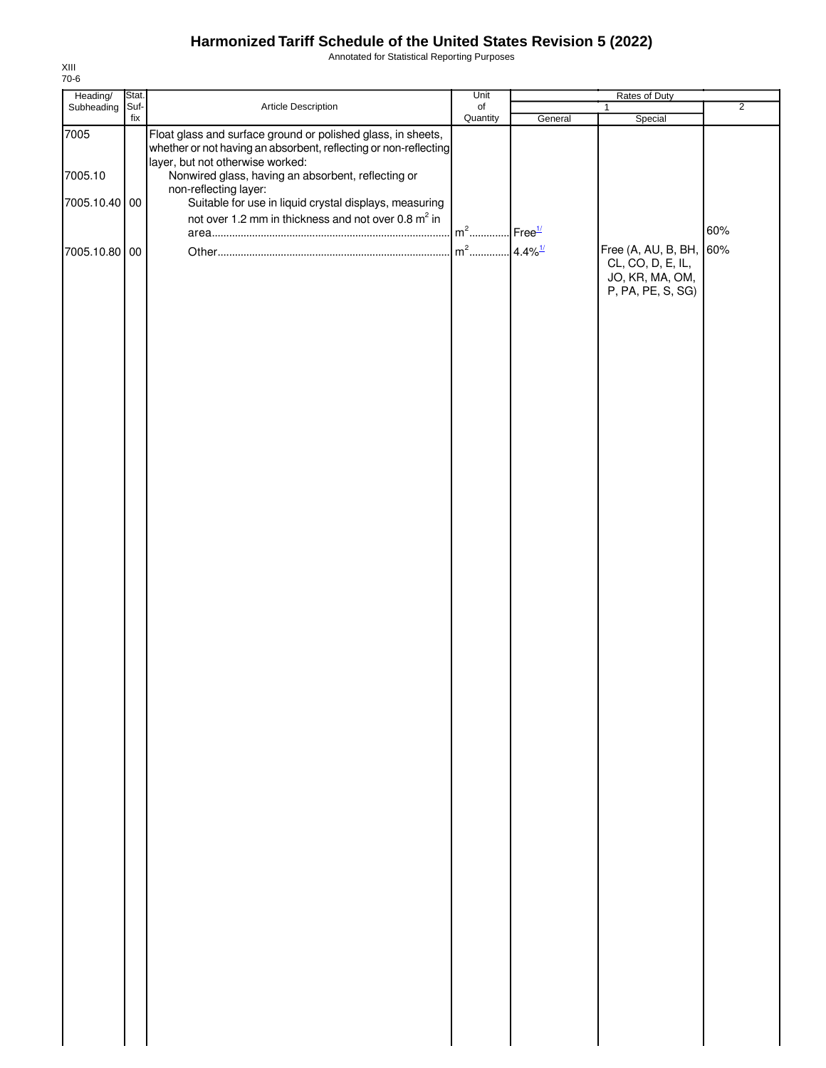Annotated for Statistical Reporting Purposes

| Heading/      | Stat.       |                                                                                                                                  | Unit                         | Rates of Duty         |                                      |                |
|---------------|-------------|----------------------------------------------------------------------------------------------------------------------------------|------------------------------|-----------------------|--------------------------------------|----------------|
| Subheading    | Suf-<br>fix | Article Description                                                                                                              | $_{\mathsf{of}}$<br>Quantity | General               | 1<br>Special                         | $\overline{2}$ |
| 7005          |             | Float glass and surface ground or polished glass, in sheets,<br>whether or not having an absorbent, reflecting or non-reflecting |                              |                       |                                      |                |
| 7005.10       |             | layer, but not otherwise worked:<br>Nonwired glass, having an absorbent, reflecting or                                           |                              |                       |                                      |                |
|               |             | non-reflecting layer:                                                                                                            |                              |                       |                                      |                |
| 7005.10.40 00 |             | Suitable for use in liquid crystal displays, measuring                                                                           |                              |                       |                                      |                |
|               |             | not over 1.2 mm in thickness and not over 0.8 m <sup>2</sup> in                                                                  | $m2$                         | Free <sup>1/</sup>    |                                      | 60%            |
| 7005.10.80 00 |             |                                                                                                                                  | $m2$                         | $4.4\%$ <sup>1/</sup> | Free (A, AU, B, BH, 60%              |                |
|               |             |                                                                                                                                  |                              |                       | CL, CO, D, E, IL,                    |                |
|               |             |                                                                                                                                  |                              |                       | JO, KR, MA, OM,<br>P, PA, PE, S, SG) |                |
|               |             |                                                                                                                                  |                              |                       |                                      |                |
|               |             |                                                                                                                                  |                              |                       |                                      |                |
|               |             |                                                                                                                                  |                              |                       |                                      |                |
|               |             |                                                                                                                                  |                              |                       |                                      |                |
|               |             |                                                                                                                                  |                              |                       |                                      |                |
|               |             |                                                                                                                                  |                              |                       |                                      |                |
|               |             |                                                                                                                                  |                              |                       |                                      |                |
|               |             |                                                                                                                                  |                              |                       |                                      |                |
|               |             |                                                                                                                                  |                              |                       |                                      |                |
|               |             |                                                                                                                                  |                              |                       |                                      |                |
|               |             |                                                                                                                                  |                              |                       |                                      |                |
|               |             |                                                                                                                                  |                              |                       |                                      |                |
|               |             |                                                                                                                                  |                              |                       |                                      |                |
|               |             |                                                                                                                                  |                              |                       |                                      |                |
|               |             |                                                                                                                                  |                              |                       |                                      |                |
|               |             |                                                                                                                                  |                              |                       |                                      |                |
|               |             |                                                                                                                                  |                              |                       |                                      |                |
|               |             |                                                                                                                                  |                              |                       |                                      |                |
|               |             |                                                                                                                                  |                              |                       |                                      |                |
|               |             |                                                                                                                                  |                              |                       |                                      |                |
|               |             |                                                                                                                                  |                              |                       |                                      |                |
|               |             |                                                                                                                                  |                              |                       |                                      |                |
|               |             |                                                                                                                                  |                              |                       |                                      |                |
|               |             |                                                                                                                                  |                              |                       |                                      |                |
|               |             |                                                                                                                                  |                              |                       |                                      |                |
|               |             |                                                                                                                                  |                              |                       |                                      |                |
|               |             |                                                                                                                                  |                              |                       |                                      |                |
|               |             |                                                                                                                                  |                              |                       |                                      |                |
|               |             |                                                                                                                                  |                              |                       |                                      |                |
|               |             |                                                                                                                                  |                              |                       |                                      |                |
|               |             |                                                                                                                                  |                              |                       |                                      |                |
|               |             |                                                                                                                                  |                              |                       |                                      |                |
|               |             |                                                                                                                                  |                              |                       |                                      |                |
|               |             |                                                                                                                                  |                              |                       |                                      |                |
|               |             |                                                                                                                                  |                              |                       |                                      |                |
|               |             |                                                                                                                                  |                              |                       |                                      |                |
|               |             |                                                                                                                                  |                              |                       |                                      |                |
|               |             |                                                                                                                                  |                              |                       |                                      |                |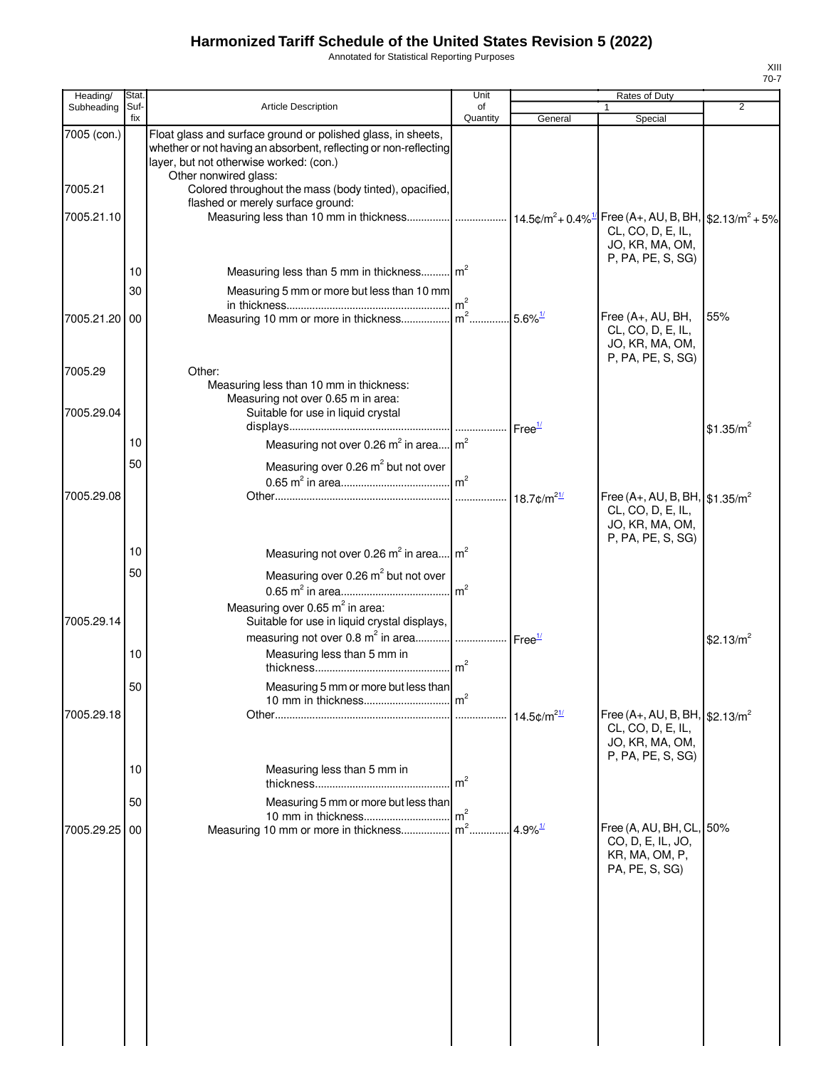Annotated for Statistical Reporting Purposes

| Heading/              | Stat.       |                                                                                                                                                                                                      | Unit           |                       | Rates of Duty                                                                                           |                       |
|-----------------------|-------------|------------------------------------------------------------------------------------------------------------------------------------------------------------------------------------------------------|----------------|-----------------------|---------------------------------------------------------------------------------------------------------|-----------------------|
| Subheading            | Suf-<br>fix | <b>Article Description</b>                                                                                                                                                                           | of<br>Quantity | General               | Special                                                                                                 | $\overline{2}$        |
| 7005 (con.)           |             | Float glass and surface ground or polished glass, in sheets,<br>whether or not having an absorbent, reflecting or non-reflecting<br>layer, but not otherwise worked: (con.)<br>Other nonwired glass: |                |                       |                                                                                                         |                       |
| 7005.21               |             | Colored throughout the mass (body tinted), opacified,<br>flashed or merely surface ground:                                                                                                           |                |                       |                                                                                                         |                       |
| 7005.21.10            |             | Measuring less than 10 mm in thickness  14.5¢/m <sup>2</sup> + 0.4% <sup>1/</sup>   Free (A+, AU, B, BH,  \$2.13/m <sup>2</sup> + 5%                                                                 |                |                       | CL, CO, D, E, IL,<br>JO, KR, MA, OM,<br>P, PA, PE, S, SG)                                               |                       |
|                       | 10          | Measuring less than 5 mm in thickness m <sup>2</sup>                                                                                                                                                 |                |                       |                                                                                                         |                       |
|                       | 30          | Measuring 5 mm or more but less than 10 mm                                                                                                                                                           |                |                       |                                                                                                         |                       |
| 7005.21.20            | 00          |                                                                                                                                                                                                      |                |                       | Free (A+, AU, BH,<br>CL, CO, D, E, IL,<br>JO, KR, MA, OM,<br>P, PA, PE, S, SG)                          | 55%                   |
| 7005.29<br>7005.29.04 |             | Other:<br>Measuring less than 10 mm in thickness:<br>Measuring not over 0.65 m in area:<br>Suitable for use in liquid crystal                                                                        |                |                       |                                                                                                         |                       |
|                       | 10          | Measuring not over 0.26 m <sup>2</sup> in area m <sup>2</sup>                                                                                                                                        |                |                       |                                                                                                         | \$1.35/m <sup>2</sup> |
|                       | 50          | Measuring over 0.26 m <sup>2</sup> but not over                                                                                                                                                      |                |                       |                                                                                                         |                       |
| 7005.29.08            |             |                                                                                                                                                                                                      |                |                       | Free (A+, AU, B, BH, $\frac{1}{31.35/m^2}$<br>CL, CO, D, E, IL,<br>JO, KR, MA, OM,<br>P, PA, PE, S, SG) |                       |
|                       | 10          | Measuring not over 0.26 $m^2$ in area $m^2$                                                                                                                                                          |                |                       |                                                                                                         |                       |
|                       | 50          | Measuring over 0.26 m <sup>2</sup> but not over                                                                                                                                                      |                |                       |                                                                                                         |                       |
| 7005.29.14            |             | Measuring over 0.65 $m^2$ in area:<br>Suitable for use in liquid crystal displays,                                                                                                                   |                |                       |                                                                                                         |                       |
|                       | 10          | Measuring less than 5 mm in                                                                                                                                                                          |                |                       |                                                                                                         | \$2.13/m <sup>2</sup> |
|                       | 50          | Measuring 5 mm or more but less than                                                                                                                                                                 | m <sup>2</sup> |                       |                                                                                                         |                       |
| 7005.29.18            |             |                                                                                                                                                                                                      |                |                       | Free (A+, AU, B, BH, $\frac{62.13}{m^2}$<br>CL, CO, D, E, IL,<br>JO, KR, MA, OM,<br>P, PA, PE, S, SG)   |                       |
|                       | 10          | Measuring less than 5 mm in                                                                                                                                                                          | m <sup>2</sup> |                       |                                                                                                         |                       |
|                       | 50          | Measuring 5 mm or more but less than<br>10 mm in thickness                                                                                                                                           | $\mathsf{m}^2$ |                       |                                                                                                         |                       |
| 7005.29.25            | 00          | Measuring 10 mm or more in thickness                                                                                                                                                                 | $m2$ .         | $4.9\%$ <sup>1/</sup> | Free (A, AU, BH, CL, 50%<br>CO, D, E, IL, JO,<br>KR, MA, OM, P,<br>PA, PE, S, SG)                       |                       |
|                       |             |                                                                                                                                                                                                      |                |                       |                                                                                                         |                       |
|                       |             |                                                                                                                                                                                                      |                |                       |                                                                                                         |                       |
|                       |             |                                                                                                                                                                                                      |                |                       |                                                                                                         |                       |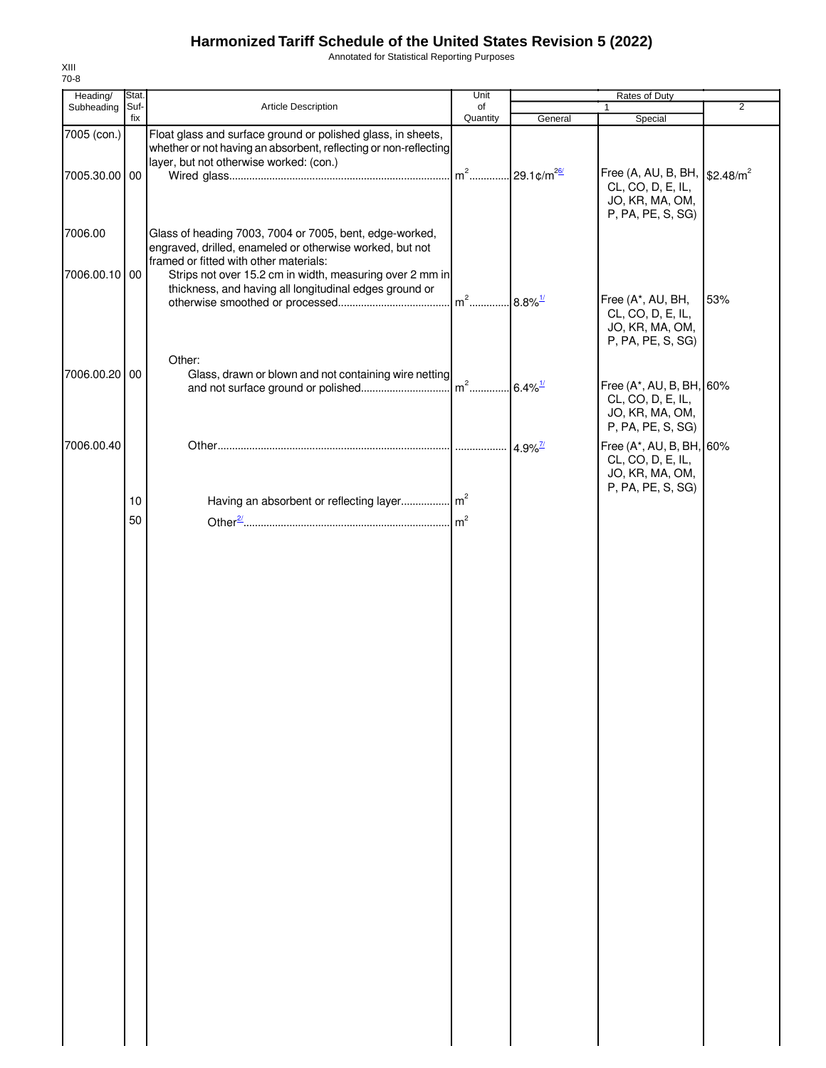Annotated for Statistical Reporting Purposes

| Heading/      | Stat.    |                                                                                                                                                               | Unit                                  |                        | Rates of Duty                                                                         |                |
|---------------|----------|---------------------------------------------------------------------------------------------------------------------------------------------------------------|---------------------------------------|------------------------|---------------------------------------------------------------------------------------|----------------|
| Subheading    | Suf-     | Article Description                                                                                                                                           | of                                    |                        |                                                                                       | $\overline{2}$ |
| 7005 (con.)   | fix      | Float glass and surface ground or polished glass, in sheets,<br>whether or not having an absorbent, reflecting or non-reflecting                              | Quantity                              | General                | Special                                                                               |                |
| 7005.30.00 00 |          | layer, but not otherwise worked: (con.)                                                                                                                       | m <sup>2</sup> 29.1¢/m <sup>26/</sup> |                        | Free (A, AU, B, BH,   \$2.48/m <sup>2</sup><br>CL, CO, D, E, IL,<br>JO, KR, MA, OM,   |                |
| 7006.00       |          | Glass of heading 7003, 7004 or 7005, bent, edge-worked,<br>engraved, drilled, enameled or otherwise worked, but not<br>framed or fitted with other materials: |                                       |                        | P, PA, PE, S, SG)                                                                     |                |
| 7006.00.10 00 |          | Strips not over 15.2 cm in width, measuring over 2 mm in<br>thickness, and having all longitudinal edges ground or                                            | $m2$                                  | $.8.8\%$ <sup>1/</sup> | Free (A*, AU, BH,<br>CL, CO, D, E, IL,<br>JO, KR, MA, OM,                             | 53%            |
| 7006.00.20 00 |          | Other:<br>Glass, drawn or blown and not containing wire netting                                                                                               |                                       |                        | P, PA, PE, S, SG)                                                                     |                |
|               |          |                                                                                                                                                               |                                       |                        | Free (A*, AU, B, BH, 60%<br>CL, CO, D, E, IL,<br>JO, KR, MA, OM,<br>P, PA, PE, S, SG) |                |
| 7006.00.40    |          |                                                                                                                                                               |                                       | $4.9\%$ <sup>7/</sup>  | Free (A*, AU, B, BH, 60%<br>CL, CO, D, E, IL,<br>JO, KR, MA, OM,<br>P, PA, PE, S, SG) |                |
|               | 10<br>50 |                                                                                                                                                               |                                       |                        |                                                                                       |                |
|               |          |                                                                                                                                                               |                                       |                        |                                                                                       |                |
|               |          |                                                                                                                                                               |                                       |                        |                                                                                       |                |
|               |          |                                                                                                                                                               |                                       |                        |                                                                                       |                |
|               |          |                                                                                                                                                               |                                       |                        |                                                                                       |                |
|               |          |                                                                                                                                                               |                                       |                        |                                                                                       |                |
|               |          |                                                                                                                                                               |                                       |                        |                                                                                       |                |
|               |          |                                                                                                                                                               |                                       |                        |                                                                                       |                |
|               |          |                                                                                                                                                               |                                       |                        |                                                                                       |                |
|               |          |                                                                                                                                                               |                                       |                        |                                                                                       |                |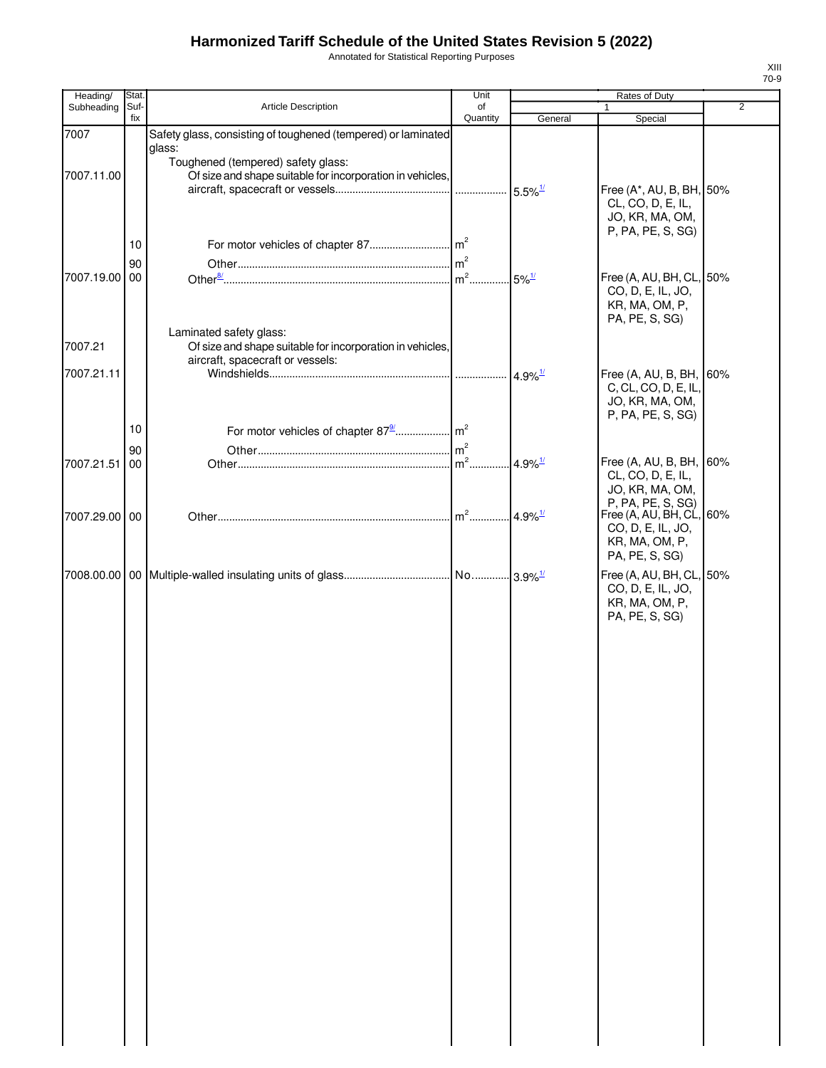Annotated for Statistical Reporting Purposes

| Heading/      | Stat.                 |                                                                                               | Unit            |                       | Rates of Duty            |                |
|---------------|-----------------------|-----------------------------------------------------------------------------------------------|-----------------|-----------------------|--------------------------|----------------|
| Subheading    | Suf-<br>fix           | Article Description                                                                           | of<br>Quantity  |                       | 1                        | $\overline{2}$ |
| 7007          |                       |                                                                                               |                 | General               | Special                  |                |
|               |                       | Safety glass, consisting of toughened (tempered) or laminated<br>glass:                       |                 |                       |                          |                |
|               |                       | Toughened (tempered) safety glass:                                                            |                 |                       |                          |                |
| 7007.11.00    |                       | Of size and shape suitable for incorporation in vehicles,                                     |                 |                       |                          |                |
|               |                       |                                                                                               |                 |                       | Free (A*, AU, B, BH, 50% |                |
|               |                       |                                                                                               |                 |                       | CL, CO, D, E, IL,        |                |
|               |                       |                                                                                               |                 |                       | JO, KR, MA, OM,          |                |
|               |                       |                                                                                               |                 |                       | P, PA, PE, S, SG)        |                |
|               | 10                    |                                                                                               |                 |                       |                          |                |
|               | 90                    |                                                                                               | $\mathsf{Im}^2$ |                       |                          |                |
| 7007.19.00 00 |                       |                                                                                               |                 | $5\%$ <sup>1/</sup>   | Free (A, AU, BH, CL, 50% |                |
|               |                       |                                                                                               |                 |                       | CO, D, E, IL, JO,        |                |
|               |                       |                                                                                               |                 |                       | KR, MA, OM, P,           |                |
|               |                       |                                                                                               |                 |                       | PA, PE, S, SG)           |                |
|               |                       | Laminated safety glass:                                                                       |                 |                       |                          |                |
| 7007.21       |                       | Of size and shape suitable for incorporation in vehicles,<br>aircraft, spacecraft or vessels: |                 |                       |                          |                |
| 7007.21.11    |                       |                                                                                               |                 | $4.9\%$ <sup>1/</sup> | Free (A, AU, B, BH, 60%  |                |
|               |                       |                                                                                               |                 |                       | C, CL, CO, D, E, IL,     |                |
|               |                       |                                                                                               |                 |                       | JO, KR, MA, OM,          |                |
|               |                       |                                                                                               |                 |                       | P, PA, PE, S, SG)        |                |
|               | 10                    |                                                                                               |                 |                       |                          |                |
|               |                       |                                                                                               | $\mathsf{Im}^2$ |                       |                          |                |
| 7007.21.51    | 90<br>$\overline{00}$ |                                                                                               | $m2$            | $4.9\%$ <sup>1/</sup> | Free (A, AU, B, BH,      | 60%            |
|               |                       |                                                                                               |                 |                       | CL, CO, D, E, IL,        |                |
|               |                       |                                                                                               |                 |                       | JO, KR, MA, OM,          |                |
|               |                       |                                                                                               |                 |                       | P, PA, PE, S, SG)        |                |
| 7007.29.00 00 |                       |                                                                                               | $m2$            | $4.9\%$ <sup>1/</sup> | Free (A, AU, BH, CL, 60% |                |
|               |                       |                                                                                               |                 |                       | CO, D, E, IL, JO,        |                |
|               |                       |                                                                                               |                 |                       | KR, MA, OM, P,           |                |
|               |                       |                                                                                               |                 |                       | PA, PE, S, SG)           |                |
|               |                       |                                                                                               |                 |                       | Free (A, AU, BH, CL, 50% |                |
|               |                       |                                                                                               |                 |                       | CO, D, E, IL, JO,        |                |
|               |                       |                                                                                               |                 |                       | KR, MA, OM, P,           |                |
|               |                       |                                                                                               |                 |                       | PA, PE, S, SG)           |                |
|               |                       |                                                                                               |                 |                       |                          |                |
|               |                       |                                                                                               |                 |                       |                          |                |
|               |                       |                                                                                               |                 |                       |                          |                |
|               |                       |                                                                                               |                 |                       |                          |                |
|               |                       |                                                                                               |                 |                       |                          |                |
|               |                       |                                                                                               |                 |                       |                          |                |
|               |                       |                                                                                               |                 |                       |                          |                |
|               |                       |                                                                                               |                 |                       |                          |                |
|               |                       |                                                                                               |                 |                       |                          |                |
|               |                       |                                                                                               |                 |                       |                          |                |
|               |                       |                                                                                               |                 |                       |                          |                |
|               |                       |                                                                                               |                 |                       |                          |                |
|               |                       |                                                                                               |                 |                       |                          |                |
|               |                       |                                                                                               |                 |                       |                          |                |
|               |                       |                                                                                               |                 |                       |                          |                |
|               |                       |                                                                                               |                 |                       |                          |                |
|               |                       |                                                                                               |                 |                       |                          |                |
|               |                       |                                                                                               |                 |                       |                          |                |
|               |                       |                                                                                               |                 |                       |                          |                |
|               |                       |                                                                                               |                 |                       |                          |                |
|               |                       |                                                                                               |                 |                       |                          |                |
|               |                       |                                                                                               |                 |                       |                          |                |
|               |                       |                                                                                               |                 |                       |                          |                |
|               |                       |                                                                                               |                 |                       |                          |                |
|               |                       |                                                                                               |                 |                       |                          |                |
|               |                       |                                                                                               |                 |                       |                          |                |
|               |                       |                                                                                               |                 |                       |                          |                |
|               |                       |                                                                                               |                 |                       |                          |                |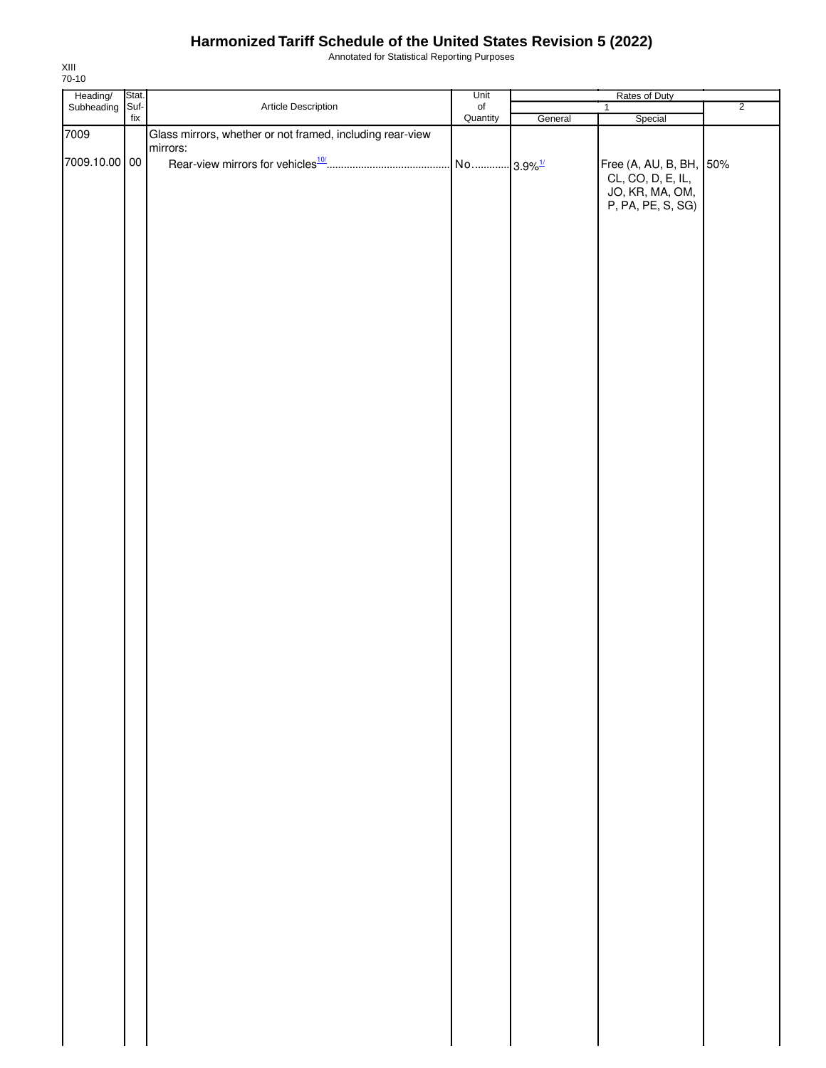Annotated for Statistical Reporting Purposes

|                                         | Stat.       |                                                           |                                      |         |                                                                                                                  |                |
|-----------------------------------------|-------------|-----------------------------------------------------------|--------------------------------------|---------|------------------------------------------------------------------------------------------------------------------|----------------|
|                                         |             |                                                           |                                      |         | $\mathbf{1}$                                                                                                     |                |
| 7009                                    |             | Glass mirrors, whether or not framed, including rear-view |                                      |         |                                                                                                                  |                |
| Heading/<br>Subheading<br>7009.10.00 00 | Suf-<br>fix | Article Description<br>mirrors:                           | Unit<br>$_{\mathsf{of}}$<br>Quantity | General | Rates of Duty<br>Special<br>Free (A, AU, B, BH, 50%<br>CL, CO, D, E, IL,<br>JO, KR, MA, OM,<br>P, PA, PE, S, SG) | $\overline{2}$ |
|                                         |             |                                                           |                                      |         |                                                                                                                  |                |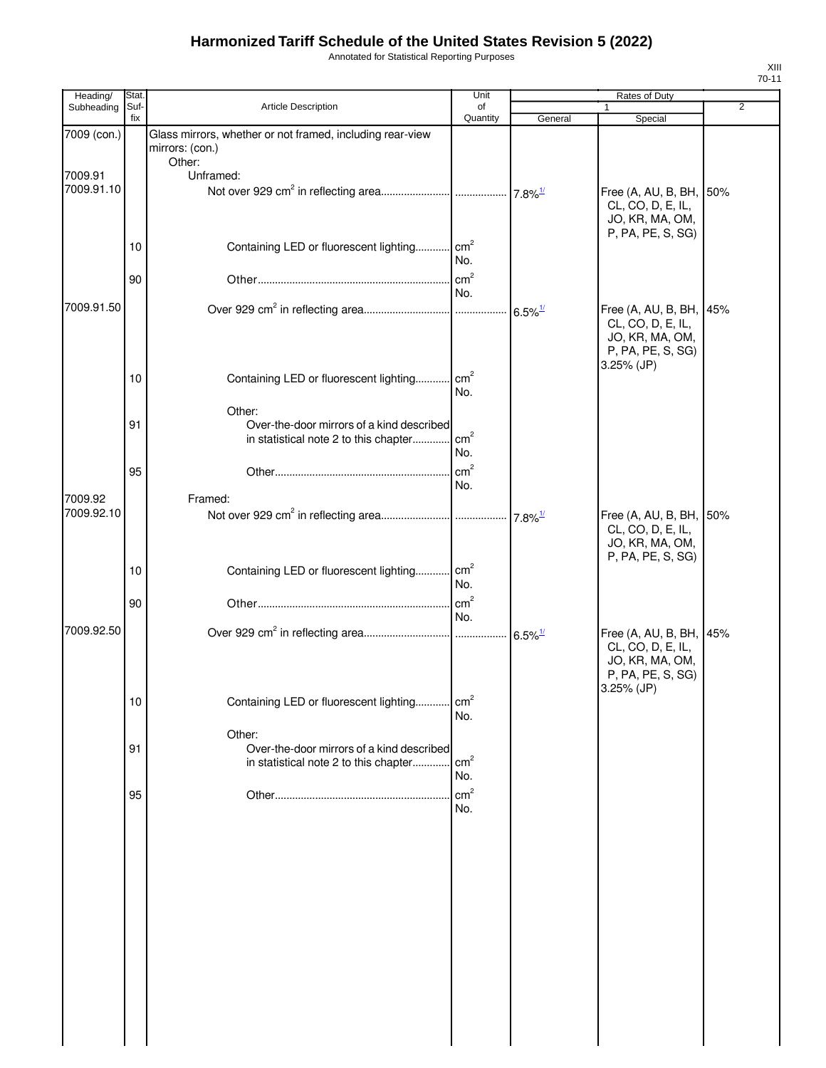Annotated for Statistical Reporting Purposes

| Heading/    | Stat.       |                                                                                              | Unit                   |                       | Rates of Duty                                                                                      |                |
|-------------|-------------|----------------------------------------------------------------------------------------------|------------------------|-----------------------|----------------------------------------------------------------------------------------------------|----------------|
| Subheading  | Suf-<br>fix | Article Description                                                                          | of<br>Quantity         | General               | 1<br>Special                                                                                       | $\overline{2}$ |
| 7009 (con.) |             | Glass mirrors, whether or not framed, including rear-view<br>mirrors: (con.)                 |                        |                       |                                                                                                    |                |
| 7009.91     |             | Other:<br>Unframed:                                                                          |                        |                       |                                                                                                    |                |
| 7009.91.10  |             |                                                                                              |                        |                       | Free (A, AU, B, BH,<br>CL, CO, D, E, IL,<br>JO, KR, MA, OM,                                        | 50%            |
|             | 10          | Containing LED or fluorescent lighting cm <sup>2</sup>                                       | No.                    |                       | P, PA, PE, S, SG)                                                                                  |                |
|             | 90          |                                                                                              | cm <sup>2</sup><br>No. |                       |                                                                                                    |                |
| 7009.91.50  |             |                                                                                              |                        | $6.5\%$ <sup>1/</sup> | Free (A, AU, B, BH, 45%<br>CL, CO, D, E, IL,<br>JO, KR, MA, OM,<br>P, PA, PE, S, SG)<br>3.25% (JP) |                |
|             | 10          | Containing LED or fluorescent lighting                                                       | $\text{cm}^2$<br>No.   |                       |                                                                                                    |                |
|             | 91          | Other:<br>Over-the-door mirrors of a kind described<br>in statistical note 2 to this chapter | cm <sup>2</sup><br>No. |                       |                                                                                                    |                |
|             | 95          |                                                                                              | cm <sup>2</sup><br>No. |                       |                                                                                                    |                |
| 7009.92     |             | Framed:                                                                                      |                        |                       |                                                                                                    |                |
| 7009.92.10  |             |                                                                                              |                        | $7.8\%$ <sup>1/</sup> | Free (A, AU, B, BH,<br>CL, CO, D, E, IL,<br>JO, KR, MA, OM,<br>P, PA, PE, S, SG)                   | 50%            |
|             | 10          | Containing LED or fluorescent lighting cm <sup>2</sup>                                       | No.                    |                       |                                                                                                    |                |
|             | 90          |                                                                                              | cm <sup>2</sup><br>No. |                       |                                                                                                    |                |
| 7009.92.50  |             |                                                                                              |                        |                       | Free (A, AU, B, BH,<br>CL, CO, D, E, IL,<br>JO, KR, MA, OM,<br>P, PA, PE, S, SG)<br>3.25% (JP)     | 45%            |
|             | 10          | Containing LED or fluorescent lighting                                                       | cm <sup>2</sup><br>No. |                       |                                                                                                    |                |
|             | 91          | Other:<br>Over-the-door mirrors of a kind described<br>in statistical note 2 to this chapter | cm <sup>2</sup><br>No. |                       |                                                                                                    |                |
|             | 95          |                                                                                              | cm <sup>2</sup><br>No. |                       |                                                                                                    |                |
|             |             |                                                                                              |                        |                       |                                                                                                    |                |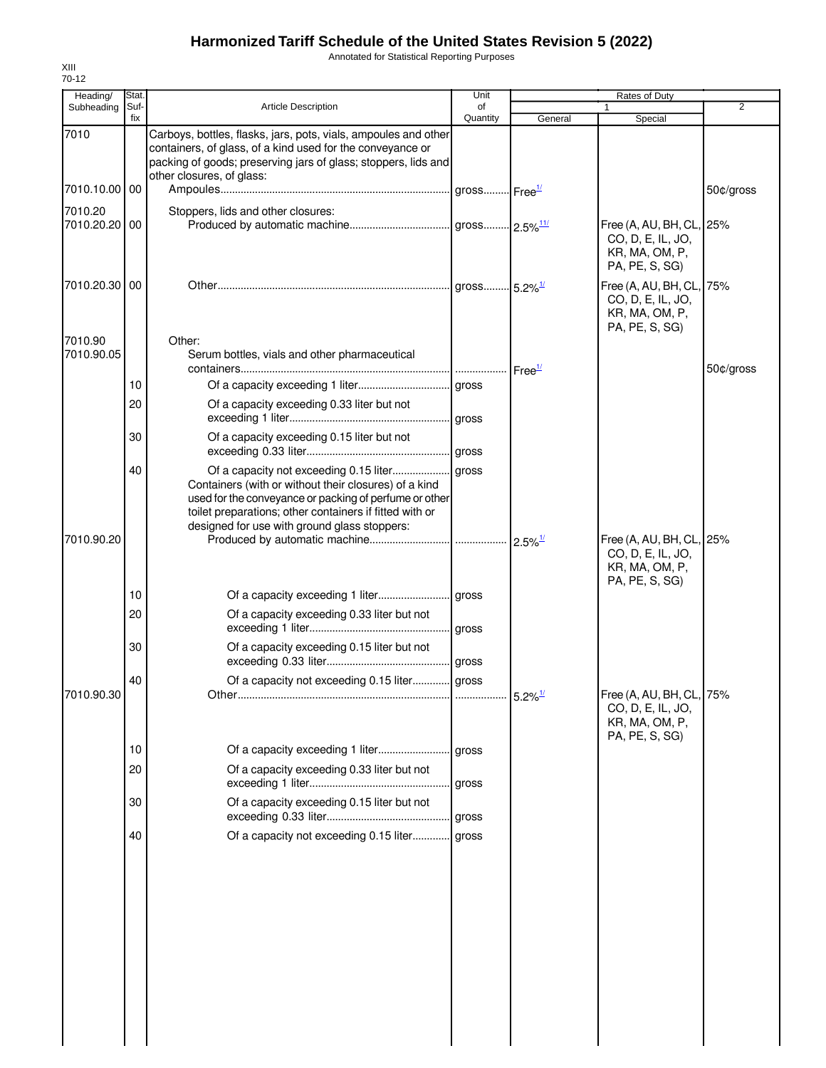Annotated for Statistical Reporting Purposes

| Heading/              | Stat        |                                                                                                                                                                                                                                                                      | Unit           |                       | Rates of Duty                                                                     |           |
|-----------------------|-------------|----------------------------------------------------------------------------------------------------------------------------------------------------------------------------------------------------------------------------------------------------------------------|----------------|-----------------------|-----------------------------------------------------------------------------------|-----------|
| Subheading            | Suf-<br>fix | <b>Article Description</b>                                                                                                                                                                                                                                           | of<br>Quantity | General               | Special                                                                           | 2         |
| 7010                  |             | Carboys, bottles, flasks, jars, pots, vials, ampoules and other<br>containers, of glass, of a kind used for the conveyance or<br>packing of goods; preserving jars of glass; stoppers, lids and<br>other closures, of glass:                                         |                |                       |                                                                                   |           |
| 7010.10.00 00         |             |                                                                                                                                                                                                                                                                      |                |                       |                                                                                   | 50¢/gross |
| 7010.20<br>7010.20.20 | 00          | Stoppers, lids and other closures:                                                                                                                                                                                                                                   |                |                       | Free (A, AU, BH, CL, 25%<br>CO, D, E, IL, JO,<br>KR, MA, OM, P,<br>PA, PE, S, SG) |           |
| 7010.20.30 00         |             |                                                                                                                                                                                                                                                                      |                |                       | Free (A, AU, BH, CL, 75%<br>CO, D, E, IL, JO,<br>KR, MA, OM, P,<br>PA, PE, S, SG) |           |
| 7010.90<br>7010.90.05 |             | Other:<br>Serum bottles, vials and other pharmaceutical                                                                                                                                                                                                              |                | Free <sup>1/</sup>    |                                                                                   | 50¢/gross |
|                       | 10          |                                                                                                                                                                                                                                                                      |                |                       |                                                                                   |           |
|                       | 20          | Of a capacity exceeding 0.33 liter but not                                                                                                                                                                                                                           |                |                       |                                                                                   |           |
|                       | 30          | Of a capacity exceeding 0.15 liter but not                                                                                                                                                                                                                           |                |                       |                                                                                   |           |
|                       |             |                                                                                                                                                                                                                                                                      |                |                       |                                                                                   |           |
|                       | 40          | Of a capacity not exceeding 0.15 liter<br>Containers (with or without their closures) of a kind<br>used for the conveyance or packing of perfume or other<br>toilet preparations; other containers if fitted with or<br>designed for use with ground glass stoppers: | gross          |                       |                                                                                   |           |
| 7010.90.20            |             |                                                                                                                                                                                                                                                                      |                |                       | Free (A, AU, BH, CL, 25%<br>CO, D, E, IL, JO,<br>KR, MA, OM, P,<br>PA, PE, S, SG) |           |
|                       | 10          |                                                                                                                                                                                                                                                                      |                |                       |                                                                                   |           |
|                       | 20          | Of a capacity exceeding 0.33 liter but not                                                                                                                                                                                                                           | gross          |                       |                                                                                   |           |
|                       | 30          | Of a capacity exceeding 0.15 liter but not                                                                                                                                                                                                                           |                |                       |                                                                                   |           |
| 7010.90.30            | 40          | Of a capacity not exceeding 0.15 liter gross                                                                                                                                                                                                                         |                |                       | Free (A, AU, BH, CL, 75%                                                          |           |
|                       |             |                                                                                                                                                                                                                                                                      |                | $5.2\%$ <sup>1/</sup> | CO, D, E, IL, JO,<br>KR, MA, OM, P,<br>PA, PE, S, SG)                             |           |
|                       | 10          |                                                                                                                                                                                                                                                                      |                |                       |                                                                                   |           |
|                       | 20          | Of a capacity exceeding 0.33 liter but not                                                                                                                                                                                                                           | gross          |                       |                                                                                   |           |
|                       | 30          | Of a capacity exceeding 0.15 liter but not                                                                                                                                                                                                                           | gross          |                       |                                                                                   |           |
|                       | 40          | Of a capacity not exceeding 0.15 liter                                                                                                                                                                                                                               | gross          |                       |                                                                                   |           |
|                       |             |                                                                                                                                                                                                                                                                      |                |                       |                                                                                   |           |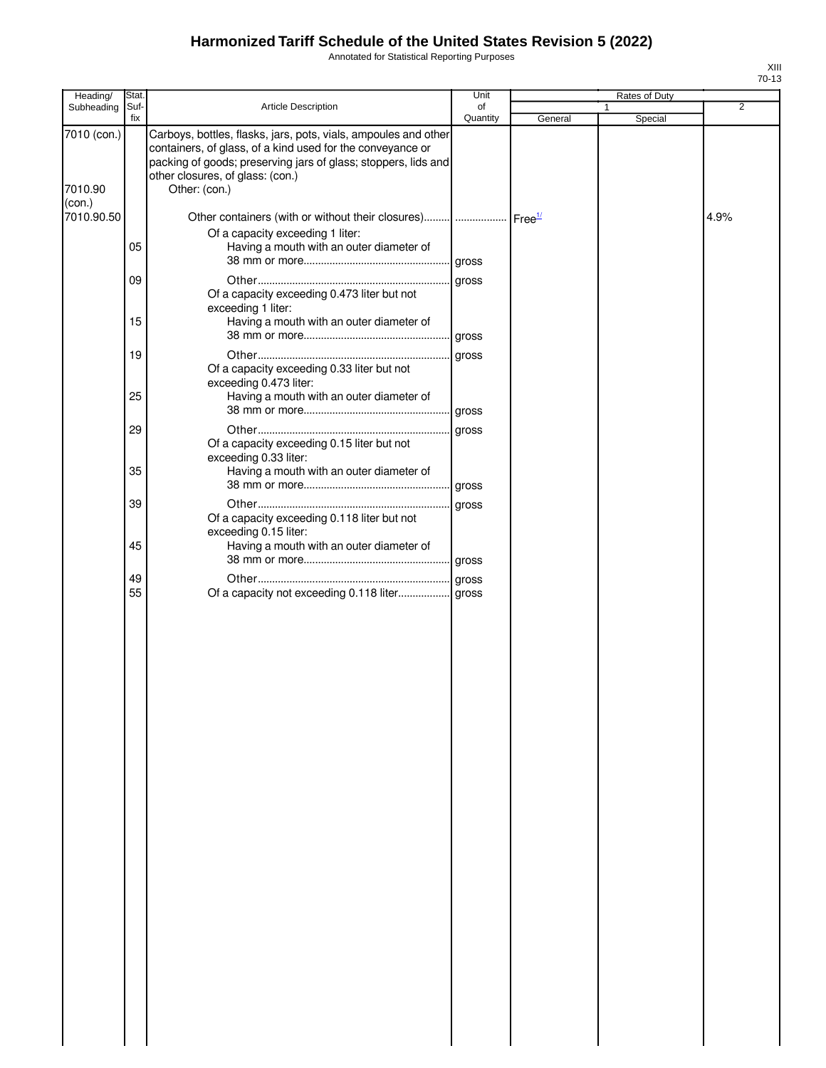Annotated for Statistical Reporting Purposes

| Heading/               | Stat.       |                                                                                                                                                                                                                                                      | Unit           |         | Rates of Duty |                |
|------------------------|-------------|------------------------------------------------------------------------------------------------------------------------------------------------------------------------------------------------------------------------------------------------------|----------------|---------|---------------|----------------|
| Subheading             | Suf-<br>fix | Article Description                                                                                                                                                                                                                                  | of<br>Quantity |         |               | $\overline{2}$ |
| 7010 (con.)<br>7010.90 |             | Carboys, bottles, flasks, jars, pots, vials, ampoules and other<br>containers, of glass, of a kind used for the conveyance or<br>packing of goods; preserving jars of glass; stoppers, lids and<br>other closures, of glass: (con.)<br>Other: (con.) |                | General | Special       |                |
| (con.)                 |             |                                                                                                                                                                                                                                                      |                |         |               |                |
| 7010.90.50             | 05          | Other containers (with or without their closures)  Free <sup>1/</sup><br>Of a capacity exceeding 1 liter:<br>Having a mouth with an outer diameter of                                                                                                |                |         |               | 4.9%           |
|                        |             |                                                                                                                                                                                                                                                      |                |         |               |                |
|                        | 09<br>15    | Of a capacity exceeding 0.473 liter but not<br>exceeding 1 liter:<br>Having a mouth with an outer diameter of                                                                                                                                        | gross          |         |               |                |
|                        | 19          |                                                                                                                                                                                                                                                      | gross          |         |               |                |
|                        | 25          | Of a capacity exceeding 0.33 liter but not<br>exceeding 0.473 liter:<br>Having a mouth with an outer diameter of                                                                                                                                     |                |         |               |                |
|                        |             |                                                                                                                                                                                                                                                      | gross          |         |               |                |
|                        | 29          |                                                                                                                                                                                                                                                      |                |         |               |                |
|                        |             | Of a capacity exceeding 0.15 liter but not<br>exceeding 0.33 liter:                                                                                                                                                                                  | gross          |         |               |                |
|                        | 35          | Having a mouth with an outer diameter of                                                                                                                                                                                                             |                |         |               |                |
|                        |             |                                                                                                                                                                                                                                                      | gross          |         |               |                |
|                        | 39          | Of a capacity exceeding 0.118 liter but not<br>exceeding 0.15 liter:                                                                                                                                                                                 | gross          |         |               |                |
|                        | 45          | Having a mouth with an outer diameter of                                                                                                                                                                                                             |                |         |               |                |
|                        |             |                                                                                                                                                                                                                                                      |                |         |               |                |
|                        | 49<br>55    | Of a capacity not exceeding 0.118 liter gross                                                                                                                                                                                                        |                |         |               |                |
|                        |             |                                                                                                                                                                                                                                                      |                |         |               |                |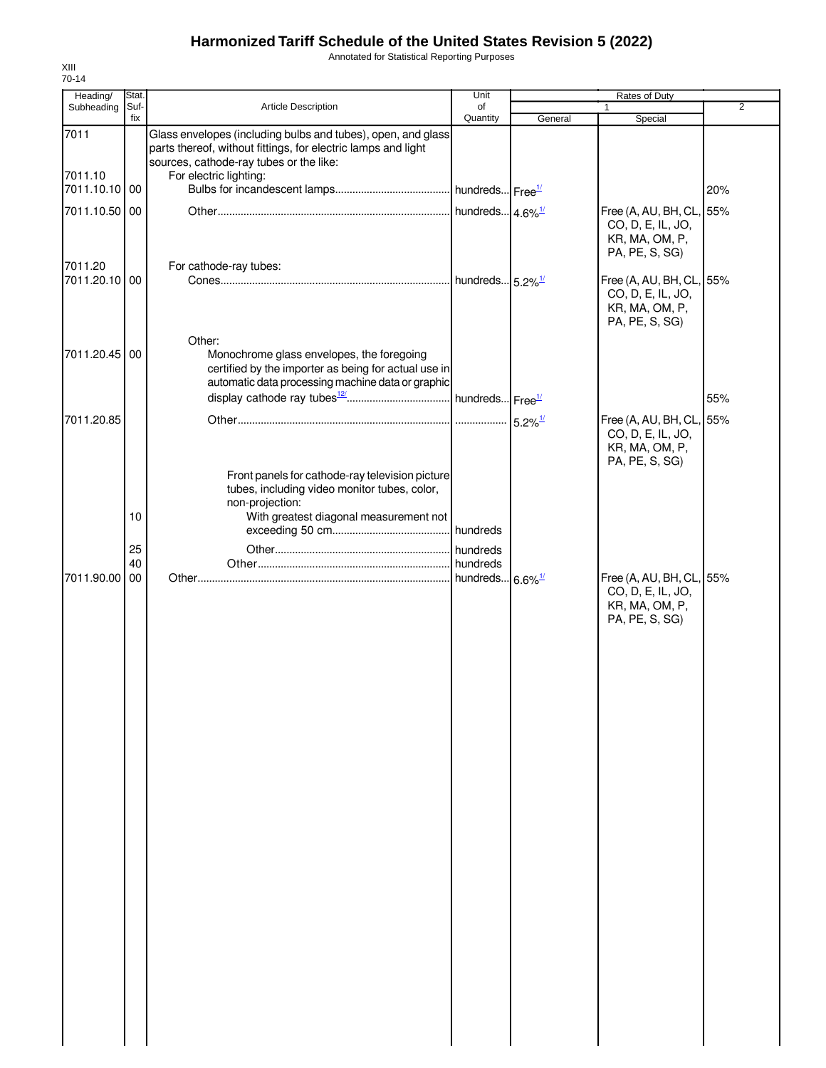Annotated for Statistical Reporting Purposes

| Heading/                 | Stat.       |                                                                                                                                                                          | Unit                                    |                       | Rates of Duty                                                                     |                |
|--------------------------|-------------|--------------------------------------------------------------------------------------------------------------------------------------------------------------------------|-----------------------------------------|-----------------------|-----------------------------------------------------------------------------------|----------------|
| Subheading               | Suf-<br>fix | Article Description                                                                                                                                                      | of<br>Quantity                          | General               | $\mathbf{1}$<br>Special                                                           | $\overline{2}$ |
| 7011                     |             | Glass envelopes (including bulbs and tubes), open, and glass<br>parts thereof, without fittings, for electric lamps and light<br>sources, cathode-ray tubes or the like: |                                         |                       |                                                                                   |                |
| 7011.10<br>7011.10.10    | 00          | For electric lighting:                                                                                                                                                   |                                         |                       |                                                                                   | 20%            |
| 7011.10.50 00            |             |                                                                                                                                                                          | hundreds $4.6\%$ <sup>1/</sup>          |                       | Free (A, AU, BH, CL, 55%<br>CO, D, E, IL, JO,<br>KR, MA, OM, P,<br>PA, PE, S, SG) |                |
| 7011.20<br>7011.20.10 00 |             | For cathode-ray tubes:                                                                                                                                                   | . hundreds 5.2% <sup>1/</sup>           |                       | Free (A, AU, BH, CL, 55%<br>CO, D, E, IL, JO,<br>KR, MA, OM, P,<br>PA, PE, S, SG) |                |
| 7011.20.45 00            |             | Other:<br>Monochrome glass envelopes, the foregoing<br>certified by the importer as being for actual use in<br>automatic data processing machine data or graphic         |                                         |                       |                                                                                   |                |
|                          |             |                                                                                                                                                                          |                                         |                       |                                                                                   | 55%            |
| 7011.20.85               |             | Front panels for cathode-ray television picture<br>tubes, including video monitor tubes, color,                                                                          |                                         | $5.2\%$ <sup>1/</sup> | Free (A, AU, BH, CL, 55%<br>CO, D, E, IL, JO,<br>KR, MA, OM, P,<br>PA, PE, S, SG) |                |
|                          | 10<br>25    | non-projection:<br>With greatest diagonal measurement not                                                                                                                | hundreds                                |                       |                                                                                   |                |
| 7011.90.00               | 40<br>00    |                                                                                                                                                                          | hundreds<br>hundreds 6.6% <sup>1/</sup> |                       | Free (A, AU, BH, CL, 55%<br>CO, D, E, IL, JO,<br>KR, MA, OM, P,<br>PA, PE, S, SG) |                |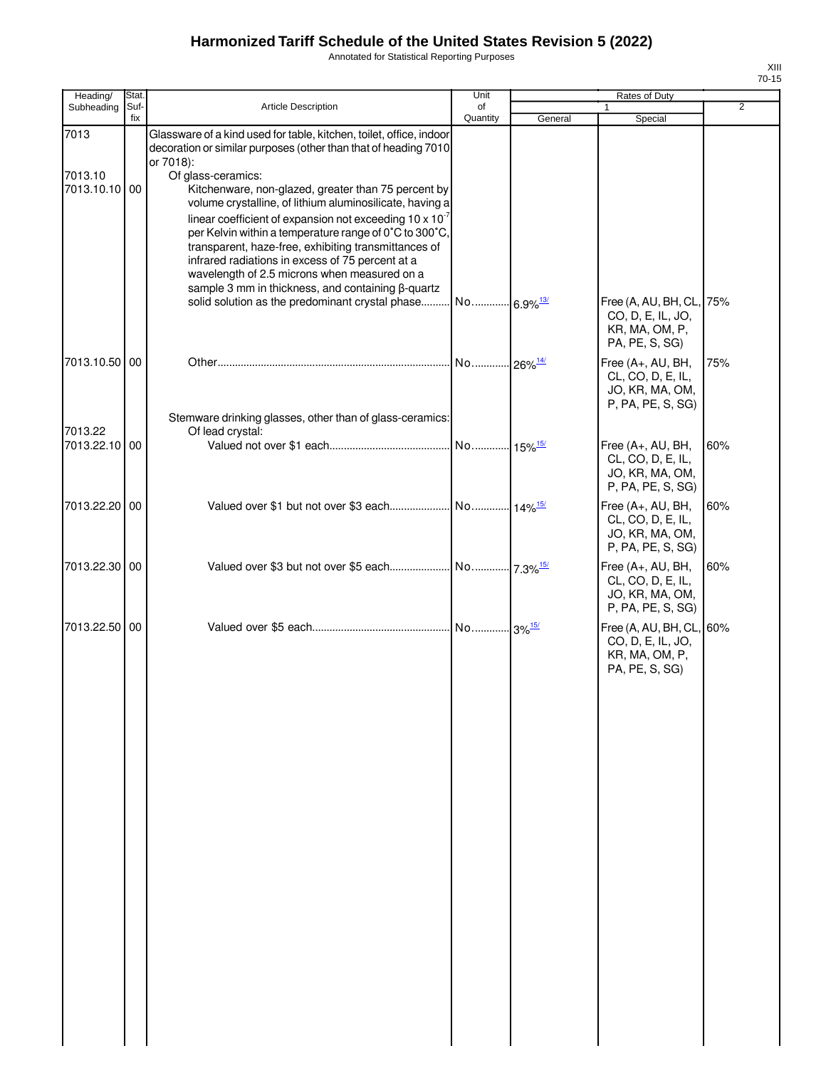Annotated for Statistical Reporting Purposes

| ٦ |  |
|---|--|

| Heading/                 | Stat.       |                                                                                                                                                                                                                    | Unit                  |         | Rates of Duty                                                                     |                |
|--------------------------|-------------|--------------------------------------------------------------------------------------------------------------------------------------------------------------------------------------------------------------------|-----------------------|---------|-----------------------------------------------------------------------------------|----------------|
| Subheading               | Suf-<br>fix | <b>Article Description</b>                                                                                                                                                                                         | of<br>Quantity        | General | Special                                                                           | $\overline{2}$ |
| 7013                     |             | Glassware of a kind used for table, kitchen, toilet, office, indoor<br>decoration or similar purposes (other than that of heading 7010<br>or 7018):                                                                |                       |         |                                                                                   |                |
| 7013.10<br>7013.10.10 00 |             | Of glass-ceramics:<br>Kitchenware, non-glazed, greater than 75 percent by                                                                                                                                          |                       |         |                                                                                   |                |
|                          |             | volume crystalline, of lithium aluminosilicate, having a<br>linear coefficient of expansion not exceeding $10 \times 10^{-7}$                                                                                      |                       |         |                                                                                   |                |
|                          |             | per Kelvin within a temperature range of 0°C to 300°C,<br>transparent, haze-free, exhibiting transmittances of<br>infrared radiations in excess of 75 percent at a<br>wavelength of 2.5 microns when measured on a |                       |         |                                                                                   |                |
|                          |             | sample 3 mm in thickness, and containing ß-quartz                                                                                                                                                                  |                       |         | Free (A, AU, BH, CL, 75%<br>CO, D, E, IL, JO,<br>KR, MA, OM, P,                   |                |
| 7013.10.50 00            |             |                                                                                                                                                                                                                    |                       |         | PA, PE, S, SG)<br>Free (A+, AU, BH,                                               | 75%            |
|                          |             |                                                                                                                                                                                                                    | No 26% <sup>14/</sup> |         | CL, CO, D, E, IL,<br>JO, KR, MA, OM,<br>P, PA, PE, S, SG)                         |                |
| 7013.22                  |             | Stemware drinking glasses, other than of glass-ceramics:<br>Of lead crystal:                                                                                                                                       |                       |         |                                                                                   |                |
| 7013.22.10 00            |             |                                                                                                                                                                                                                    |                       |         | Free (A+, AU, BH,<br>CL, CO, D, E, IL,<br>JO, KR, MA, OM,<br>P, PA, PE, S, SG)    | 60%            |
| 7013.22.20 00            |             |                                                                                                                                                                                                                    |                       |         | Free (A+, AU, BH,<br>CL, CO, D, E, IL,<br>JO, KR, MA, OM,<br>P, PA, PE, S, SG)    | 60%            |
| 7013.22.30 00            |             |                                                                                                                                                                                                                    |                       |         | Free (A+, AU, BH,<br>CL, CO, D, E, IL,<br>JO, KR, MA, OM,<br>P, PA, PE, S, SG)    | 60%            |
| 7013.22.50 00            |             |                                                                                                                                                                                                                    |                       |         | Free (A, AU, BH, CL, 60%<br>CO, D, E, IL, JO,<br>KR, MA, OM, P,<br>PA, PE, S, SG) |                |
|                          |             |                                                                                                                                                                                                                    |                       |         |                                                                                   |                |
|                          |             |                                                                                                                                                                                                                    |                       |         |                                                                                   |                |
|                          |             |                                                                                                                                                                                                                    |                       |         |                                                                                   |                |
|                          |             |                                                                                                                                                                                                                    |                       |         |                                                                                   |                |
|                          |             |                                                                                                                                                                                                                    |                       |         |                                                                                   |                |
|                          |             |                                                                                                                                                                                                                    |                       |         |                                                                                   |                |
|                          |             |                                                                                                                                                                                                                    |                       |         |                                                                                   |                |
|                          |             |                                                                                                                                                                                                                    |                       |         |                                                                                   |                |
|                          |             |                                                                                                                                                                                                                    |                       |         |                                                                                   |                |
|                          |             |                                                                                                                                                                                                                    |                       |         |                                                                                   |                |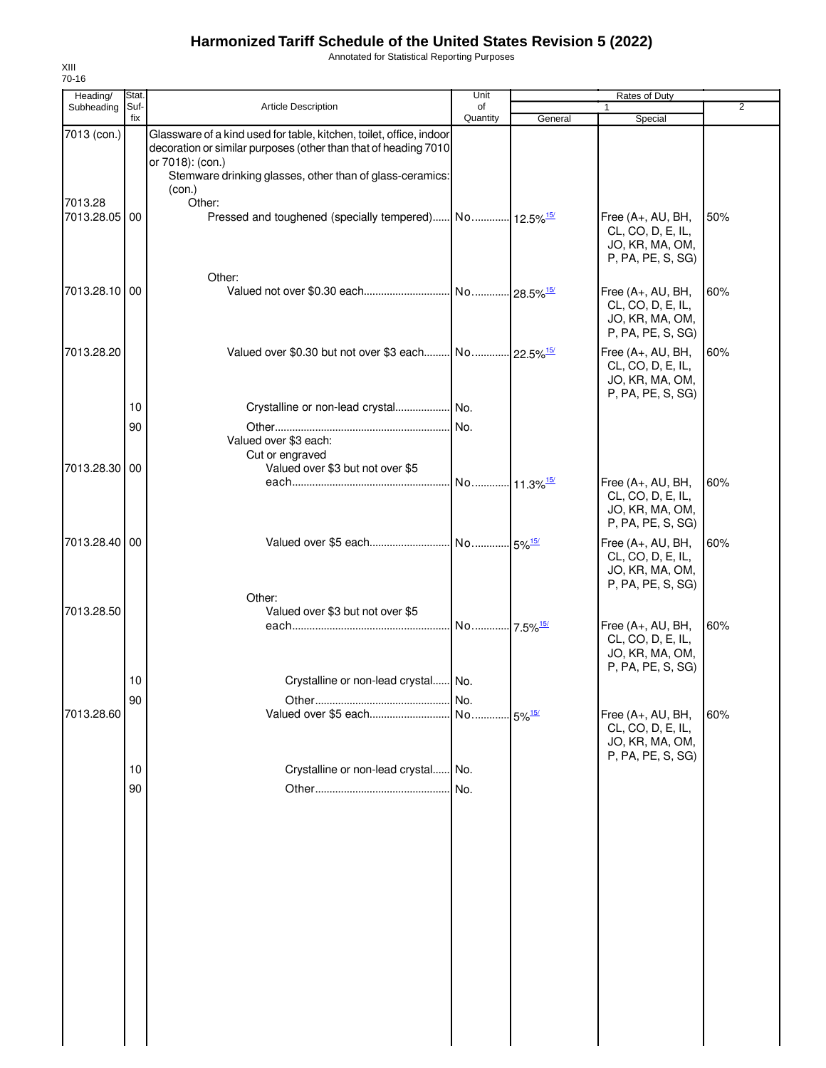Annotated for Statistical Reporting Purposes

| Heading/                 | Stat.       |                                                                                                                                                                                                                        | Unit                    |         | Rates of Duty                                                                  |                |
|--------------------------|-------------|------------------------------------------------------------------------------------------------------------------------------------------------------------------------------------------------------------------------|-------------------------|---------|--------------------------------------------------------------------------------|----------------|
| Subheading               | Suf-<br>fix | Article Description                                                                                                                                                                                                    | of<br>Quantity          | General | Special                                                                        | $\overline{2}$ |
| 7013 (con.)              |             | Glassware of a kind used for table, kitchen, toilet, office, indoor<br>decoration or similar purposes (other than that of heading 7010<br>or 7018): (con.)<br>Stemware drinking glasses, other than of glass-ceramics: |                         |         |                                                                                |                |
|                          |             | (con.)                                                                                                                                                                                                                 |                         |         |                                                                                |                |
| 7013.28<br>7013.28.05 00 |             | Other:<br>Pressed and toughened (specially tempered) No 12.5% <sup>15/</sup>                                                                                                                                           |                         |         | Free (A+, AU, BH,<br>CL, CO, D, E, IL,<br>JO, KR, MA, OM,<br>P, PA, PE, S, SG) | 50%            |
|                          |             | Other:                                                                                                                                                                                                                 |                         |         |                                                                                |                |
| 7013.28.10 00            |             |                                                                                                                                                                                                                        |                         |         | Free (A+, AU, BH,<br>CL, CO, D, E, IL,<br>JO, KR, MA, OM,<br>P, PA, PE, S, SG) | 60%            |
| 7013.28.20               |             | Valued over \$0.30 but not over \$3 each No 22.5% <sup>15/</sup>                                                                                                                                                       |                         |         | Free (A+, AU, BH,<br>CL, CO, D, E, IL,<br>JO, KR, MA, OM,<br>P, PA, PE, S, SG) | 60%            |
|                          | 10          | Crystalline or non-lead crystal No.                                                                                                                                                                                    |                         |         |                                                                                |                |
|                          | 90          | Valued over \$3 each:<br>Cut or engraved                                                                                                                                                                               | .I No.                  |         |                                                                                |                |
| 7013.28.30 00            |             | Valued over \$3 but not over \$5                                                                                                                                                                                       | No 11.3% <sup>15/</sup> |         | Free (A+, AU, BH,                                                              | 60%            |
|                          |             |                                                                                                                                                                                                                        |                         |         | CL, CO, D, E, IL,<br>JO, KR, MA, OM,<br>P, PA, PE, S, SG)                      |                |
| 7013.28.40 00            |             |                                                                                                                                                                                                                        |                         |         | Free (A+, AU, BH,<br>CL, CO, D, E, IL,<br>JO, KR, MA, OM,<br>P, PA, PE, S, SG) | 60%            |
|                          |             | Other:                                                                                                                                                                                                                 |                         |         |                                                                                |                |
| 7013.28.50               |             | Valued over \$3 but not over \$5                                                                                                                                                                                       |                         |         |                                                                                |                |
|                          |             |                                                                                                                                                                                                                        | No 7.5% <sup>15/</sup>  |         | Free (A+, AU, BH,<br>CL, CO, D, E, IL,<br>JO, KR, MA, OM,<br>P, PA, PE, S, SG) | 60%            |
|                          | 10          | Crystalline or non-lead crystal No.                                                                                                                                                                                    |                         |         |                                                                                |                |
|                          | 90          |                                                                                                                                                                                                                        | No.                     |         |                                                                                |                |
| 7013.28.60               |             |                                                                                                                                                                                                                        |                         |         | Free (A+, AU, BH,<br>CL, CO, D, E, IL,<br>JO, KR, MA, OM,<br>P, PA, PE, S, SG) | 60%            |
|                          | 10          | Crystalline or non-lead crystal No.                                                                                                                                                                                    |                         |         |                                                                                |                |
|                          | 90          |                                                                                                                                                                                                                        | No.                     |         |                                                                                |                |
|                          |             |                                                                                                                                                                                                                        |                         |         |                                                                                |                |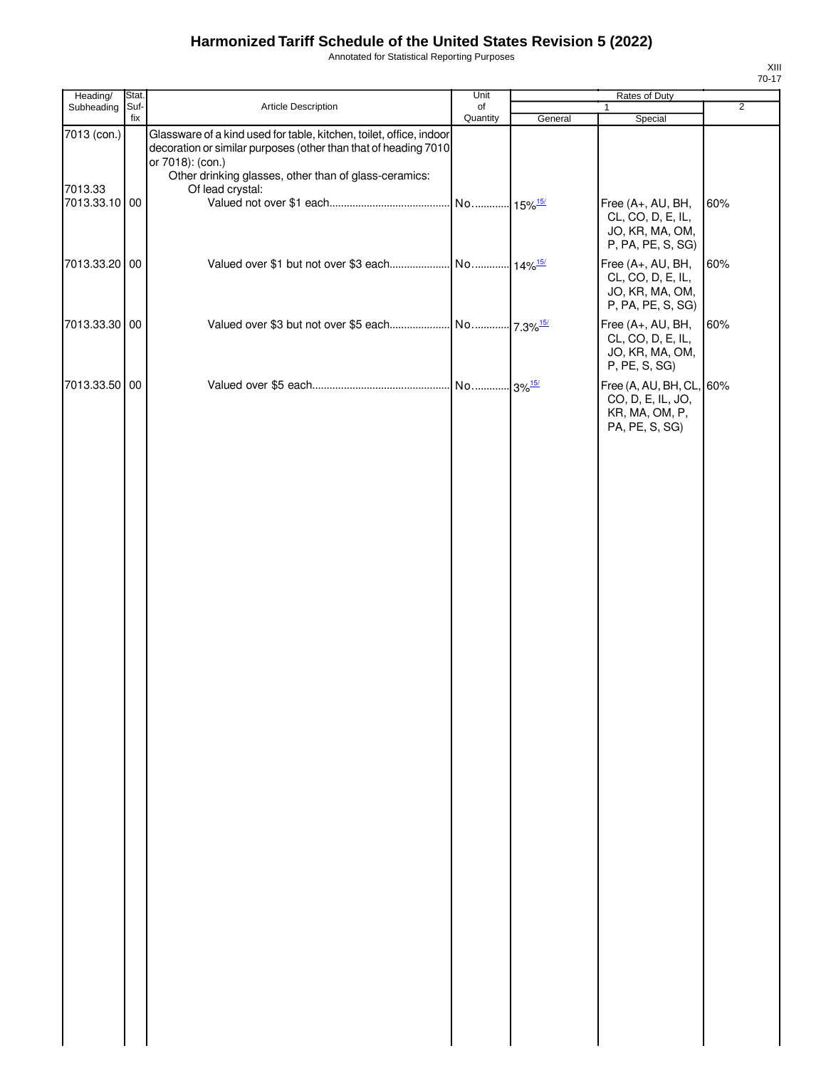Annotated for Statistical Reporting Purposes

| Heading/                 | Stat. |                                                                                                                                                                                                                     | Unit                  |         | Rates of Duty                                                                     |                |
|--------------------------|-------|---------------------------------------------------------------------------------------------------------------------------------------------------------------------------------------------------------------------|-----------------------|---------|-----------------------------------------------------------------------------------|----------------|
| Subheading               | Suf-  | Article Description                                                                                                                                                                                                 | of                    |         | 1                                                                                 | $\overline{2}$ |
| 7013 (con.)              | fix   | Glassware of a kind used for table, kitchen, toilet, office, indoor<br>decoration or similar purposes (other than that of heading 7010<br>or 7018): (con.)<br>Other drinking glasses, other than of glass-ceramics: | Quantity              | General | Special                                                                           |                |
| 7013.33<br>7013.33.10 00 |       | Of lead crystal:                                                                                                                                                                                                    | No 15% <sup>15/</sup> |         | Free (A+, AU, BH,<br>CL, CO, D, E, IL,<br>JO, KR, MA, OM,<br>P, PA, PE, S, SG)    | 60%            |
| 7013.33.20 00            |       |                                                                                                                                                                                                                     |                       |         | Free (A+, AU, BH,<br>CL, CO, D, E, IL,<br>JO, KR, MA, OM,<br>P, PA, PE, S, SG)    | 60%            |
| 7013.33.30 00            |       |                                                                                                                                                                                                                     |                       |         | Free (A+, AU, BH,<br>CL, CO, D, E, IL,<br>JO, KR, MA, OM,<br>P, PE, S, SG)        | 60%            |
| 7013.33.50 00            |       |                                                                                                                                                                                                                     |                       |         | Free (A, AU, BH, CL, 60%<br>CO, D, E, IL, JO,<br>KR, MA, OM, P,<br>PA, PE, S, SG) |                |
|                          |       |                                                                                                                                                                                                                     |                       |         |                                                                                   |                |
|                          |       |                                                                                                                                                                                                                     |                       |         |                                                                                   |                |
|                          |       |                                                                                                                                                                                                                     |                       |         |                                                                                   |                |
|                          |       |                                                                                                                                                                                                                     |                       |         |                                                                                   |                |
|                          |       |                                                                                                                                                                                                                     |                       |         |                                                                                   |                |
|                          |       |                                                                                                                                                                                                                     |                       |         |                                                                                   |                |
|                          |       |                                                                                                                                                                                                                     |                       |         |                                                                                   |                |
|                          |       |                                                                                                                                                                                                                     |                       |         |                                                                                   |                |
|                          |       |                                                                                                                                                                                                                     |                       |         |                                                                                   |                |
|                          |       |                                                                                                                                                                                                                     |                       |         |                                                                                   |                |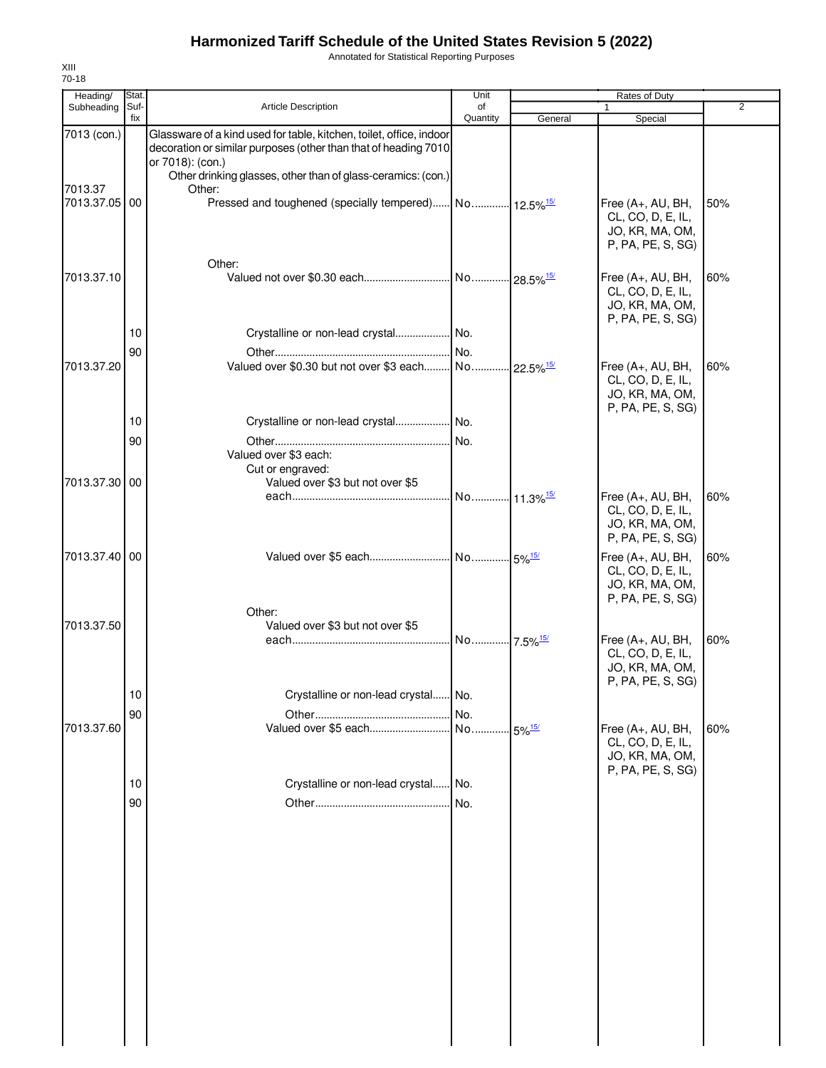Annotated for Statistical Reporting Purposes

| Heading/                 | Stat.       |                                                                                                                                                            | Unit           |                       | Rates of Duty                                                                  |                |
|--------------------------|-------------|------------------------------------------------------------------------------------------------------------------------------------------------------------|----------------|-----------------------|--------------------------------------------------------------------------------|----------------|
| Subheading               | Suf-<br>fix | Article Description                                                                                                                                        | of<br>Quantity | General               | Special                                                                        | $\overline{2}$ |
| 7013 (con.)              |             | Glassware of a kind used for table, kitchen, toilet, office, indoor<br>decoration or similar purposes (other than that of heading 7010<br>or 7018): (con.) |                |                       |                                                                                |                |
|                          |             | Other drinking glasses, other than of glass-ceramics: (con.)                                                                                               |                |                       |                                                                                |                |
| 7013.37<br>7013.37.05 00 |             | Other:<br>Pressed and toughened (specially tempered) No 12.5% <sup>15/</sup>                                                                               |                |                       | Free (A+, AU, BH,<br>CL, CO, D, E, IL,<br>JO, KR, MA, OM,<br>P, PA, PE, S, SG) | 50%            |
|                          |             | Other:                                                                                                                                                     |                |                       |                                                                                |                |
| 7013.37.10               |             |                                                                                                                                                            |                |                       | Free (A+, AU, BH,<br>CL, CO, D, E, IL,<br>JO, KR, MA, OM,<br>P, PA, PE, S, SG) | 60%            |
|                          | 10          | Crystalline or non-lead crystal No.                                                                                                                        |                |                       |                                                                                |                |
|                          | 90          |                                                                                                                                                            |                |                       |                                                                                |                |
| 7013.37.20               |             | Valued over \$0.30 but not over \$3 each No 22.5% <sup>15/</sup>                                                                                           |                |                       | Free (A+, AU, BH,<br>CL, CO, D, E, IL,<br>JO, KR, MA, OM,<br>P, PA, PE, S, SG) | 60%            |
|                          | 10          |                                                                                                                                                            |                |                       |                                                                                |                |
|                          | 90          | Valued over \$3 each:<br>Cut or engraved:                                                                                                                  |                |                       |                                                                                |                |
| 7013.37.30 00            |             | Valued over \$3 but not over \$5                                                                                                                           |                |                       |                                                                                |                |
|                          |             |                                                                                                                                                            |                |                       | Free (A+, AU, BH,<br>CL, CO, D, E, IL,<br>JO, KR, MA, OM,<br>P, PA, PE, S, SG) | 60%            |
| 7013.37.40 00            |             |                                                                                                                                                            |                |                       | Free (A+, AU, BH,<br>CL, CO, D, E, IL,<br>JO, KR, MA, OM,<br>P, PA, PE, S, SG) | 60%            |
|                          |             | Other:                                                                                                                                                     |                |                       |                                                                                |                |
| 7013.37.50               |             | Valued over \$3 but not over \$5                                                                                                                           |                |                       |                                                                                |                |
|                          |             |                                                                                                                                                            |                |                       | Free (A+, AU, BH,<br>CL, CO, D, E, IL,<br>JO, KR, MA, OM,<br>P, PA, PE, S, SG) | 60%            |
|                          | ΙU          | Crystalline or non-lead crystal No.                                                                                                                        |                |                       |                                                                                |                |
|                          | 90          |                                                                                                                                                            | I No.          |                       |                                                                                |                |
| 7013.37.60               |             |                                                                                                                                                            |                | $-5\%$ <sup>15/</sup> | Free (A+, AU, BH,<br>CL, CO, D, E, IL,<br>JO, KR, MA, OM,<br>P, PA, PE, S, SG) | 60%            |
|                          | 10          | Crystalline or non-lead crystal No.                                                                                                                        |                |                       |                                                                                |                |
|                          | 90          |                                                                                                                                                            | No.            |                       |                                                                                |                |
|                          |             |                                                                                                                                                            |                |                       |                                                                                |                |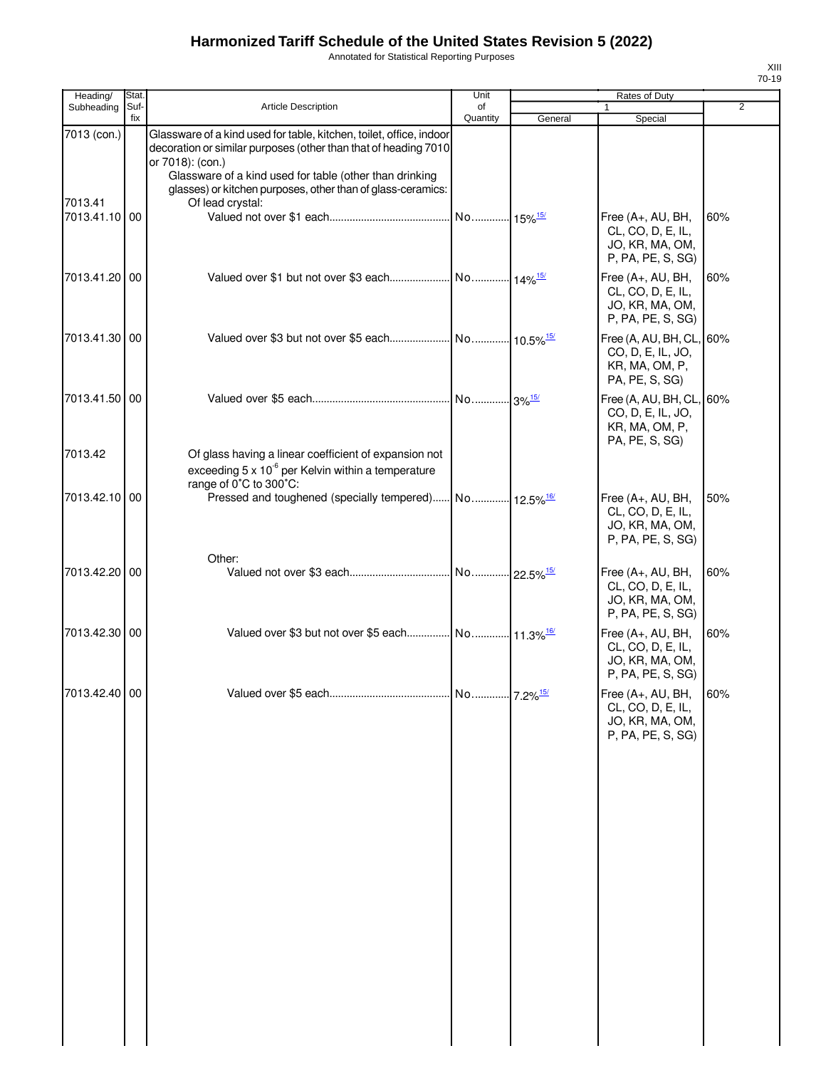Annotated for Statistical Reporting Purposes

| Heading/                 | Stat.       |                                                                                                                                                                                                                                                                                      | Unit           |         | Rates of Duty                                                                     |                |
|--------------------------|-------------|--------------------------------------------------------------------------------------------------------------------------------------------------------------------------------------------------------------------------------------------------------------------------------------|----------------|---------|-----------------------------------------------------------------------------------|----------------|
| Subheading               | Suf-<br>fix | Article Description                                                                                                                                                                                                                                                                  | of<br>Quantity | General | $\mathbf{1}$<br>Special                                                           | $\overline{2}$ |
| 7013 (con.)              |             | Glassware of a kind used for table, kitchen, toilet, office, indoor<br>decoration or similar purposes (other than that of heading 7010<br>or 7018): (con.)<br>Glassware of a kind used for table (other than drinking<br>glasses) or kitchen purposes, other than of glass-ceramics: |                |         |                                                                                   |                |
| 7013.41<br>7013.41.10 00 |             | Of lead crystal:                                                                                                                                                                                                                                                                     |                |         | Free (A+, AU, BH,<br>CL, CO, D, E, IL,<br>JO, KR, MA, OM,<br>P, PA, PE, S, SG)    | 60%            |
| 7013.41.20 00            |             |                                                                                                                                                                                                                                                                                      |                |         | Free (A+, AU, BH,<br>CL, CO, D, E, IL,<br>JO, KR, MA, OM,<br>P, PA, PE, S, SG)    | 60%            |
| 7013.41.30 00            |             |                                                                                                                                                                                                                                                                                      |                |         | Free (A, AU, BH, CL, 60%<br>CO, D, E, IL, JO,<br>KR, MA, OM, P,<br>PA, PE, S, SG) |                |
| 7013.41.50 00            |             |                                                                                                                                                                                                                                                                                      |                |         | Free (A, AU, BH, CL, 60%<br>CO, D, E, IL, JO,<br>KR, MA, OM, P,<br>PA, PE, S, SG) |                |
| 7013.42                  |             | Of glass having a linear coefficient of expansion not<br>exceeding $5 \times 10^{-6}$ per Kelvin within a temperature<br>range of 0°C to 300°C:                                                                                                                                      |                |         |                                                                                   |                |
| 7013.42.10 00            |             |                                                                                                                                                                                                                                                                                      |                |         | Free (A+, AU, BH,<br>CL, CO, D, E, IL,<br>JO, KR, MA, OM,<br>P, PA, PE, S, SG)    | 50%            |
| 7013.42.20 00            |             | Other:                                                                                                                                                                                                                                                                               |                |         | Free (A+, AU, BH,<br>CL, CO, D, E, IL,<br>JO, KR, MA, OM,<br>P, PA, PE, S, SG)    | 60%            |
| 7013.42.30 00            |             |                                                                                                                                                                                                                                                                                      |                |         | Free (A+, AU, BH,<br>CL, CO, D, E, IL,<br>JO, KR, MA, OM,<br>P, PA, PE, S, SG)    | 60%            |
| 7013.42.40 00            |             |                                                                                                                                                                                                                                                                                      |                |         | Free (A+, AU, BH,<br>CL, CO, D, E, IL,<br>JO, KR, MA, OM,<br>P, PA, PE, S, SG)    | 60%            |
|                          |             |                                                                                                                                                                                                                                                                                      |                |         |                                                                                   |                |
|                          |             |                                                                                                                                                                                                                                                                                      |                |         |                                                                                   |                |
|                          |             |                                                                                                                                                                                                                                                                                      |                |         |                                                                                   |                |
|                          |             |                                                                                                                                                                                                                                                                                      |                |         |                                                                                   |                |
|                          |             |                                                                                                                                                                                                                                                                                      |                |         |                                                                                   |                |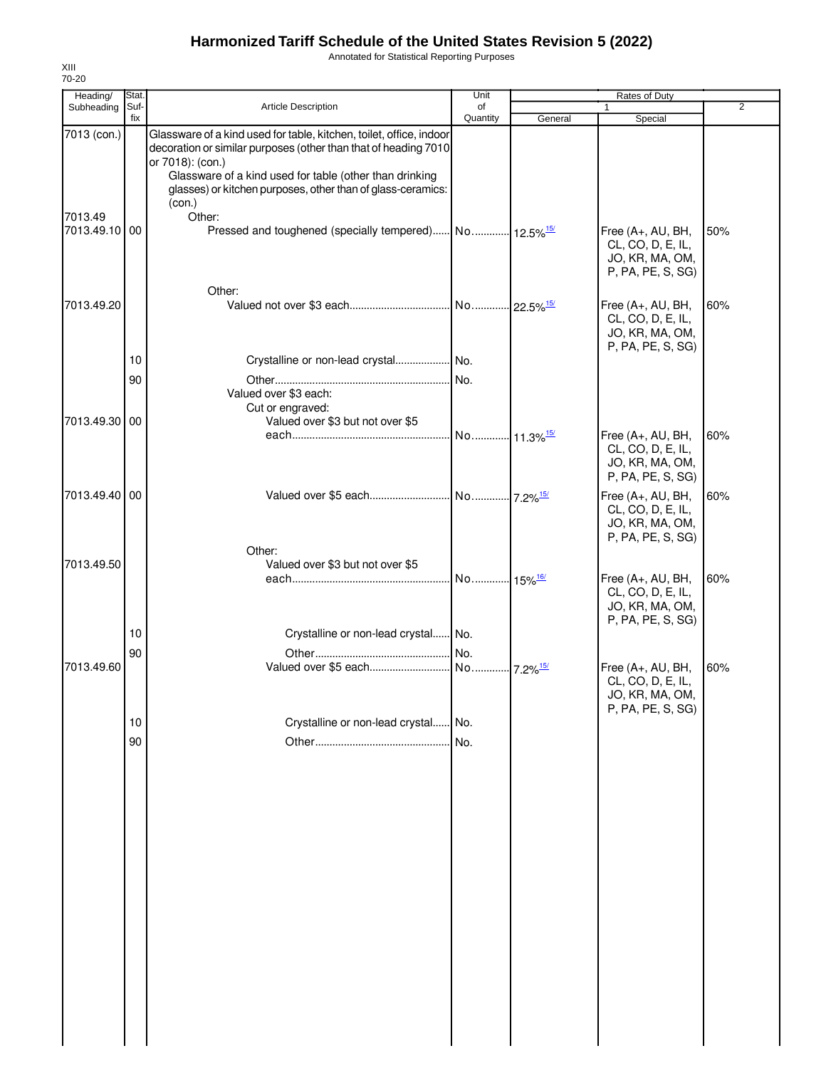Annotated for Statistical Reporting Purposes

| Heading/                 | Stat.       |                                                                                                                                                            | Unit                    |                        | Rates of Duty                                                                  |     |
|--------------------------|-------------|------------------------------------------------------------------------------------------------------------------------------------------------------------|-------------------------|------------------------|--------------------------------------------------------------------------------|-----|
| Subheading               | Suf-<br>fix | <b>Article Description</b>                                                                                                                                 | of<br>Quantity          | General                | Special                                                                        | 2   |
| 7013 (con.)              |             | Glassware of a kind used for table, kitchen, toilet, office, indoor<br>decoration or similar purposes (other than that of heading 7010<br>or 7018): (con.) |                         |                        |                                                                                |     |
|                          |             | Glassware of a kind used for table (other than drinking<br>glasses) or kitchen purposes, other than of glass-ceramics:<br>(con.)                           |                         |                        |                                                                                |     |
| 7013.49<br>7013.49.10 00 |             | Other:<br>Pressed and toughened (specially tempered) No.  12.5% <sup>15/</sup>                                                                             |                         |                        | Free (A+, AU, BH,<br>CL, CO, D, E, IL,<br>JO, KR, MA, OM,                      | 50% |
| 7013.49.20               |             | Other:                                                                                                                                                     |                         |                        | P, PA, PE, S, SG)<br>Free (A+, AU, BH,                                         | 60% |
|                          |             |                                                                                                                                                            |                         |                        | CL, CO, D, E, IL,<br>JO, KR, MA, OM,<br>P, PA, PE, S, SG)                      |     |
|                          | 10          | Crystalline or non-lead crystal No.                                                                                                                        |                         |                        |                                                                                |     |
| 7013.49.30 00            | 90          | Valued over \$3 each:<br>Cut or engraved:<br>Valued over \$3 but not over \$5                                                                              |                         |                        |                                                                                |     |
|                          |             |                                                                                                                                                            | No 11.3% <sup>15/</sup> |                        | Free (A+, AU, BH,<br>CL, CO, D, E, IL,<br>JO, KR, MA, OM,<br>P, PA, PE, S, SG) | 60% |
| 7013.49.40 00            |             |                                                                                                                                                            |                         |                        | Free (A+, AU, BH,<br>CL, CO, D, E, IL,<br>JO, KR, MA, OM,<br>P, PA, PE, S, SG) | 60% |
|                          |             | Other:                                                                                                                                                     |                         |                        |                                                                                |     |
| 7013.49.50               |             | Valued over \$3 but not over \$5                                                                                                                           |                         |                        |                                                                                |     |
|                          |             |                                                                                                                                                            | No 15% <sup>16/</sup>   |                        | Free (A+, AU, BH,<br>CL, CO, D, E, IL,<br>JO, KR, MA, OM,<br>P, PA, PE, S, SG) | 60% |
|                          | 10          | Crystalline or non-lead crystal No.                                                                                                                        |                         |                        |                                                                                |     |
|                          | 90          |                                                                                                                                                            |                         |                        |                                                                                |     |
| 7013.49.60               |             |                                                                                                                                                            |                         | $7.2\%$ <sup>15/</sup> | Free (A+, AU, BH,<br>CL, CO, D, E, IL,<br>JO, KR, MA, OM,<br>P, PA, PE, S, SG) | 60% |
|                          | $10$        | Crystalline or non-lead crystal No.                                                                                                                        |                         |                        |                                                                                |     |
|                          | 90          |                                                                                                                                                            | No.                     |                        |                                                                                |     |
|                          |             |                                                                                                                                                            |                         |                        |                                                                                |     |
|                          |             |                                                                                                                                                            |                         |                        |                                                                                |     |
|                          |             |                                                                                                                                                            |                         |                        |                                                                                |     |
|                          |             |                                                                                                                                                            |                         |                        |                                                                                |     |
|                          |             |                                                                                                                                                            |                         |                        |                                                                                |     |
|                          |             |                                                                                                                                                            |                         |                        |                                                                                |     |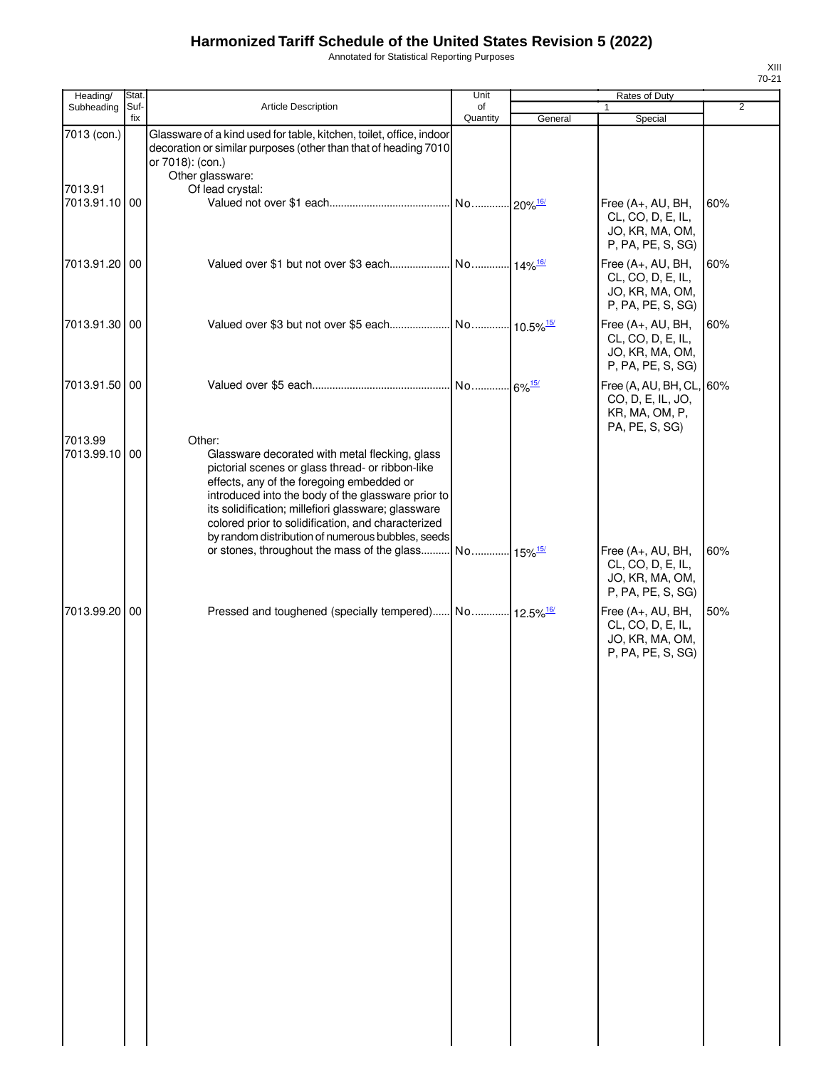Annotated for Statistical Reporting Purposes

| Heading/                 | Stat.       |                                                                                                                                                                                                                                                                                                                                                                                   | Unit                 |         | Rates of Duty                                                                  |                |
|--------------------------|-------------|-----------------------------------------------------------------------------------------------------------------------------------------------------------------------------------------------------------------------------------------------------------------------------------------------------------------------------------------------------------------------------------|----------------------|---------|--------------------------------------------------------------------------------|----------------|
| Subheading               | Suf-<br>fix | Article Description                                                                                                                                                                                                                                                                                                                                                               | of<br>Quantity       | General | 1<br>Special                                                                   | $\overline{2}$ |
| 7013 (con.)              |             | Glassware of a kind used for table, kitchen, toilet, office, indoor<br>decoration or similar purposes (other than that of heading 7010<br>or 7018): (con.)<br>Other glassware:                                                                                                                                                                                                    |                      |         |                                                                                |                |
| 7013.91<br>7013.91.10 00 |             | Of lead crystal:                                                                                                                                                                                                                                                                                                                                                                  |                      |         | Free (A+, AU, BH,<br>CL, CO, D, E, IL,<br>JO, KR, MA, OM,<br>P, PA, PE, S, SG) | 60%            |
| 7013.91.20 00            |             |                                                                                                                                                                                                                                                                                                                                                                                   |                      |         | Free (A+, AU, BH,<br>CL, CO, D, E, IL,<br>JO, KR, MA, OM,<br>P, PA, PE, S, SG) | 60%            |
| 7013.91.30 00            |             |                                                                                                                                                                                                                                                                                                                                                                                   |                      |         | Free (A+, AU, BH,<br>CL, CO, D, E, IL,<br>JO, KR, MA, OM,<br>P, PA, PE, S, SG) | 60%            |
| 7013.91.50 00            |             |                                                                                                                                                                                                                                                                                                                                                                                   | No 6% <sup>15/</sup> |         | Free (A, AU, BH, CL,<br>CO, D, E, IL, JO,<br>KR, MA, OM, P,<br>PA, PE, S, SG)  | 60%            |
| 7013.99<br>7013.99.10 00 |             | Other:<br>Glassware decorated with metal flecking, glass<br>pictorial scenes or glass thread- or ribbon-like<br>effects, any of the foregoing embedded or<br>introduced into the body of the glassware prior to<br>its solidification; millefiori glassware; glassware<br>colored prior to solidification, and characterized<br>by random distribution of numerous bubbles, seeds |                      |         |                                                                                |                |
|                          |             | or stones, throughout the mass of the glass No 15% <sup>15/</sup>                                                                                                                                                                                                                                                                                                                 |                      |         | Free (A+, AU, BH,<br>CL, CO, D, E, IL,<br>JO, KR, MA, OM,<br>P, PA, PE, S, SG) | 60%            |
| 7013.99.20 00            |             |                                                                                                                                                                                                                                                                                                                                                                                   |                      |         | Free (A+, AU, BH,<br>CL, CO, D, E, IL,<br>JO, KR, MA, OM,<br>P, PA, PE, S, SG) | 50%            |
|                          |             |                                                                                                                                                                                                                                                                                                                                                                                   |                      |         |                                                                                |                |
|                          |             |                                                                                                                                                                                                                                                                                                                                                                                   |                      |         |                                                                                |                |
|                          |             |                                                                                                                                                                                                                                                                                                                                                                                   |                      |         |                                                                                |                |
|                          |             |                                                                                                                                                                                                                                                                                                                                                                                   |                      |         |                                                                                |                |
|                          |             |                                                                                                                                                                                                                                                                                                                                                                                   |                      |         |                                                                                |                |
|                          |             |                                                                                                                                                                                                                                                                                                                                                                                   |                      |         |                                                                                |                |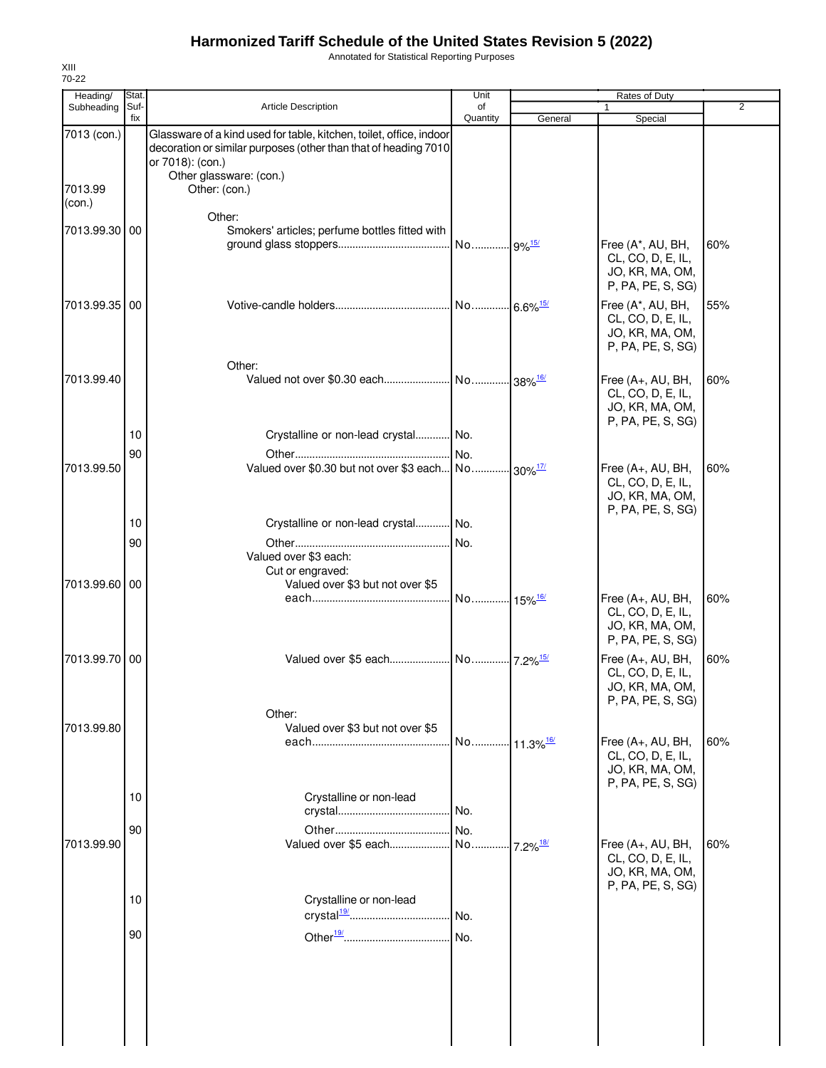Annotated for Statistical Reporting Purposes

| Heading/          | Stat.       |                                                                                                                                                                                       | Unit                          |                        | Rates of Duty                                                                  |                |
|-------------------|-------------|---------------------------------------------------------------------------------------------------------------------------------------------------------------------------------------|-------------------------------|------------------------|--------------------------------------------------------------------------------|----------------|
| Subheading        | Suf-<br>fix | Article Description                                                                                                                                                                   | of<br>Quantity                | General                | Special                                                                        | $\overline{2}$ |
| 7013 (con.)       |             | Glassware of a kind used for table, kitchen, toilet, office, indoor<br>decoration or similar purposes (other than that of heading 7010<br>or 7018): (con.)<br>Other glassware: (con.) |                               |                        |                                                                                |                |
| 7013.99<br>(con.) |             | Other: (con.)                                                                                                                                                                         |                               |                        |                                                                                |                |
| 7013.99.30 00     |             | Other:<br>Smokers' articles; perfume bottles fitted with                                                                                                                              | No 9% <sup>15/</sup>          |                        | Free (A*, AU, BH,<br>CL, CO, D, E, IL,<br>JO, KR, MA, OM,<br>P, PA, PE, S, SG) | 60%            |
| 7013.99.35 00     |             |                                                                                                                                                                                       | No  6.6% <sup>15/</sup>       |                        | Free (A*, AU, BH,<br>CL, CO, D, E, IL,<br>JO, KR, MA, OM,<br>P, PA, PE, S, SG) | 55%            |
| 7013.99.40        |             | Other:                                                                                                                                                                                |                               |                        | Free (A+, AU, BH,<br>CL, CO, D, E, IL,<br>JO, KR, MA, OM,<br>P, PA, PE, S, SG) | 60%            |
|                   | 10          | Crystalline or non-lead crystal No.                                                                                                                                                   |                               |                        |                                                                                |                |
| 7013.99.50        | 90          | Valued over \$0.30 but not over \$3 each No                                                                                                                                           | No.                           | $-30\%$ <sup>17/</sup> | Free (A+, AU, BH,<br>CL, CO, D, E, IL,<br>JO, KR, MA, OM,<br>P, PA, PE, S, SG) | 60%            |
|                   | 10          | Crystalline or non-lead crystal No.                                                                                                                                                   |                               |                        |                                                                                |                |
|                   | 90          | Valued over \$3 each:<br>Cut or engraved:                                                                                                                                             | No.                           |                        |                                                                                |                |
| 7013.99.60 00     |             | Valued over \$3 but not over \$5                                                                                                                                                      | No 15% <sup>16/</sup>         |                        | Free (A+, AU, BH,<br>CL, CO, D, E, IL,<br>JO, KR, MA, OM,<br>P, PA, PE, S, SG) | 60%            |
| 7013.99.70 00     |             | Other:                                                                                                                                                                                |                               |                        | Free (A+, AU, BH,<br>CL, CO, D, E, IL,<br>JO, KR, MA, OM,<br>P, PA, PE, S, SG) | 60%            |
| 7013.99.80        |             | Valued over \$3 but not over \$5                                                                                                                                                      |                               |                        |                                                                                |                |
|                   |             |                                                                                                                                                                                       | No 11.3% <sup>16/</sup>       |                        | Free (A+, AU, BH,<br>CL, CO, D, E, IL,<br>JO, KR, MA, OM,<br>P, PA, PE, S, SG) | 60%            |
|                   | 10          | Crystalline or non-lead                                                                                                                                                               | No.                           |                        |                                                                                |                |
|                   |             |                                                                                                                                                                                       |                               |                        |                                                                                |                |
| 7013.99.90        | 90          | Valued over \$5 each                                                                                                                                                                  | No.<br>No 7.2% <sup>18/</sup> |                        | Free (A+, AU, BH,<br>CL, CO, D, E, IL,<br>JO, KR, MA, OM,<br>P, PA, PE, S, SG) | 60%            |
|                   | 10          | Crystalline or non-lead<br>crystal <sup>19</sup> / <sub><i></i></sub>                                                                                                                 | No.                           |                        |                                                                                |                |
|                   | 90          |                                                                                                                                                                                       | No.                           |                        |                                                                                |                |
|                   |             |                                                                                                                                                                                       |                               |                        |                                                                                |                |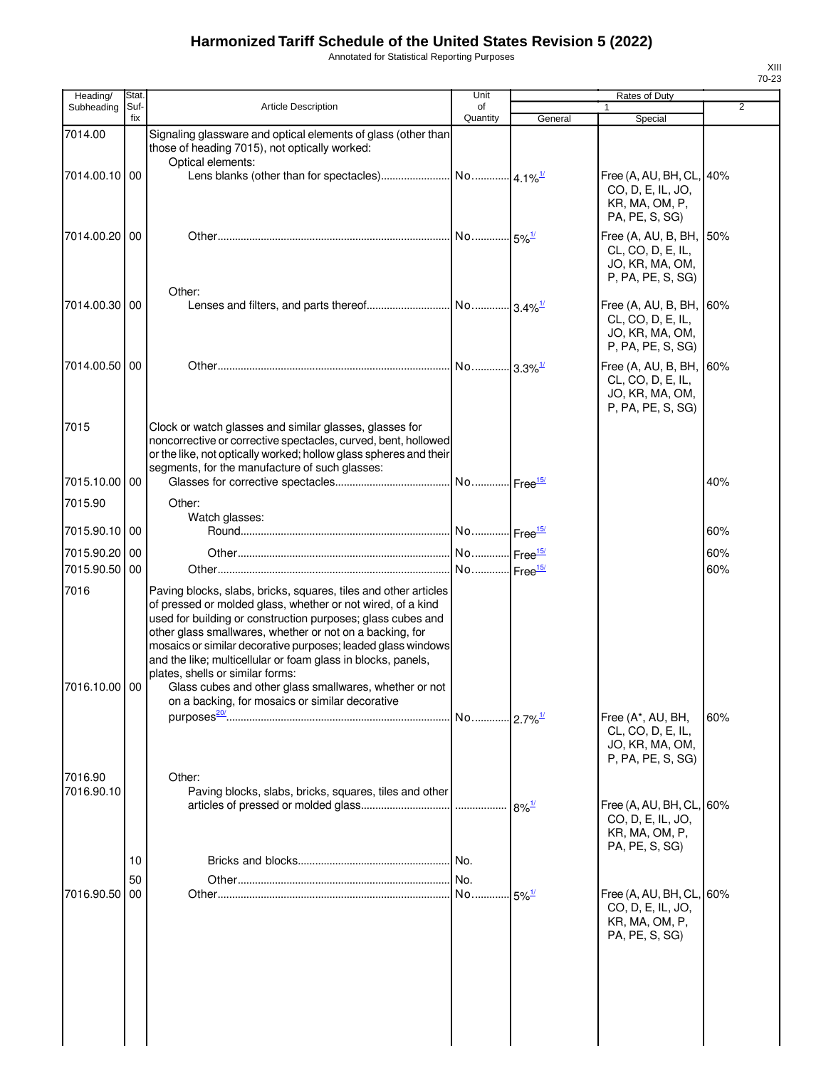Annotated for Statistical Reporting Purposes

| Heading/              | Stat.       |                                                                                                                                                                                                                                                                                                                                                                                                                                                                                                                                            | Unit           |         | <b>Rates of Duty</b>                                                                 |                |
|-----------------------|-------------|--------------------------------------------------------------------------------------------------------------------------------------------------------------------------------------------------------------------------------------------------------------------------------------------------------------------------------------------------------------------------------------------------------------------------------------------------------------------------------------------------------------------------------------------|----------------|---------|--------------------------------------------------------------------------------------|----------------|
| Subheading            | Suf-<br>fix | <b>Article Description</b>                                                                                                                                                                                                                                                                                                                                                                                                                                                                                                                 | of<br>Quantity | General | Special                                                                              | $\overline{2}$ |
| 7014.00               |             | Signaling glassware and optical elements of glass (other than<br>those of heading 7015), not optically worked:<br>Optical elements:                                                                                                                                                                                                                                                                                                                                                                                                        |                |         |                                                                                      |                |
| 7014.00.10 00         |             |                                                                                                                                                                                                                                                                                                                                                                                                                                                                                                                                            |                |         | Free (A, AU, BH, CL, 40%<br>CO, D, E, IL, JO,<br>KR, MA, OM, P,<br>PA, PE, S, SG)    |                |
| 7014.00.20            | 00          |                                                                                                                                                                                                                                                                                                                                                                                                                                                                                                                                            |                |         | Free (A, AU, B, BH, 50%<br>CL, CO, D, E, IL,<br>JO, KR, MA, OM,<br>P, PA, PE, S, SG) |                |
| 7014.00.30 00         |             | Other:                                                                                                                                                                                                                                                                                                                                                                                                                                                                                                                                     |                |         | Free (A, AU, B, BH, 60%<br>CL, CO, D, E, IL,<br>JO, KR, MA, OM,<br>P, PA, PE, S, SG) |                |
| 7014.00.50 00         |             |                                                                                                                                                                                                                                                                                                                                                                                                                                                                                                                                            |                |         | Free (A, AU, B, BH,<br>CL, CO, D, E, IL,<br>JO, KR, MA, OM,<br>P, PA, PE, S, SG)     | 60%            |
| 7015                  |             | Clock or watch glasses and similar glasses, glasses for<br>noncorrective or corrective spectacles, curved, bent, hollowed<br>or the like, not optically worked; hollow glass spheres and their<br>segments, for the manufacture of such glasses:                                                                                                                                                                                                                                                                                           |                |         |                                                                                      |                |
| 7015.10.00 00         |             |                                                                                                                                                                                                                                                                                                                                                                                                                                                                                                                                            |                |         |                                                                                      | 40%            |
| 7015.90               |             | Other:                                                                                                                                                                                                                                                                                                                                                                                                                                                                                                                                     |                |         |                                                                                      |                |
| 7015.90.10 00         |             | Watch glasses:                                                                                                                                                                                                                                                                                                                                                                                                                                                                                                                             |                |         |                                                                                      | 60%            |
| 7015.90.20 00         |             |                                                                                                                                                                                                                                                                                                                                                                                                                                                                                                                                            |                |         |                                                                                      | 60%            |
| 7015.90.50            | 00          |                                                                                                                                                                                                                                                                                                                                                                                                                                                                                                                                            |                |         |                                                                                      | 60%            |
| 7016<br>7016.10.00 00 |             | Paving blocks, slabs, bricks, squares, tiles and other articles<br>of pressed or molded glass, whether or not wired, of a kind<br>used for building or construction purposes; glass cubes and<br>other glass smallwares, whether or not on a backing, for<br>mosaics or similar decorative purposes; leaded glass windows<br>and the like; multicellular or foam glass in blocks, panels,<br>plates, shells or similar forms:<br>Glass cubes and other glass smallwares, whether or not<br>on a backing, for mosaics or similar decorative |                |         |                                                                                      |                |
|                       |             |                                                                                                                                                                                                                                                                                                                                                                                                                                                                                                                                            |                |         | Free (A*, AU, BH,<br>CL, CO, D, E, IL,<br>JO, KR, MA, OM,<br>P, PA, PE, S, SG)       | 60%            |
| 7016.90<br>7016.90.10 |             | Other:<br>Paving blocks, slabs, bricks, squares, tiles and other                                                                                                                                                                                                                                                                                                                                                                                                                                                                           |                |         | Free (A, AU, BH, CL,<br>CO, D, E, IL, JO,<br>KR, MA, OM, P,                          | 60%            |
|                       | 10          |                                                                                                                                                                                                                                                                                                                                                                                                                                                                                                                                            |                |         | PA, PE, S, SG)                                                                       |                |
|                       | 50          |                                                                                                                                                                                                                                                                                                                                                                                                                                                                                                                                            |                |         |                                                                                      |                |
| 7016.90.50            | 00          |                                                                                                                                                                                                                                                                                                                                                                                                                                                                                                                                            |                |         | Free (A, AU, BH, CL,<br>CO, D, E, IL, JO,<br>KR, MA, OM, P,<br>PA, PE, S, SG)        | 60%            |
|                       |             |                                                                                                                                                                                                                                                                                                                                                                                                                                                                                                                                            |                |         |                                                                                      |                |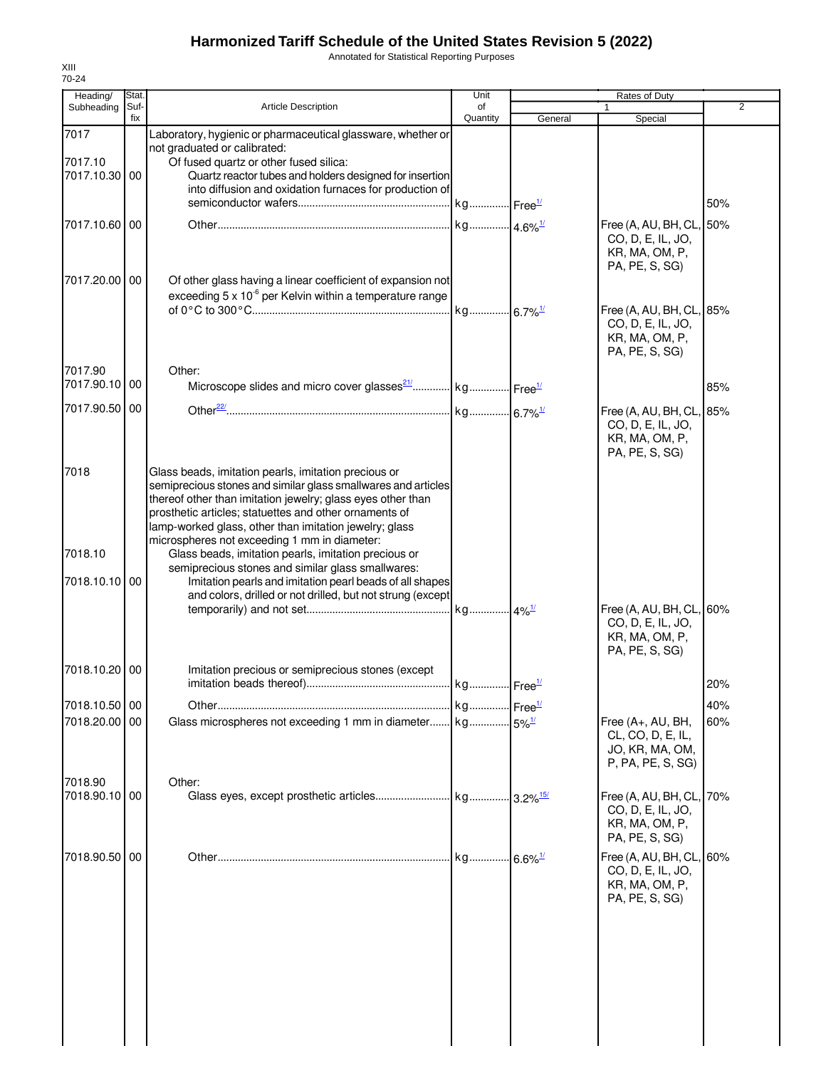Annotated for Statistical Reporting Purposes

| Heading/                         | Stat.       |                                                                                                                                                                                                                                                                                                                                                                                                                                                                                                                                   | Unit                  |                       | <b>Rates of Duty</b>                                                           |                |
|----------------------------------|-------------|-----------------------------------------------------------------------------------------------------------------------------------------------------------------------------------------------------------------------------------------------------------------------------------------------------------------------------------------------------------------------------------------------------------------------------------------------------------------------------------------------------------------------------------|-----------------------|-----------------------|--------------------------------------------------------------------------------|----------------|
| Subheading                       | Suf-<br>fix | <b>Article Description</b>                                                                                                                                                                                                                                                                                                                                                                                                                                                                                                        | of<br>Quantity        | General               | 1<br>Special                                                                   | $\overline{2}$ |
| 7017<br>7017.10                  |             | Laboratory, hygienic or pharmaceutical glassware, whether or<br>not graduated or calibrated:<br>Of fused quartz or other fused silica:                                                                                                                                                                                                                                                                                                                                                                                            |                       |                       |                                                                                |                |
| 7017.10.30 00                    |             | Quartz reactor tubes and holders designed for insertion<br>into diffusion and oxidation furnaces for production of                                                                                                                                                                                                                                                                                                                                                                                                                |                       |                       |                                                                                | 50%            |
| 7017.10.60 00                    |             |                                                                                                                                                                                                                                                                                                                                                                                                                                                                                                                                   |                       |                       | Free (A, AU, BH, CL,<br>CO, D, E, IL, JO,<br>KR, MA, OM, P,<br>PA, PE, S, SG)  | 50%            |
| 7017.20.00 00                    |             | Of other glass having a linear coefficient of expansion not<br>exceeding $5 \times 10^{-6}$ per Kelvin within a temperature range                                                                                                                                                                                                                                                                                                                                                                                                 |                       |                       | Free (A, AU, BH, CL,<br>CO, D, E, IL, JO,<br>KR, MA, OM, P,<br>PA, PE, S, SG)  | 85%            |
| 7017.90<br>7017.90.10            | 00          | Other:<br>Microscope slides and micro cover glasses <sup>21</sup> /  kg  Free <sup>1/</sup>                                                                                                                                                                                                                                                                                                                                                                                                                                       |                       |                       |                                                                                | 85%            |
| 7017.90.50                       | 00          |                                                                                                                                                                                                                                                                                                                                                                                                                                                                                                                                   |                       |                       | Free (A, AU, BH, CL,<br>CO, D, E, IL, JO,<br>KR, MA, OM, P,<br>PA, PE, S, SG)  | 85%            |
| 7018<br>7018.10<br>7018.10.10 00 |             | Glass beads, imitation pearls, imitation precious or<br>semiprecious stones and similar glass smallwares and articles<br>thereof other than imitation jewelry; glass eyes other than<br>prosthetic articles; statuettes and other ornaments of<br>lamp-worked glass, other than imitation jewelry; glass<br>microspheres not exceeding 1 mm in diameter:<br>Glass beads, imitation pearls, imitation precious or<br>semiprecious stones and similar glass smallwares:<br>Imitation pearls and imitation pearl beads of all shapes |                       |                       |                                                                                |                |
|                                  |             | and colors, drilled or not drilled, but not strung (except                                                                                                                                                                                                                                                                                                                                                                                                                                                                        |                       |                       | Free (A, AU, BH, CL,<br>CO, D, E, IL, JO,<br>KR, MA, OM, P,<br>PA, PE, S, SG)  | 60%            |
| 7018.10.20                       | 00          | Imitation precious or semiprecious stones (except                                                                                                                                                                                                                                                                                                                                                                                                                                                                                 |                       |                       |                                                                                | 20%            |
| 7018.10.50 00                    |             |                                                                                                                                                                                                                                                                                                                                                                                                                                                                                                                                   | kg Free <sup>11</sup> |                       |                                                                                | 40%            |
| 7018.20.00                       | 00          | Glass microspheres not exceeding 1 mm in diameter kg                                                                                                                                                                                                                                                                                                                                                                                                                                                                              |                       | $5\%$ <sup>1/</sup>   | Free (A+, AU, BH,<br>CL, CO, D, E, IL,<br>JO, KR, MA, OM,<br>P, PA, PE, S, SG) | 60%            |
| 7018.90<br>7018.90.10            | 00          | Other:                                                                                                                                                                                                                                                                                                                                                                                                                                                                                                                            |                       |                       | Free (A, AU, BH, CL,<br>CO, D, E, IL, JO,<br>KR, MA, OM, P,<br>PA, PE, S, SG)  | 70%            |
| 7018.90.50                       | 00          |                                                                                                                                                                                                                                                                                                                                                                                                                                                                                                                                   | kg                    | $6.6\%$ <sup>1/</sup> | Free (A, AU, BH, CL,<br>CO, D, E, IL, JO,<br>KR, MA, OM, P,<br>PA, PE, S, SG)  | 60%            |
|                                  |             |                                                                                                                                                                                                                                                                                                                                                                                                                                                                                                                                   |                       |                       |                                                                                |                |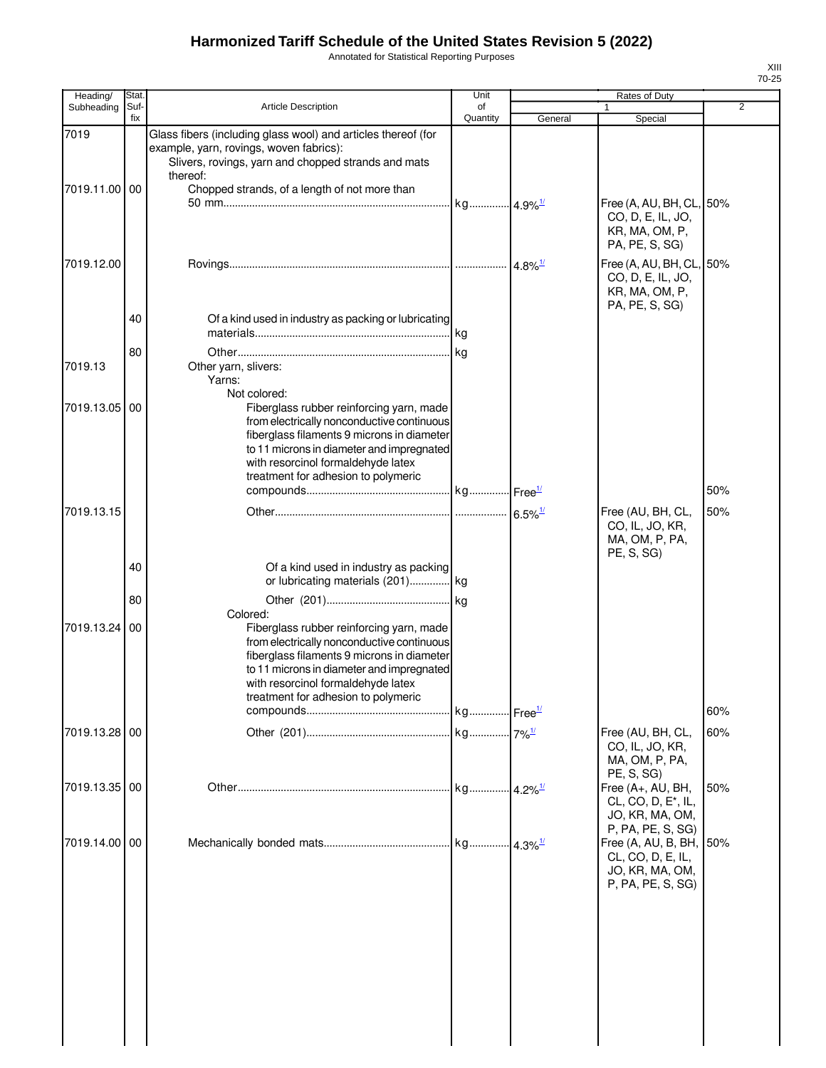Annotated for Statistical Reporting Purposes

| Heading/              | Stat.       |                                                                                                                                                                                                                                                                            | Unit                  |                       | <b>Rates of Duty</b>                                                                                      |                |
|-----------------------|-------------|----------------------------------------------------------------------------------------------------------------------------------------------------------------------------------------------------------------------------------------------------------------------------|-----------------------|-----------------------|-----------------------------------------------------------------------------------------------------------|----------------|
| Subheading            | Suf-<br>fix | <b>Article Description</b>                                                                                                                                                                                                                                                 | of<br>Quantity        | General               | 1<br>Special                                                                                              | $\overline{2}$ |
| 7019<br>7019.11.00 00 |             | Glass fibers (including glass wool) and articles thereof (for<br>example, yarn, rovings, woven fabrics):<br>Slivers, rovings, yarn and chopped strands and mats<br>thereof:<br>Chopped strands, of a length of not more than                                               |                       |                       | Free (A, AU, BH, CL, 50%<br>CO, D, E, IL, JO,<br>KR, MA, OM, P,<br>PA, PE, S, SG)                         |                |
| 7019.12.00            |             |                                                                                                                                                                                                                                                                            |                       | $4.8\%$ <sup>1/</sup> | Free (A, AU, BH, CL, 50%<br>CO, D, E, IL, JO,<br>KR, MA, OM, P,                                           |                |
|                       | 40          | Of a kind used in industry as packing or lubricating                                                                                                                                                                                                                       | lkg.                  |                       | PA, PE, S, SG)                                                                                            |                |
| 7019.13               | 80          | Other yarn, slivers:<br>Yarns:<br>Not colored:                                                                                                                                                                                                                             |                       |                       |                                                                                                           |                |
| 7019.13.05 00         |             | Fiberglass rubber reinforcing yarn, made<br>from electrically nonconductive continuous<br>fiberglass filaments 9 microns in diameter<br>to 11 microns in diameter and impregnated<br>with resorcinol formaldehyde latex<br>treatment for adhesion to polymeric             |                       |                       |                                                                                                           | 50%            |
| 7019.13.15            |             |                                                                                                                                                                                                                                                                            |                       |                       | Free (AU, BH, CL,<br>CO, IL, JO, KR,<br>MA, OM, P, PA,<br>PE, S, SG)                                      | 50%            |
|                       | 40<br>80    | Of a kind used in industry as packing<br>or lubricating materials (201) kg                                                                                                                                                                                                 |                       |                       |                                                                                                           |                |
| 7019.13.24            | 00          | Colored:<br>Fiberglass rubber reinforcing yarn, made<br>from electrically nonconductive continuous<br>fiberglass filaments 9 microns in diameter<br>to 11 microns in diameter and impregnated<br>with resorcinol formaldehyde latex<br>treatment for adhesion to polymeric |                       |                       |                                                                                                           |                |
|                       |             |                                                                                                                                                                                                                                                                            |                       |                       |                                                                                                           | 60%            |
| 7019.13.28 00         |             |                                                                                                                                                                                                                                                                            |                       |                       | Free (AU, BH, CL,<br>CO, IL, JO, KR,<br>MA, OM, P, PA,                                                    | 60%            |
| 7019.13.35 00         |             |                                                                                                                                                                                                                                                                            | kg 4.2% <sup>1/</sup> |                       | PE, S, SG)<br>Free (A+, AU, BH,<br>CL, CO, D, E <sup>*</sup> , IL,<br>JO, KR, MA, OM,                     | 50%            |
| 7019.14.00 00         |             |                                                                                                                                                                                                                                                                            |                       |                       | P, PA, PE, S, SG)<br>Free (A, AU, B, BH, 50%<br>CL, CO, D, E, IL,<br>JO, KR, MA, OM,<br>P, PA, PE, S, SG) |                |
|                       |             |                                                                                                                                                                                                                                                                            |                       |                       |                                                                                                           |                |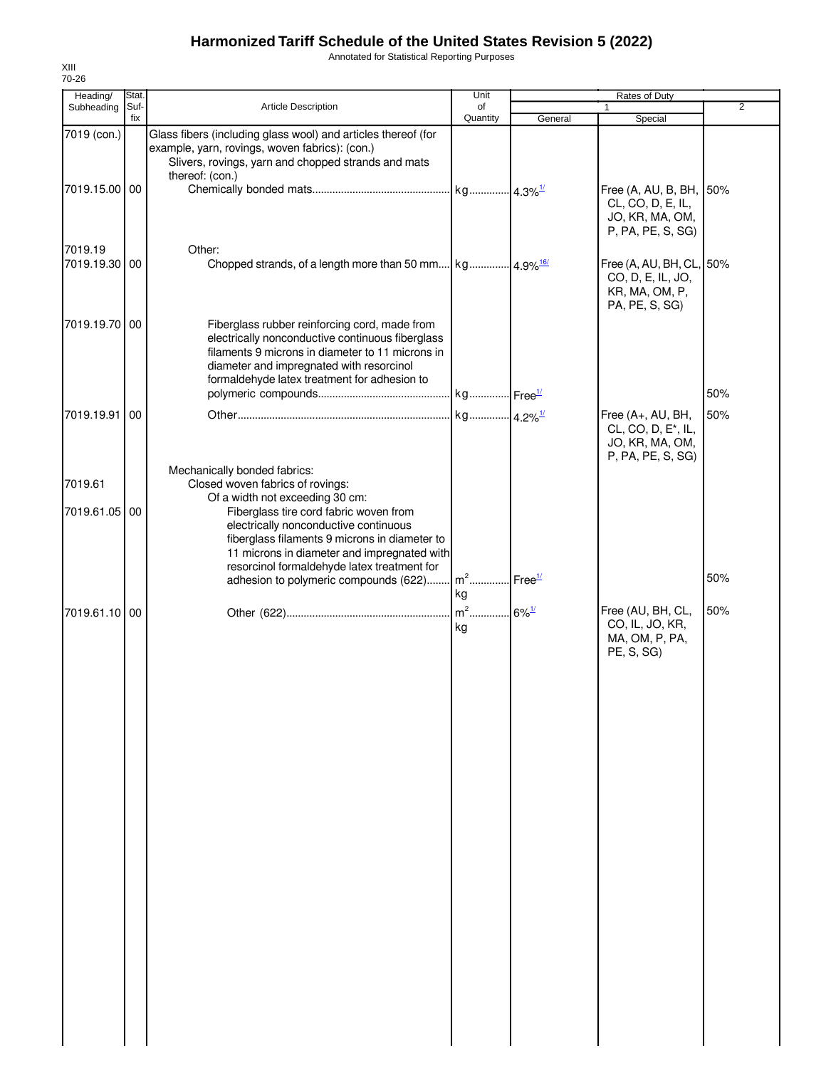Annotated for Statistical Reporting Purposes

| Heading/                 | Stat.       |                                                                                                                                                                                                                                                   | Unit                                    |         | Rates of Duty                                                                                |                |
|--------------------------|-------------|---------------------------------------------------------------------------------------------------------------------------------------------------------------------------------------------------------------------------------------------------|-----------------------------------------|---------|----------------------------------------------------------------------------------------------|----------------|
| Subheading               | Suf-<br>fix | <b>Article Description</b>                                                                                                                                                                                                                        | of<br>Quantity                          |         |                                                                                              | $\overline{2}$ |
| 7019 (con.)              |             | Glass fibers (including glass wool) and articles thereof (for<br>example, yarn, rovings, woven fabrics): (con.)<br>Slivers, rovings, yarn and chopped strands and mats<br>thereof: (con.)                                                         |                                         | General | Special                                                                                      |                |
| 7019.15.00 00            |             |                                                                                                                                                                                                                                                   |                                         |         | Free (A, AU, B, BH, 50%<br>CL, CO, D, E, IL,<br>JO, KR, MA, OM,<br>P, PA, PE, S, SG)         |                |
| 7019.19<br>7019.19.30 00 |             | Other:                                                                                                                                                                                                                                            |                                         |         | Free (A, AU, BH, CL, 50%<br>CO, D, E, IL, JO,<br>KR, MA, OM, P,<br>PA, PE, S, SG)            |                |
| 7019.19.70 00            |             | Fiberglass rubber reinforcing cord, made from<br>electrically nonconductive continuous fiberglass<br>filaments 9 microns in diameter to 11 microns in<br>diameter and impregnated with resorcinol<br>formaldehyde latex treatment for adhesion to |                                         |         |                                                                                              |                |
|                          |             |                                                                                                                                                                                                                                                   |                                         |         |                                                                                              | 50%            |
| 7019.19.91               | 00          |                                                                                                                                                                                                                                                   |                                         |         | Free (A+, AU, BH,<br>CL, CO, D, E <sup>*</sup> , IL,<br>JO, KR, MA, OM,<br>P, PA, PE, S, SG) | 50%            |
| 7019.61                  |             | Mechanically bonded fabrics:<br>Closed woven fabrics of rovings:<br>Of a width not exceeding 30 cm:                                                                                                                                               |                                         |         |                                                                                              |                |
| 7019.61.05               | 00          | Fiberglass tire cord fabric woven from<br>electrically nonconductive continuous<br>fiberglass filaments 9 microns in diameter to<br>11 microns in diameter and impregnated with                                                                   |                                         |         |                                                                                              |                |
|                          |             | resorcinol formaldehyde latex treatment for<br>adhesion to polymeric compounds (622)                                                                                                                                                              | m <sup>2</sup> Free <sup>1/</sup><br>kg |         |                                                                                              | 50%            |
| 7019.61.10 00            |             |                                                                                                                                                                                                                                                   | m <sup>2</sup> 6% <sup>1/</sup><br>kg   |         | Free (AU, BH, CL,<br>CO, IL, JO, KR,<br>MA, OM, P, PA,<br>PE, S, SG)                         | 50%            |
|                          |             |                                                                                                                                                                                                                                                   |                                         |         |                                                                                              |                |
|                          |             |                                                                                                                                                                                                                                                   |                                         |         |                                                                                              |                |
|                          |             |                                                                                                                                                                                                                                                   |                                         |         |                                                                                              |                |
|                          |             |                                                                                                                                                                                                                                                   |                                         |         |                                                                                              |                |
|                          |             |                                                                                                                                                                                                                                                   |                                         |         |                                                                                              |                |
|                          |             |                                                                                                                                                                                                                                                   |                                         |         |                                                                                              |                |
|                          |             |                                                                                                                                                                                                                                                   |                                         |         |                                                                                              |                |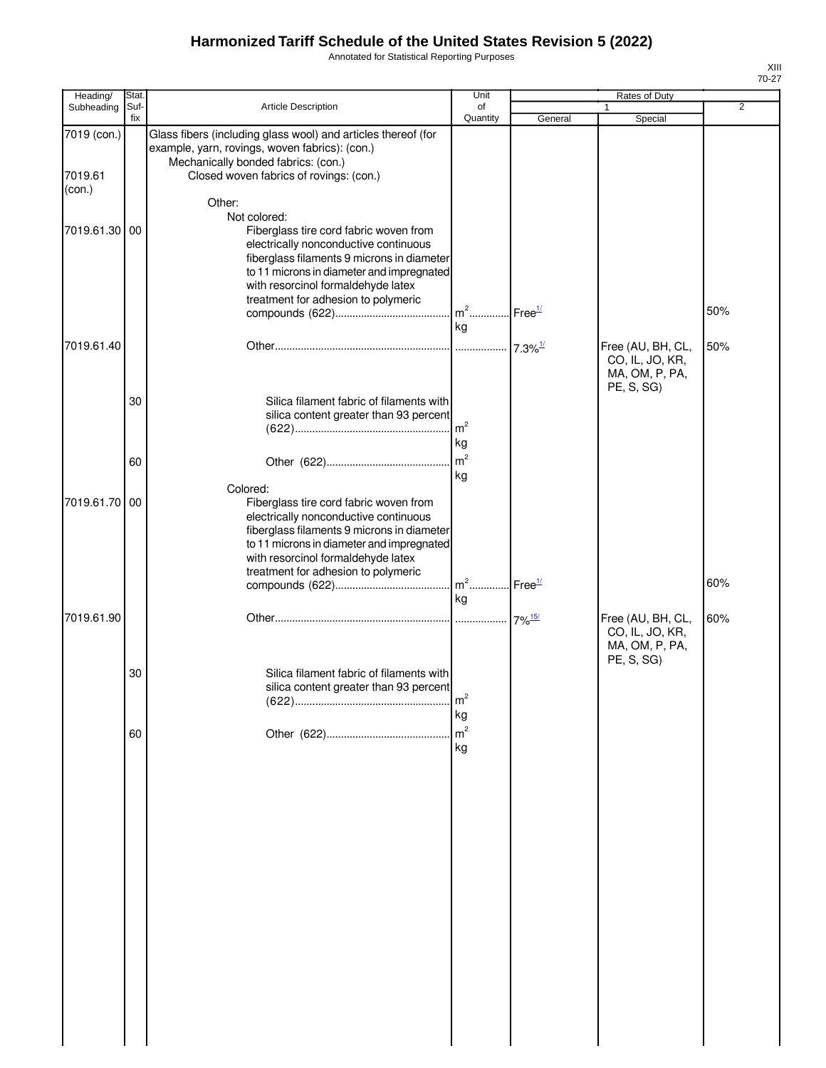Annotated for Statistical Reporting Purposes

|                                  |             |                                                                                                                                                                                                                                                                         |                                         |         |                                                                      | 70-27 |
|----------------------------------|-------------|-------------------------------------------------------------------------------------------------------------------------------------------------------------------------------------------------------------------------------------------------------------------------|-----------------------------------------|---------|----------------------------------------------------------------------|-------|
| Heading/                         | Stat.       |                                                                                                                                                                                                                                                                         | Unit                                    |         | Rates of Duty                                                        |       |
| Subheading                       | Suf-<br>fix | <b>Article Description</b>                                                                                                                                                                                                                                              | of<br>Quantity                          | General | $\mathbf{1}$<br>Special                                              | 2     |
| 7019 (con.)<br>7019.61<br>(con.) |             | Glass fibers (including glass wool) and articles thereof (for<br>example, yarn, rovings, woven fabrics): (con.)<br>Mechanically bonded fabrics: (con.)<br>Closed woven fabrics of rovings: (con.)<br>Other:                                                             |                                         |         |                                                                      |       |
| 7019.61.30 00                    |             | Not colored:<br>Fiberglass tire cord fabric woven from<br>electrically nonconductive continuous<br>fiberglass filaments 9 microns in diameter<br>to 11 microns in diameter and impregnated<br>with resorcinol formaldehyde latex<br>treatment for adhesion to polymeric | m <sup>2</sup> Free <sup>1/</sup><br>kg |         |                                                                      | 50%   |
| 7019.61.40                       |             |                                                                                                                                                                                                                                                                         |                                         |         | Free (AU, BH, CL,<br>CO, IL, JO, KR,<br>MA, OM, P, PA,<br>PE, S, SG) | 50%   |
|                                  | 30          | Silica filament fabric of filaments with<br>silica content greater than 93 percent                                                                                                                                                                                      | kg                                      |         |                                                                      |       |
|                                  | 60          | Colored:                                                                                                                                                                                                                                                                | kg                                      |         |                                                                      |       |
| 7019.61.70                       | 00          | Fiberglass tire cord fabric woven from<br>electrically nonconductive continuous<br>fiberglass filaments 9 microns in diameter<br>to 11 microns in diameter and impregnated<br>with resorcinol formaldehyde latex<br>treatment for adhesion to polymeric                 |                                         |         |                                                                      | 60%   |
|                                  |             |                                                                                                                                                                                                                                                                         | kg                                      |         |                                                                      |       |
| 7019.61.90                       |             |                                                                                                                                                                                                                                                                         |                                         |         | Free (AU, BH, CL,<br>CO, IL, JO, KR,<br>MA, OM, P, PA,<br>PE, S, SG) | 60%   |
|                                  | 30          | Silica filament fabric of filaments with<br>silica content greater than 93 percent                                                                                                                                                                                      | m <sup>2</sup><br>kg                    |         |                                                                      |       |
|                                  | 60          |                                                                                                                                                                                                                                                                         | m <sup>2</sup><br>kg                    |         |                                                                      |       |
|                                  |             |                                                                                                                                                                                                                                                                         |                                         |         |                                                                      |       |
|                                  |             |                                                                                                                                                                                                                                                                         |                                         |         |                                                                      |       |
|                                  |             |                                                                                                                                                                                                                                                                         |                                         |         |                                                                      |       |
|                                  |             |                                                                                                                                                                                                                                                                         |                                         |         |                                                                      |       |

XIII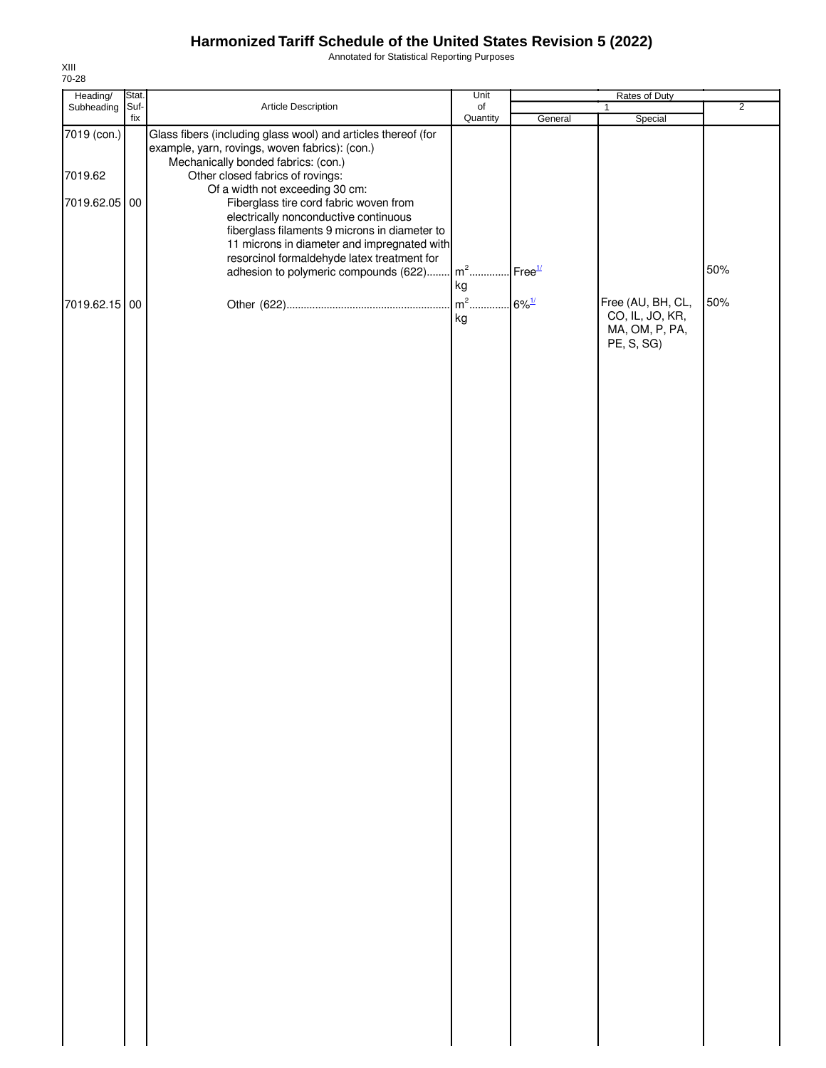Annotated for Statistical Reporting Purposes

| Heading/                             | Stat.       |                                                                                                                                                                                                                                                                                                                                                                                                                                                                                                                                     | Unit                         |         | Rates of Duty                                                        |                |
|--------------------------------------|-------------|-------------------------------------------------------------------------------------------------------------------------------------------------------------------------------------------------------------------------------------------------------------------------------------------------------------------------------------------------------------------------------------------------------------------------------------------------------------------------------------------------------------------------------------|------------------------------|---------|----------------------------------------------------------------------|----------------|
| Subheading                           | Suf-<br>fix | Article Description                                                                                                                                                                                                                                                                                                                                                                                                                                                                                                                 | $\circ$ f<br>Quantity        | General | $\mathbf{1}$<br>Special                                              | $\overline{2}$ |
| 7019 (con.)<br>7019.62<br>7019.62.05 | 00          | Glass fibers (including glass wool) and articles thereof (for<br>example, yarn, rovings, woven fabrics): (con.)<br>Mechanically bonded fabrics: (con.)<br>Other closed fabrics of rovings:<br>Of a width not exceeding 30 cm:<br>Fiberglass tire cord fabric woven from<br>electrically nonconductive continuous<br>fiberglass filaments 9 microns in diameter to<br>11 microns in diameter and impregnated with<br>resorcinol formaldehyde latex treatment for<br>adhesion to polymeric compounds $(622)$ $m^2$ Free <sup>1/</sup> | kg                           |         |                                                                      | 50%            |
| 7019.62.15 00                        |             |                                                                                                                                                                                                                                                                                                                                                                                                                                                                                                                                     | $m^2$ 6% <sup>1/</sup><br>kg |         | Free (AU, BH, CL,<br>CO, IL, JO, KR,<br>MA, OM, P, PA,<br>PE, S, SG) | 50%            |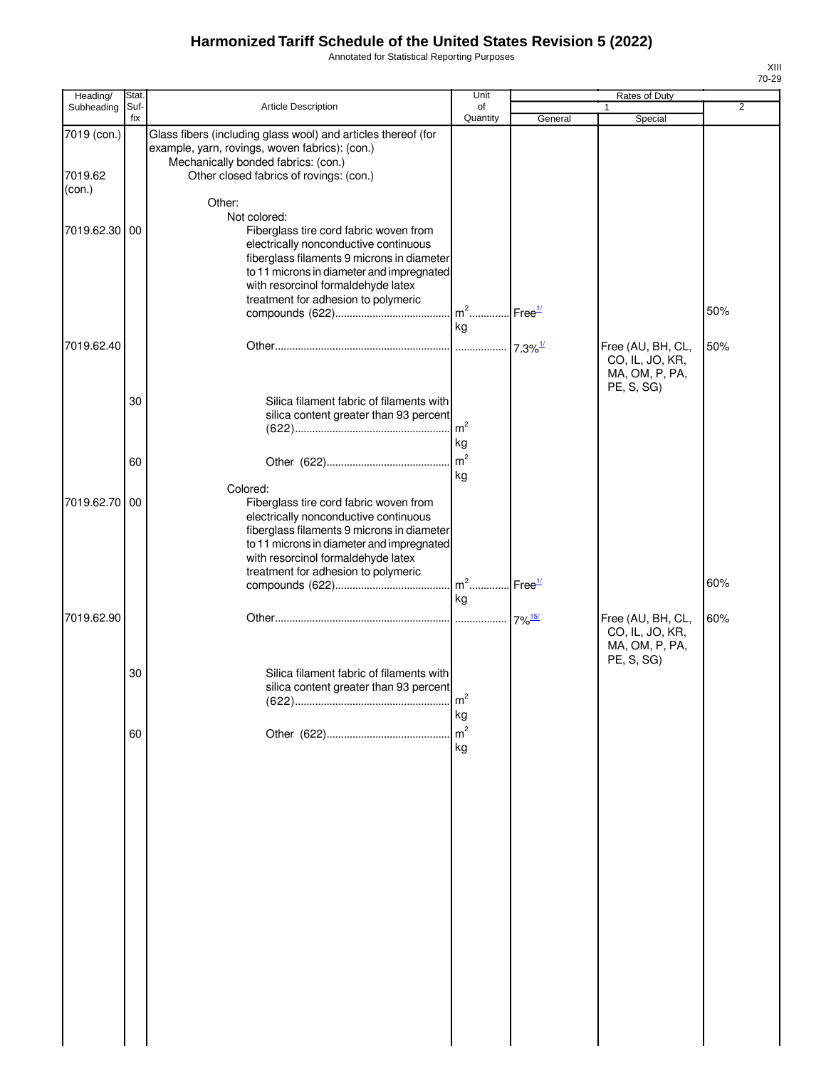7019.62 (con.)

Annotated for Statistical Reporting Purposes

| fix<br>Quantity<br>General<br>Special<br>7019 (con.)<br>Glass fibers (including glass wool) and articles thereof (for<br>example, yarn, rovings, woven fabrics): (con.)<br>Mechanically bonded fabrics: (con.)<br>Other closed fabrics of rovings: (con.)<br>Other:<br>Not colored:<br>7019.62.30 00<br>Fiberglass tire cord fabric woven from<br>electrically nonconductive continuous<br>fiberglass filaments 9 microns in diameter<br>to 11 microns in diameter and impregnated<br>with resorcinol formaldehyde latex<br>treatment for adhesion to polymeric<br>m <sup>2</sup> Free <sup>1/</sup><br>50%<br>ka<br>7019.62.40<br>Free (AU, BH, CL,<br>50%<br>CO, IL, JO, KR,<br>MA, OM, P, PA,<br>PE, S, SG)<br>30<br>Silica filament fabric of filaments with<br>silica content greater than 93 percent<br>kg<br>m <sup>2</sup><br>60<br>kg<br>Colored:<br>7019.62.70 00<br>Fiberglass tire cord fabric woven from<br>electrically nonconductive continuous<br>fiberglass filaments 9 microns in diameter<br>to 11 microns in diameter and impregnated<br>with resorcinol formaldehyde latex<br>treatment for adhesion to polymeric<br>60%<br>kg<br>7019.62.90<br>60%<br>Free (AU, BH, CL,<br>CO, IL, JO, KR,<br>MA, OM, P, PA,<br>PE, S, SG)<br>30<br>Silica filament fabric of filaments with<br>silica content greater than 93 percent<br>m <sup>2</sup><br>kg<br>m <sup>2</sup><br>60<br>kg | Heading/          | Stat. |                            | Unit<br>of | Rates of Duty<br>1 | $\overline{2}$ |
|----------------------------------------------------------------------------------------------------------------------------------------------------------------------------------------------------------------------------------------------------------------------------------------------------------------------------------------------------------------------------------------------------------------------------------------------------------------------------------------------------------------------------------------------------------------------------------------------------------------------------------------------------------------------------------------------------------------------------------------------------------------------------------------------------------------------------------------------------------------------------------------------------------------------------------------------------------------------------------------------------------------------------------------------------------------------------------------------------------------------------------------------------------------------------------------------------------------------------------------------------------------------------------------------------------------------------------------------------------------------------------------------------|-------------------|-------|----------------------------|------------|--------------------|----------------|
|                                                                                                                                                                                                                                                                                                                                                                                                                                                                                                                                                                                                                                                                                                                                                                                                                                                                                                                                                                                                                                                                                                                                                                                                                                                                                                                                                                                                    | Subheading        | Suf-  | <b>Article Description</b> |            |                    |                |
|                                                                                                                                                                                                                                                                                                                                                                                                                                                                                                                                                                                                                                                                                                                                                                                                                                                                                                                                                                                                                                                                                                                                                                                                                                                                                                                                                                                                    |                   |       |                            |            |                    |                |
|                                                                                                                                                                                                                                                                                                                                                                                                                                                                                                                                                                                                                                                                                                                                                                                                                                                                                                                                                                                                                                                                                                                                                                                                                                                                                                                                                                                                    | 7019.62<br>(con.) |       |                            |            |                    |                |
|                                                                                                                                                                                                                                                                                                                                                                                                                                                                                                                                                                                                                                                                                                                                                                                                                                                                                                                                                                                                                                                                                                                                                                                                                                                                                                                                                                                                    |                   |       |                            |            |                    |                |
|                                                                                                                                                                                                                                                                                                                                                                                                                                                                                                                                                                                                                                                                                                                                                                                                                                                                                                                                                                                                                                                                                                                                                                                                                                                                                                                                                                                                    |                   |       |                            |            |                    |                |
|                                                                                                                                                                                                                                                                                                                                                                                                                                                                                                                                                                                                                                                                                                                                                                                                                                                                                                                                                                                                                                                                                                                                                                                                                                                                                                                                                                                                    |                   |       |                            |            |                    |                |
|                                                                                                                                                                                                                                                                                                                                                                                                                                                                                                                                                                                                                                                                                                                                                                                                                                                                                                                                                                                                                                                                                                                                                                                                                                                                                                                                                                                                    |                   |       |                            |            |                    |                |
|                                                                                                                                                                                                                                                                                                                                                                                                                                                                                                                                                                                                                                                                                                                                                                                                                                                                                                                                                                                                                                                                                                                                                                                                                                                                                                                                                                                                    |                   |       |                            |            |                    |                |
|                                                                                                                                                                                                                                                                                                                                                                                                                                                                                                                                                                                                                                                                                                                                                                                                                                                                                                                                                                                                                                                                                                                                                                                                                                                                                                                                                                                                    |                   |       |                            |            |                    |                |
|                                                                                                                                                                                                                                                                                                                                                                                                                                                                                                                                                                                                                                                                                                                                                                                                                                                                                                                                                                                                                                                                                                                                                                                                                                                                                                                                                                                                    |                   |       |                            |            |                    |                |
|                                                                                                                                                                                                                                                                                                                                                                                                                                                                                                                                                                                                                                                                                                                                                                                                                                                                                                                                                                                                                                                                                                                                                                                                                                                                                                                                                                                                    |                   |       |                            |            |                    |                |
|                                                                                                                                                                                                                                                                                                                                                                                                                                                                                                                                                                                                                                                                                                                                                                                                                                                                                                                                                                                                                                                                                                                                                                                                                                                                                                                                                                                                    |                   |       |                            |            |                    |                |
|                                                                                                                                                                                                                                                                                                                                                                                                                                                                                                                                                                                                                                                                                                                                                                                                                                                                                                                                                                                                                                                                                                                                                                                                                                                                                                                                                                                                    |                   |       |                            |            |                    |                |
|                                                                                                                                                                                                                                                                                                                                                                                                                                                                                                                                                                                                                                                                                                                                                                                                                                                                                                                                                                                                                                                                                                                                                                                                                                                                                                                                                                                                    |                   |       |                            |            |                    |                |
|                                                                                                                                                                                                                                                                                                                                                                                                                                                                                                                                                                                                                                                                                                                                                                                                                                                                                                                                                                                                                                                                                                                                                                                                                                                                                                                                                                                                    |                   |       |                            |            |                    |                |
|                                                                                                                                                                                                                                                                                                                                                                                                                                                                                                                                                                                                                                                                                                                                                                                                                                                                                                                                                                                                                                                                                                                                                                                                                                                                                                                                                                                                    |                   |       |                            |            |                    |                |
|                                                                                                                                                                                                                                                                                                                                                                                                                                                                                                                                                                                                                                                                                                                                                                                                                                                                                                                                                                                                                                                                                                                                                                                                                                                                                                                                                                                                    |                   |       |                            |            |                    |                |
|                                                                                                                                                                                                                                                                                                                                                                                                                                                                                                                                                                                                                                                                                                                                                                                                                                                                                                                                                                                                                                                                                                                                                                                                                                                                                                                                                                                                    |                   |       |                            |            |                    |                |
|                                                                                                                                                                                                                                                                                                                                                                                                                                                                                                                                                                                                                                                                                                                                                                                                                                                                                                                                                                                                                                                                                                                                                                                                                                                                                                                                                                                                    |                   |       |                            |            |                    |                |
|                                                                                                                                                                                                                                                                                                                                                                                                                                                                                                                                                                                                                                                                                                                                                                                                                                                                                                                                                                                                                                                                                                                                                                                                                                                                                                                                                                                                    |                   |       |                            |            |                    |                |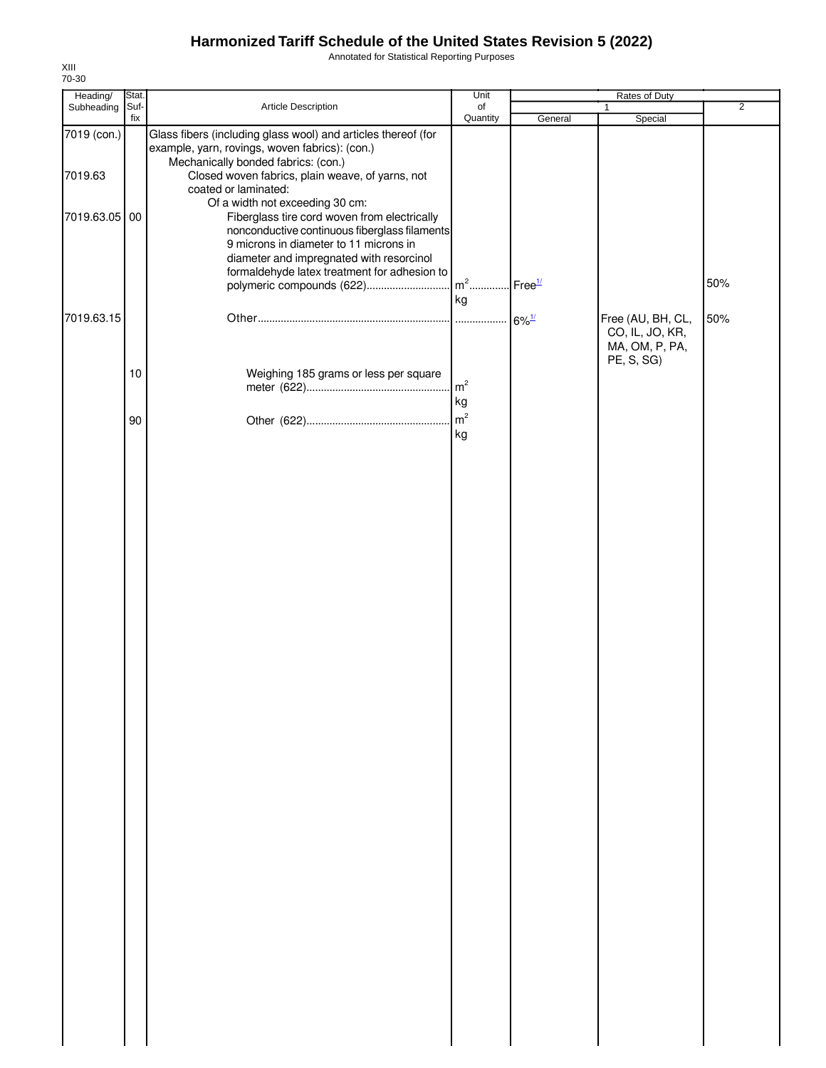Annotated for Statistical Reporting Purposes

| Heading/      | Stat. |                                                                                                                                                                                     | Unit                 |         | Rates of Duty                                                        |                |
|---------------|-------|-------------------------------------------------------------------------------------------------------------------------------------------------------------------------------------|----------------------|---------|----------------------------------------------------------------------|----------------|
| Subheading    | Suf-  | Article Description                                                                                                                                                                 | of                   |         | $\mathbf{1}$                                                         | $\overline{2}$ |
| 7019 (con.)   | fix   | Glass fibers (including glass wool) and articles thereof (for<br>example, yarn, rovings, woven fabrics): (con.)                                                                     | Quantity             | General | Special                                                              |                |
| 7019.63       |       | Mechanically bonded fabrics: (con.)<br>Closed woven fabrics, plain weave, of yarns, not<br>coated or laminated:<br>Of a width not exceeding 30 cm:                                  |                      |         |                                                                      |                |
| 7019.63.05 00 |       | Fiberglass tire cord woven from electrically<br>nonconductive continuous fiberglass filaments<br>9 microns in diameter to 11 microns in<br>diameter and impregnated with resorcinol |                      |         |                                                                      |                |
|               |       | formaldehyde latex treatment for adhesion to                                                                                                                                        | kg                   |         |                                                                      | 50%            |
| 7019.63.15    |       |                                                                                                                                                                                     |                      |         | Free (AU, BH, CL,<br>CO, IL, JO, KR,<br>MA, OM, P, PA,<br>PE, S, SG) | 50%            |
|               | $10$  | Weighing 185 grams or less per square                                                                                                                                               | $\mathsf{m}^2$<br>kg |         |                                                                      |                |
|               | 90    |                                                                                                                                                                                     | m <sup>2</sup><br>kg |         |                                                                      |                |
|               |       |                                                                                                                                                                                     |                      |         |                                                                      |                |
|               |       |                                                                                                                                                                                     |                      |         |                                                                      |                |
|               |       |                                                                                                                                                                                     |                      |         |                                                                      |                |
|               |       |                                                                                                                                                                                     |                      |         |                                                                      |                |
|               |       |                                                                                                                                                                                     |                      |         |                                                                      |                |
|               |       |                                                                                                                                                                                     |                      |         |                                                                      |                |
|               |       |                                                                                                                                                                                     |                      |         |                                                                      |                |
|               |       |                                                                                                                                                                                     |                      |         |                                                                      |                |
|               |       |                                                                                                                                                                                     |                      |         |                                                                      |                |
|               |       |                                                                                                                                                                                     |                      |         |                                                                      |                |
|               |       |                                                                                                                                                                                     |                      |         |                                                                      |                |
|               |       |                                                                                                                                                                                     |                      |         |                                                                      |                |
|               |       |                                                                                                                                                                                     |                      |         |                                                                      |                |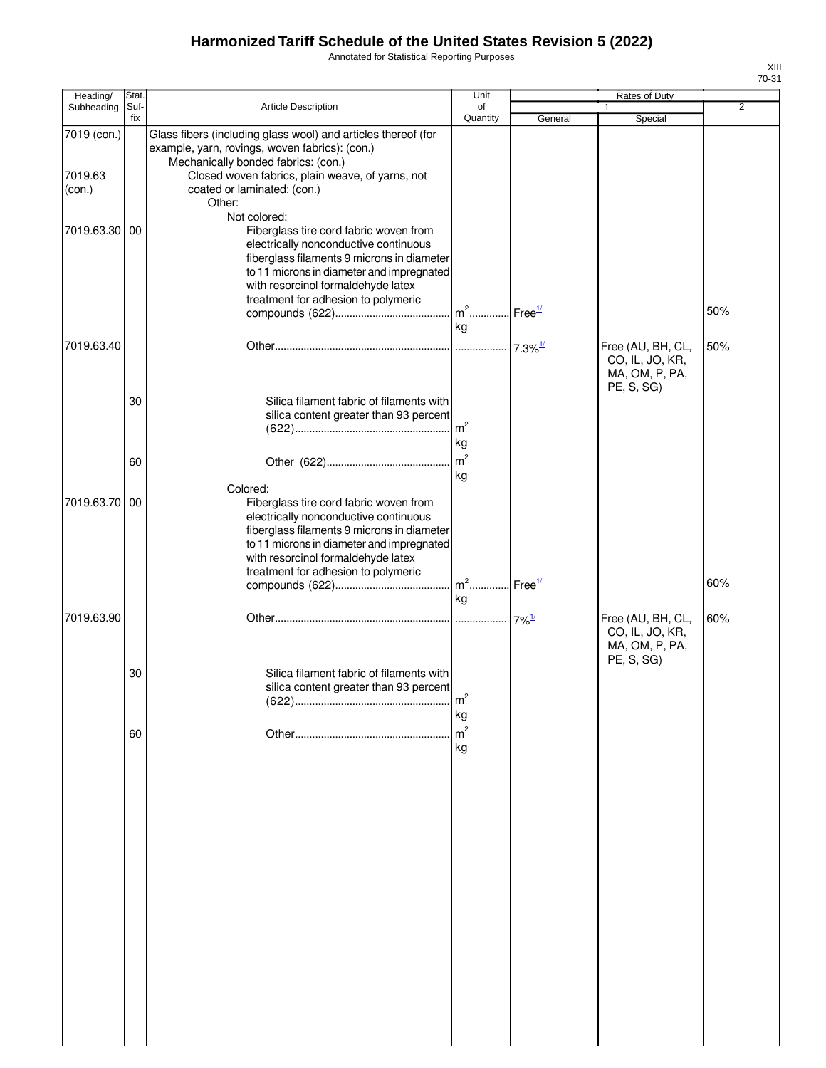Annotated for Statistical Reporting Purposes

| Heading/<br>Subheading           | Stat.<br>Suf- | Article Description                                                                                                                                                                                                                                                     | Unit<br>of                     |                    | Rates of Duty                                                        | $\overline{2}$ |
|----------------------------------|---------------|-------------------------------------------------------------------------------------------------------------------------------------------------------------------------------------------------------------------------------------------------------------------------|--------------------------------|--------------------|----------------------------------------------------------------------|----------------|
|                                  | fix           |                                                                                                                                                                                                                                                                         | Quantity                       | General            | Special                                                              |                |
| 7019 (con.)<br>7019.63<br>(con.) |               | Glass fibers (including glass wool) and articles thereof (for<br>example, yarn, rovings, woven fabrics): (con.)<br>Mechanically bonded fabrics: (con.)<br>Closed woven fabrics, plain weave, of yarns, not<br>coated or laminated: (con.)<br>Other:                     |                                |                    |                                                                      |                |
| 7019.63.30                       | 00            | Not colored:<br>Fiberglass tire cord fabric woven from<br>electrically nonconductive continuous<br>fiberglass filaments 9 microns in diameter<br>to 11 microns in diameter and impregnated<br>with resorcinol formaldehyde latex<br>treatment for adhesion to polymeric | $m^2$ Free <sup>1/</sup><br>kg |                    |                                                                      | 50%            |
| 7019.63.40                       |               |                                                                                                                                                                                                                                                                         |                                |                    | Free (AU, BH, CL,<br>CO, IL, JO, KR,<br>MA, OM, P, PA,<br>PE, S, SG) | 50%            |
|                                  | 30            | Silica filament fabric of filaments with<br>silica content greater than 93 percent                                                                                                                                                                                      | $\mathsf{Im}^2$<br>kg          |                    |                                                                      |                |
|                                  | 60            | Colored:                                                                                                                                                                                                                                                                | m <sup>2</sup><br>kg           |                    |                                                                      |                |
| 7019.63.70                       | 00            | Fiberglass tire cord fabric woven from<br>electrically nonconductive continuous<br>fiberglass filaments 9 microns in diameter<br>to 11 microns in diameter and impregnated<br>with resorcinol formaldehyde latex<br>treatment for adhesion to polymeric                 | $m^2$                          | Free <sup>1/</sup> |                                                                      | 60%            |
| 7019.63.90                       |               |                                                                                                                                                                                                                                                                         | kg                             |                    | Free (AU, BH, CL,<br>CO, IL, JO, KR,<br>MA, OM, P, PA,               | 60%            |
|                                  | 30            | Silica filament fabric of filaments with<br>silica content greater than 93 percent                                                                                                                                                                                      | m <sup>2</sup><br>kg           |                    | PE, S, SG)                                                           |                |
|                                  | 60            |                                                                                                                                                                                                                                                                         | m <sup>2</sup><br>kg           |                    |                                                                      |                |
|                                  |               |                                                                                                                                                                                                                                                                         |                                |                    |                                                                      |                |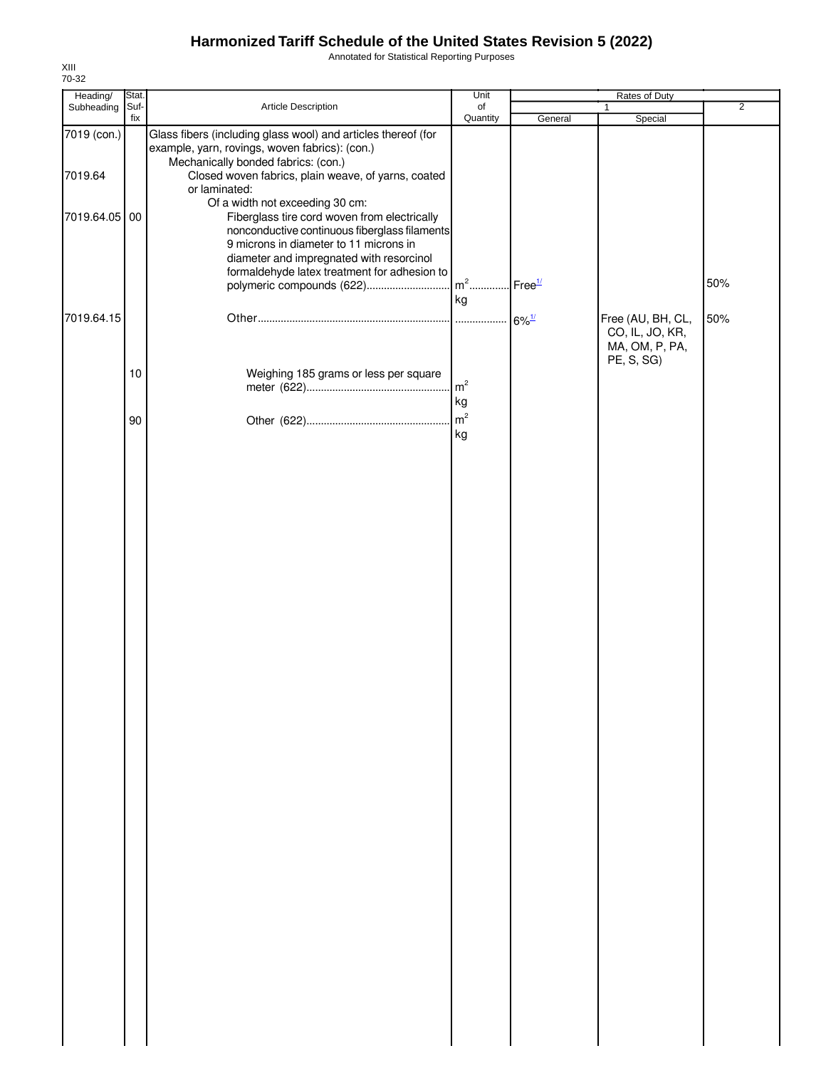Annotated for Statistical Reporting Purposes

| Heading/      | Stat. |                                                                                                                                                                                                                                                                  | Unit                     |                                  | Rates of Duty                                          |                |
|---------------|-------|------------------------------------------------------------------------------------------------------------------------------------------------------------------------------------------------------------------------------------------------------------------|--------------------------|----------------------------------|--------------------------------------------------------|----------------|
| Subheading    | Suf-  | Article Description                                                                                                                                                                                                                                              | of                       |                                  | 1                                                      | $\overline{2}$ |
| 7019 (con.)   | fix   | Glass fibers (including glass wool) and articles thereof (for<br>example, yarn, rovings, woven fabrics): (con.)<br>Mechanically bonded fabrics: (con.)                                                                                                           | Quantity                 | General                          | Special                                                |                |
| 7019.64       |       | Closed woven fabrics, plain weave, of yarns, coated<br>or laminated:<br>Of a width not exceeding 30 cm:                                                                                                                                                          |                          |                                  |                                                        |                |
| 7019.64.05 00 |       | Fiberglass tire cord woven from electrically<br>nonconductive continuous fiberglass filaments<br>9 microns in diameter to 11 microns in<br>diameter and impregnated with resorcinol<br>formaldehyde latex treatment for adhesion to<br>polymeric compounds (622) | $m2$                     | Free <sup>1/</sup>               |                                                        | 50%            |
|               |       |                                                                                                                                                                                                                                                                  | kg                       |                                  |                                                        |                |
| 7019.64.15    |       |                                                                                                                                                                                                                                                                  |                          | $6\%$ <sup><math>1/</math></sup> | Free (AU, BH, CL,<br>CO, IL, JO, KR,<br>MA, OM, P, PA, | 50%            |
|               | 10    | Weighing 185 grams or less per square                                                                                                                                                                                                                            | $\mathsf{m}^2$           |                                  | PE, S, SG)                                             |                |
|               | 90    |                                                                                                                                                                                                                                                                  | kg<br>$\sqrt{m^2}$<br>kg |                                  |                                                        |                |
|               |       |                                                                                                                                                                                                                                                                  |                          |                                  |                                                        |                |
|               |       |                                                                                                                                                                                                                                                                  |                          |                                  |                                                        |                |
|               |       |                                                                                                                                                                                                                                                                  |                          |                                  |                                                        |                |
|               |       |                                                                                                                                                                                                                                                                  |                          |                                  |                                                        |                |
|               |       |                                                                                                                                                                                                                                                                  |                          |                                  |                                                        |                |
|               |       |                                                                                                                                                                                                                                                                  |                          |                                  |                                                        |                |
|               |       |                                                                                                                                                                                                                                                                  |                          |                                  |                                                        |                |
|               |       |                                                                                                                                                                                                                                                                  |                          |                                  |                                                        |                |
|               |       |                                                                                                                                                                                                                                                                  |                          |                                  |                                                        |                |
|               |       |                                                                                                                                                                                                                                                                  |                          |                                  |                                                        |                |
|               |       |                                                                                                                                                                                                                                                                  |                          |                                  |                                                        |                |
|               |       |                                                                                                                                                                                                                                                                  |                          |                                  |                                                        |                |
|               |       |                                                                                                                                                                                                                                                                  |                          |                                  |                                                        |                |
|               |       |                                                                                                                                                                                                                                                                  |                          |                                  |                                                        |                |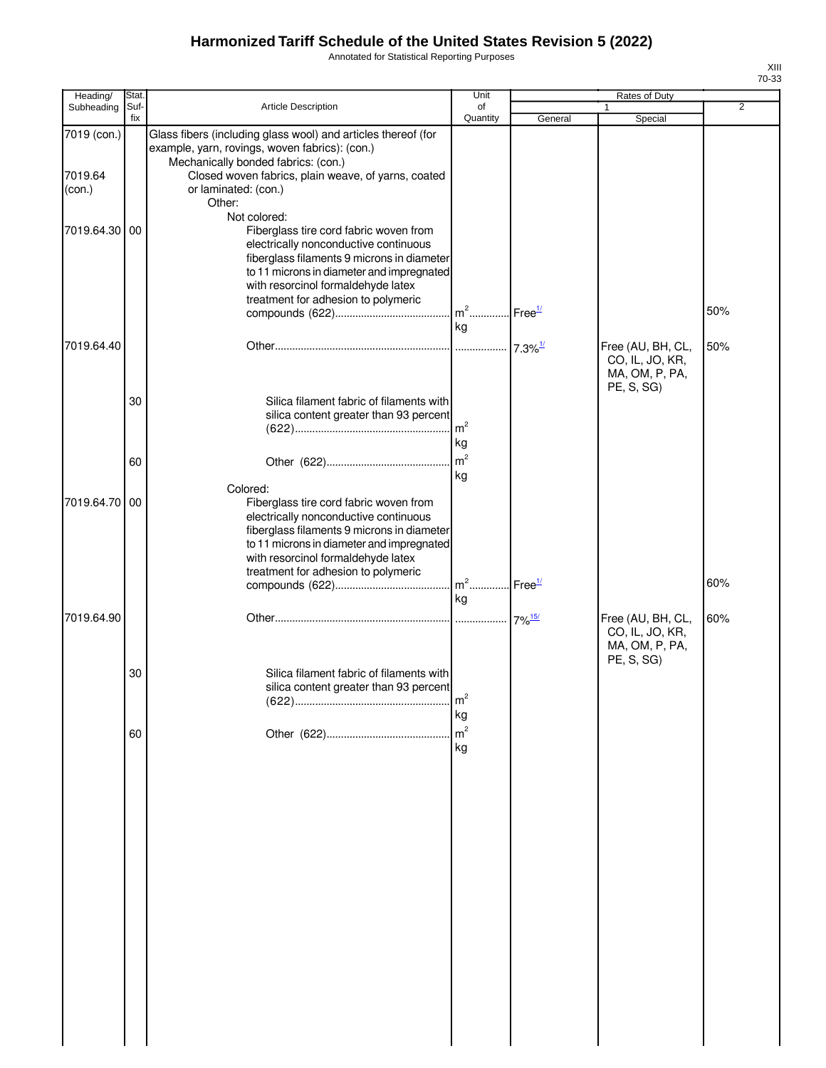Annotated for Statistical Reporting Purposes

| Heading/                         | Stat.       |                                                                                                                                                                                                                                                                         | Unit                 |         | Rates of Duty                                                        |                |
|----------------------------------|-------------|-------------------------------------------------------------------------------------------------------------------------------------------------------------------------------------------------------------------------------------------------------------------------|----------------------|---------|----------------------------------------------------------------------|----------------|
| Subheading                       | Suf-<br>fix | Article Description                                                                                                                                                                                                                                                     | of<br>Quantity       | General | 1<br>Special                                                         | $\overline{2}$ |
| 7019 (con.)<br>7019.64<br>(con.) |             | Glass fibers (including glass wool) and articles thereof (for<br>example, yarn, rovings, woven fabrics): (con.)<br>Mechanically bonded fabrics: (con.)<br>Closed woven fabrics, plain weave, of yarns, coated<br>or laminated: (con.)<br>Other:                         |                      |         |                                                                      |                |
| 7019.64.30 00                    |             | Not colored:<br>Fiberglass tire cord fabric woven from<br>electrically nonconductive continuous<br>fiberglass filaments 9 microns in diameter<br>to 11 microns in diameter and impregnated<br>with resorcinol formaldehyde latex<br>treatment for adhesion to polymeric | kg                   |         |                                                                      | 50%            |
| 7019.64.40                       |             |                                                                                                                                                                                                                                                                         |                      |         | Free (AU, BH, CL,<br>CO, IL, JO, KR,<br>MA, OM, P, PA,<br>PE, S, SG) | 50%            |
|                                  | 30          | Silica filament fabric of filaments with<br>silica content greater than 93 percent                                                                                                                                                                                      | m <sup>2</sup><br>kg |         |                                                                      |                |
|                                  | 60          | Colored:                                                                                                                                                                                                                                                                | m <sup>2</sup><br>kg |         |                                                                      |                |
| 7019.64.70 00                    |             | Fiberglass tire cord fabric woven from<br>electrically nonconductive continuous<br>fiberglass filaments 9 microns in diameter<br>to 11 microns in diameter and impregnated<br>with resorcinol formaldehyde latex<br>treatment for adhesion to polymeric                 |                      |         |                                                                      | 60%            |
| 7019.64.90                       |             |                                                                                                                                                                                                                                                                         | kg                   |         | Free (AU, BH, CL,<br>CO, IL, JO, KR,<br>MA, OM, P, PA,               | 60%            |
|                                  | 30          | Silica filament fabric of filaments with<br>silica content greater than 93 percent                                                                                                                                                                                      | m <sup>2</sup><br>kg |         | PE, S, SG)                                                           |                |
|                                  | 60          |                                                                                                                                                                                                                                                                         | m <sup>2</sup><br>kg |         |                                                                      |                |
|                                  |             |                                                                                                                                                                                                                                                                         |                      |         |                                                                      |                |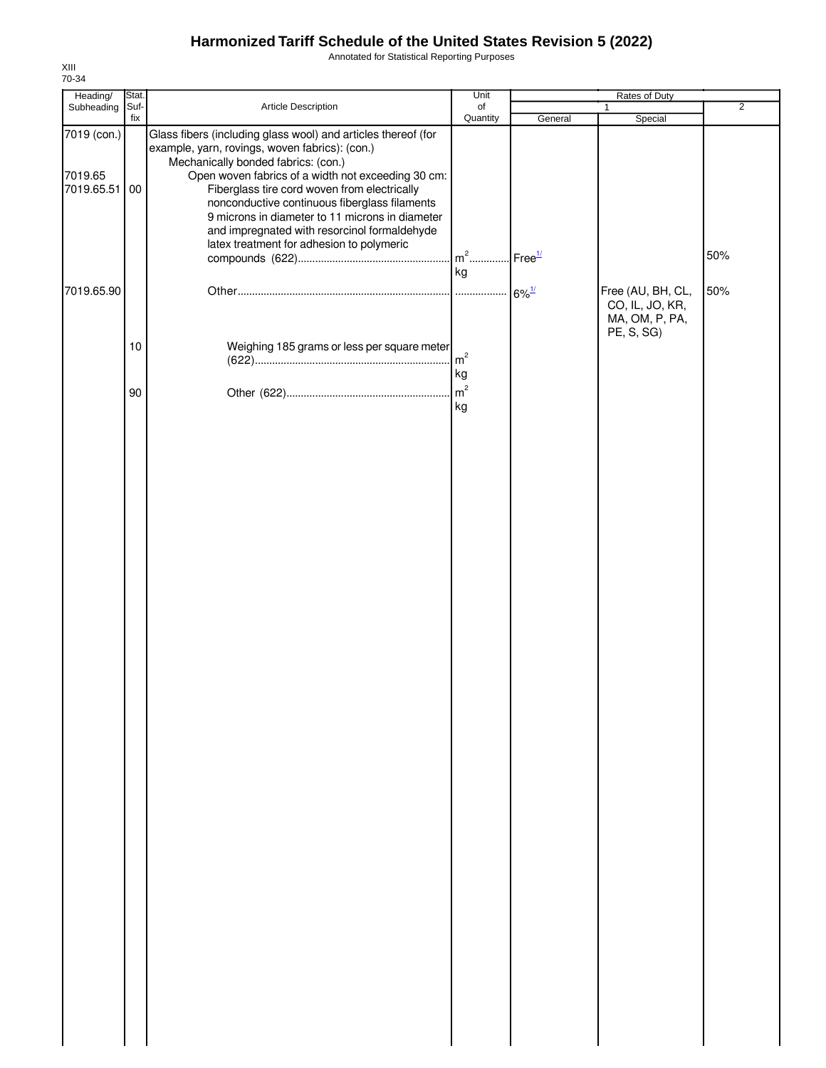Annotated for Statistical Reporting Purposes

| Heading/               | Stat. |                                                                                                                                                                                                              | Unit           |                                  | Rates of Duty                                          |                |
|------------------------|-------|--------------------------------------------------------------------------------------------------------------------------------------------------------------------------------------------------------------|----------------|----------------------------------|--------------------------------------------------------|----------------|
| Subheading             | Suf-  | Article Description                                                                                                                                                                                          | of             |                                  | $\mathbf{1}$                                           | $\overline{2}$ |
|                        | fix   |                                                                                                                                                                                                              | Quantity       | General                          | Special                                                |                |
| 7019 (con.)<br>7019.65 |       | Glass fibers (including glass wool) and articles thereof (for<br>example, yarn, rovings, woven fabrics): (con.)<br>Mechanically bonded fabrics: (con.)<br>Open woven fabrics of a width not exceeding 30 cm: |                |                                  |                                                        |                |
| 7019.65.51             | 00    | Fiberglass tire cord woven from electrically<br>nonconductive continuous fiberglass filaments                                                                                                                |                |                                  |                                                        |                |
|                        |       | 9 microns in diameter to 11 microns in diameter<br>and impregnated with resorcinol formaldehyde<br>latex treatment for adhesion to polymeric                                                                 |                |                                  |                                                        |                |
|                        |       |                                                                                                                                                                                                              | $m2$ .<br>kg   | Free <sup>1/</sup>               |                                                        | 50%            |
| 7019.65.90             |       |                                                                                                                                                                                                              |                | $6\%$ <sup><math>1/</math></sup> | Free (AU, BH, CL,<br>CO, IL, JO, KR,<br>MA, OM, P, PA, | 50%            |
|                        | 10    | Weighing 185 grams or less per square meter                                                                                                                                                                  | $\mathsf{m}^2$ |                                  | PE, S, SG)                                             |                |
|                        |       |                                                                                                                                                                                                              | kg             |                                  |                                                        |                |
|                        | 90    |                                                                                                                                                                                                              | kg             |                                  |                                                        |                |
|                        |       |                                                                                                                                                                                                              |                |                                  |                                                        |                |
|                        |       |                                                                                                                                                                                                              |                |                                  |                                                        |                |
|                        |       |                                                                                                                                                                                                              |                |                                  |                                                        |                |
|                        |       |                                                                                                                                                                                                              |                |                                  |                                                        |                |
|                        |       |                                                                                                                                                                                                              |                |                                  |                                                        |                |
|                        |       |                                                                                                                                                                                                              |                |                                  |                                                        |                |
|                        |       |                                                                                                                                                                                                              |                |                                  |                                                        |                |
|                        |       |                                                                                                                                                                                                              |                |                                  |                                                        |                |
|                        |       |                                                                                                                                                                                                              |                |                                  |                                                        |                |
|                        |       |                                                                                                                                                                                                              |                |                                  |                                                        |                |
|                        |       |                                                                                                                                                                                                              |                |                                  |                                                        |                |
|                        |       |                                                                                                                                                                                                              |                |                                  |                                                        |                |
|                        |       |                                                                                                                                                                                                              |                |                                  |                                                        |                |
|                        |       |                                                                                                                                                                                                              |                |                                  |                                                        |                |
|                        |       |                                                                                                                                                                                                              |                |                                  |                                                        |                |
|                        |       |                                                                                                                                                                                                              |                |                                  |                                                        |                |
|                        |       |                                                                                                                                                                                                              |                |                                  |                                                        |                |
|                        |       |                                                                                                                                                                                                              |                |                                  |                                                        |                |
|                        |       |                                                                                                                                                                                                              |                |                                  |                                                        |                |
|                        |       |                                                                                                                                                                                                              |                |                                  |                                                        |                |
|                        |       |                                                                                                                                                                                                              |                |                                  |                                                        |                |
|                        |       |                                                                                                                                                                                                              |                |                                  |                                                        |                |
|                        |       |                                                                                                                                                                                                              |                |                                  |                                                        |                |
|                        |       |                                                                                                                                                                                                              |                |                                  |                                                        |                |
|                        |       |                                                                                                                                                                                                              |                |                                  |                                                        |                |
|                        |       |                                                                                                                                                                                                              |                |                                  |                                                        |                |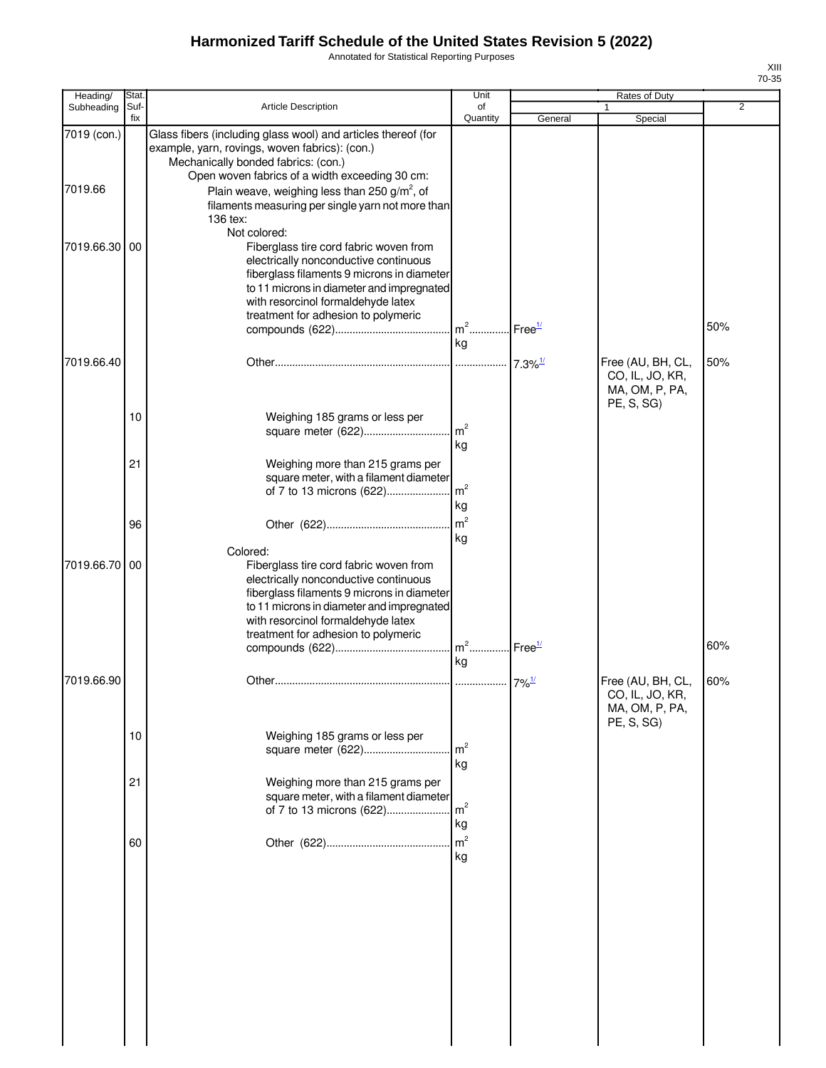Annotated for Statistical Reporting Purposes

| Heading/               | Stat.       |                                                                                                                                                                                                                                                                                                                                        | Unit                 |                    | Rates of Duty                                                        |                |
|------------------------|-------------|----------------------------------------------------------------------------------------------------------------------------------------------------------------------------------------------------------------------------------------------------------------------------------------------------------------------------------------|----------------------|--------------------|----------------------------------------------------------------------|----------------|
| Subheading             | Suf-<br>fix | Article Description                                                                                                                                                                                                                                                                                                                    | of<br>Quantity       | General            | 1<br>Special                                                         | $\overline{2}$ |
| 7019 (con.)<br>7019.66 |             | Glass fibers (including glass wool) and articles thereof (for<br>example, yarn, rovings, woven fabrics): (con.)<br>Mechanically bonded fabrics: (con.)<br>Open woven fabrics of a width exceeding 30 cm:<br>Plain weave, weighing less than 250 g/m <sup>2</sup> , of<br>filaments measuring per single yarn not more than<br>136 tex: |                      |                    |                                                                      |                |
| 7019.66.30 00          |             | Not colored:<br>Fiberglass tire cord fabric woven from<br>electrically nonconductive continuous<br>fiberglass filaments 9 microns in diameter<br>to 11 microns in diameter and impregnated<br>with resorcinol formaldehyde latex<br>treatment for adhesion to polymeric                                                                | $m^2$<br>kg          | Free <sup>1/</sup> |                                                                      | 50%            |
| 7019.66.40             |             |                                                                                                                                                                                                                                                                                                                                        |                      |                    | Free (AU, BH, CL,<br>CO, IL, JO, KR,<br>MA, OM, P, PA,               | 50%            |
|                        | 10          | Weighing 185 grams or less per<br>square meter (622)                                                                                                                                                                                                                                                                                   | m <sup>2</sup><br>kg |                    | PE, S, SG)                                                           |                |
|                        | 21          | Weighing more than 215 grams per<br>square meter, with a filament diameter<br>of 7 to 13 microns (622)                                                                                                                                                                                                                                 | m <sup>2</sup><br>kg |                    |                                                                      |                |
|                        | 96          | Colored:                                                                                                                                                                                                                                                                                                                               | m <sup>2</sup><br>kg |                    |                                                                      |                |
| 7019.66.70             | 00          | Fiberglass tire cord fabric woven from<br>electrically nonconductive continuous<br>fiberglass filaments 9 microns in diameter<br>to 11 microns in diameter and impregnated<br>with resorcinol formaldehyde latex<br>treatment for adhesion to polymeric                                                                                | kg                   |                    |                                                                      | 60%            |
| 7019.66.90             |             |                                                                                                                                                                                                                                                                                                                                        |                      |                    | Free (AU, BH, CL,<br>CO, IL, JO, KR,<br>MA, OM, P, PA,<br>PE, S, SG) | 60%            |
|                        | 10          | Weighing 185 grams or less per<br>square meter (622)                                                                                                                                                                                                                                                                                   | m <sup>2</sup><br>kg |                    |                                                                      |                |
|                        | 21          | Weighing more than 215 grams per<br>square meter, with a filament diameter<br>of 7 to 13 microns (622)                                                                                                                                                                                                                                 | m <sup>2</sup><br>kg |                    |                                                                      |                |
|                        | 60          |                                                                                                                                                                                                                                                                                                                                        | m <sup>2</sup><br>kg |                    |                                                                      |                |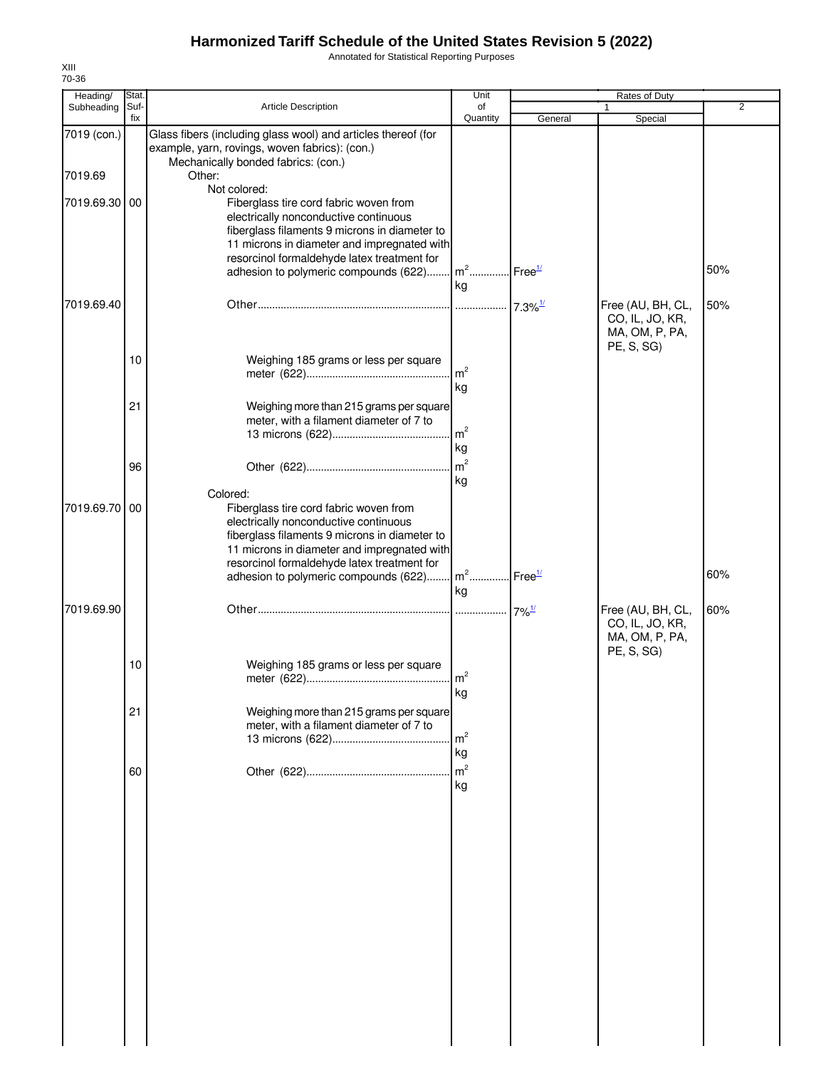Annotated for Statistical Reporting Purposes

| Article Description<br>Subheading<br>Suf-<br>of<br>fix<br>Quantity<br>General<br>Special<br>7019 (con.)<br>Glass fibers (including glass wool) and articles thereof (for<br>example, yarn, rovings, woven fabrics): (con.)<br>Mechanically bonded fabrics: (con.)<br>7019.69<br>Other:<br>Not colored: | $\overline{2}$ |
|--------------------------------------------------------------------------------------------------------------------------------------------------------------------------------------------------------------------------------------------------------------------------------------------------------|----------------|
|                                                                                                                                                                                                                                                                                                        |                |
|                                                                                                                                                                                                                                                                                                        |                |
|                                                                                                                                                                                                                                                                                                        |                |
|                                                                                                                                                                                                                                                                                                        |                |
|                                                                                                                                                                                                                                                                                                        |                |
|                                                                                                                                                                                                                                                                                                        |                |
| 7019.69.30 00<br>Fiberglass tire cord fabric woven from                                                                                                                                                                                                                                                |                |
| electrically nonconductive continuous<br>fiberglass filaments 9 microns in diameter to                                                                                                                                                                                                                 |                |
| 11 microns in diameter and impregnated with                                                                                                                                                                                                                                                            |                |
| resorcinol formaldehyde latex treatment for                                                                                                                                                                                                                                                            |                |
| m <sup>2</sup> Free <sup>1/</sup><br>adhesion to polymeric compounds (622)                                                                                                                                                                                                                             | 50%            |
| kg                                                                                                                                                                                                                                                                                                     |                |
| 7019.69.40<br>Free (AU, BH, CL,                                                                                                                                                                                                                                                                        | 50%            |
| CO, IL, JO, KR,                                                                                                                                                                                                                                                                                        |                |
| MA, OM, P, PA,<br>PE, S, SG)                                                                                                                                                                                                                                                                           |                |
| 10<br>Weighing 185 grams or less per square                                                                                                                                                                                                                                                            |                |
| m <sup>2</sup>                                                                                                                                                                                                                                                                                         |                |
| kg                                                                                                                                                                                                                                                                                                     |                |
| 21<br>Weighing more than 215 grams per square                                                                                                                                                                                                                                                          |                |
| meter, with a filament diameter of 7 to                                                                                                                                                                                                                                                                |                |
| m <sup>2</sup>                                                                                                                                                                                                                                                                                         |                |
| kg                                                                                                                                                                                                                                                                                                     |                |
| m <sup>2</sup><br>96                                                                                                                                                                                                                                                                                   |                |
| kg                                                                                                                                                                                                                                                                                                     |                |
| Colored:<br>7019.69.70<br>00<br>Fiberglass tire cord fabric woven from                                                                                                                                                                                                                                 |                |
| electrically nonconductive continuous                                                                                                                                                                                                                                                                  |                |
| fiberglass filaments 9 microns in diameter to                                                                                                                                                                                                                                                          |                |
| 11 microns in diameter and impregnated with                                                                                                                                                                                                                                                            |                |
| resorcinol formaldehyde latex treatment for                                                                                                                                                                                                                                                            |                |
| m <sup>2</sup> Free <sup>1/</sup><br>adhesion to polymeric compounds (622)                                                                                                                                                                                                                             | 60%            |
| kg                                                                                                                                                                                                                                                                                                     |                |
| 7019.69.90<br>Free (AU, BH, CL,                                                                                                                                                                                                                                                                        | 60%            |
| CO, IL, JO, KR,<br>MA, OM, P, PA,                                                                                                                                                                                                                                                                      |                |
| PE, S, SG)                                                                                                                                                                                                                                                                                             |                |
| Weighing 185 grams or less per square<br>10                                                                                                                                                                                                                                                            |                |
|                                                                                                                                                                                                                                                                                                        |                |
| кg                                                                                                                                                                                                                                                                                                     |                |
| 21<br>Weighing more than 215 grams per square                                                                                                                                                                                                                                                          |                |
| meter, with a filament diameter of 7 to<br>m <sup>2</sup>                                                                                                                                                                                                                                              |                |
| kg                                                                                                                                                                                                                                                                                                     |                |
| m <sup>2</sup>                                                                                                                                                                                                                                                                                         |                |
| 60<br>kg                                                                                                                                                                                                                                                                                               |                |
|                                                                                                                                                                                                                                                                                                        |                |
|                                                                                                                                                                                                                                                                                                        |                |
|                                                                                                                                                                                                                                                                                                        |                |
|                                                                                                                                                                                                                                                                                                        |                |
|                                                                                                                                                                                                                                                                                                        |                |
|                                                                                                                                                                                                                                                                                                        |                |
|                                                                                                                                                                                                                                                                                                        |                |
|                                                                                                                                                                                                                                                                                                        |                |
|                                                                                                                                                                                                                                                                                                        |                |
|                                                                                                                                                                                                                                                                                                        |                |
|                                                                                                                                                                                                                                                                                                        |                |
|                                                                                                                                                                                                                                                                                                        |                |
|                                                                                                                                                                                                                                                                                                        |                |
|                                                                                                                                                                                                                                                                                                        |                |
|                                                                                                                                                                                                                                                                                                        |                |
|                                                                                                                                                                                                                                                                                                        |                |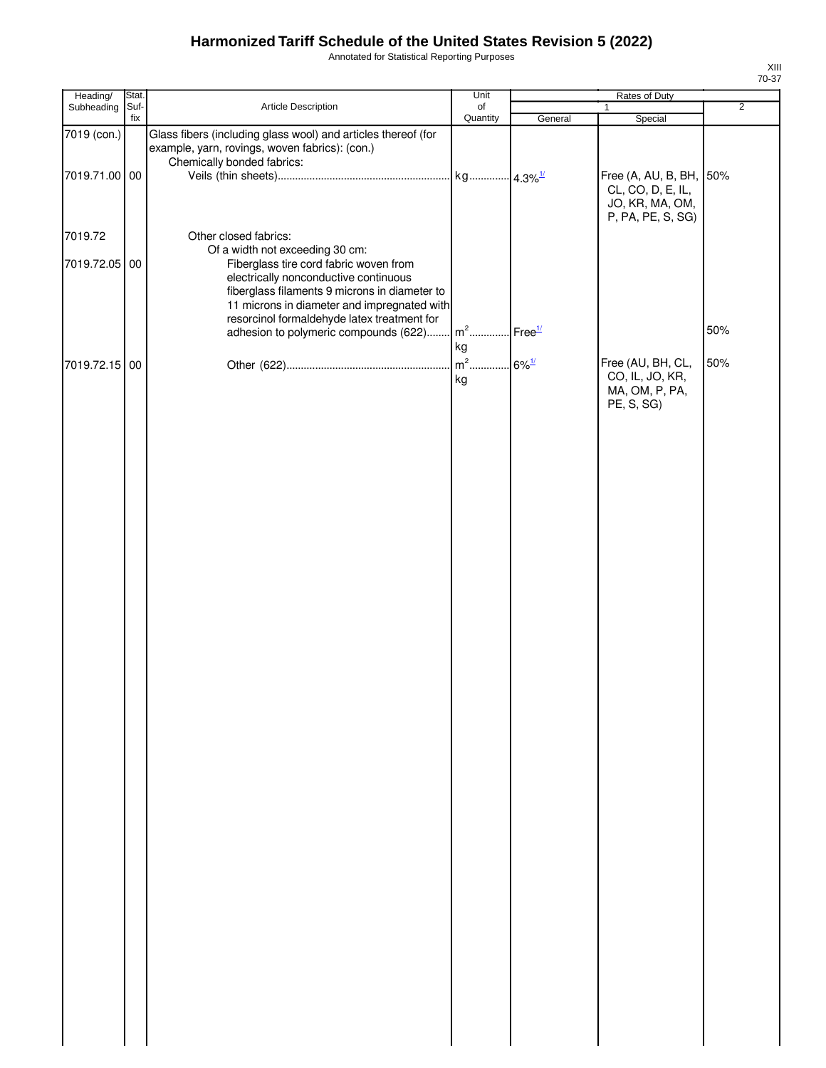Annotated for Statistical Reporting Purposes

| Heading/      | Stat.       |                                                                                                                                                                                                                                                                                                            | Unit     | Rates of Duty                    |                                                                                      |                |  |
|---------------|-------------|------------------------------------------------------------------------------------------------------------------------------------------------------------------------------------------------------------------------------------------------------------------------------------------------------------|----------|----------------------------------|--------------------------------------------------------------------------------------|----------------|--|
| Subheading    | Suf-<br>fix | Article Description                                                                                                                                                                                                                                                                                        | of       |                                  | $\mathbf{1}$                                                                         | $\overline{2}$ |  |
| 7019 (con.)   |             | Glass fibers (including glass wool) and articles thereof (for<br>example, yarn, rovings, woven fabrics): (con.)                                                                                                                                                                                            | Quantity | General                          | Special                                                                              |                |  |
| 7019.71.00 00 |             | Chemically bonded fabrics:                                                                                                                                                                                                                                                                                 |          |                                  | Free (A, AU, B, BH, 50%<br>CL, CO, D, E, IL,<br>JO, KR, MA, OM,<br>P, PA, PE, S, SG) |                |  |
| 7019.72       |             | Other closed fabrics:                                                                                                                                                                                                                                                                                      |          |                                  |                                                                                      |                |  |
| 7019.72.05 00 |             | Of a width not exceeding 30 cm:<br>Fiberglass tire cord fabric woven from<br>electrically nonconductive continuous<br>fiberglass filaments 9 microns in diameter to<br>11 microns in diameter and impregnated with<br>resorcinol formaldehyde latex treatment for<br>adhesion to polymeric compounds (622) | $m2$     | Free <sup>1/</sup>               |                                                                                      | 50%            |  |
|               |             |                                                                                                                                                                                                                                                                                                            | kg       |                                  |                                                                                      |                |  |
| 7019.72.15 00 |             |                                                                                                                                                                                                                                                                                                            | $m2$     | $6\%$ <sup><math>1/</math></sup> | Free (AU, BH, CL,                                                                    | 50%            |  |
|               |             |                                                                                                                                                                                                                                                                                                            | kg       |                                  | CO, IL, JO, KR,<br>MA, OM, P, PA,<br>PE, S, SG)                                      |                |  |
|               |             |                                                                                                                                                                                                                                                                                                            |          |                                  |                                                                                      |                |  |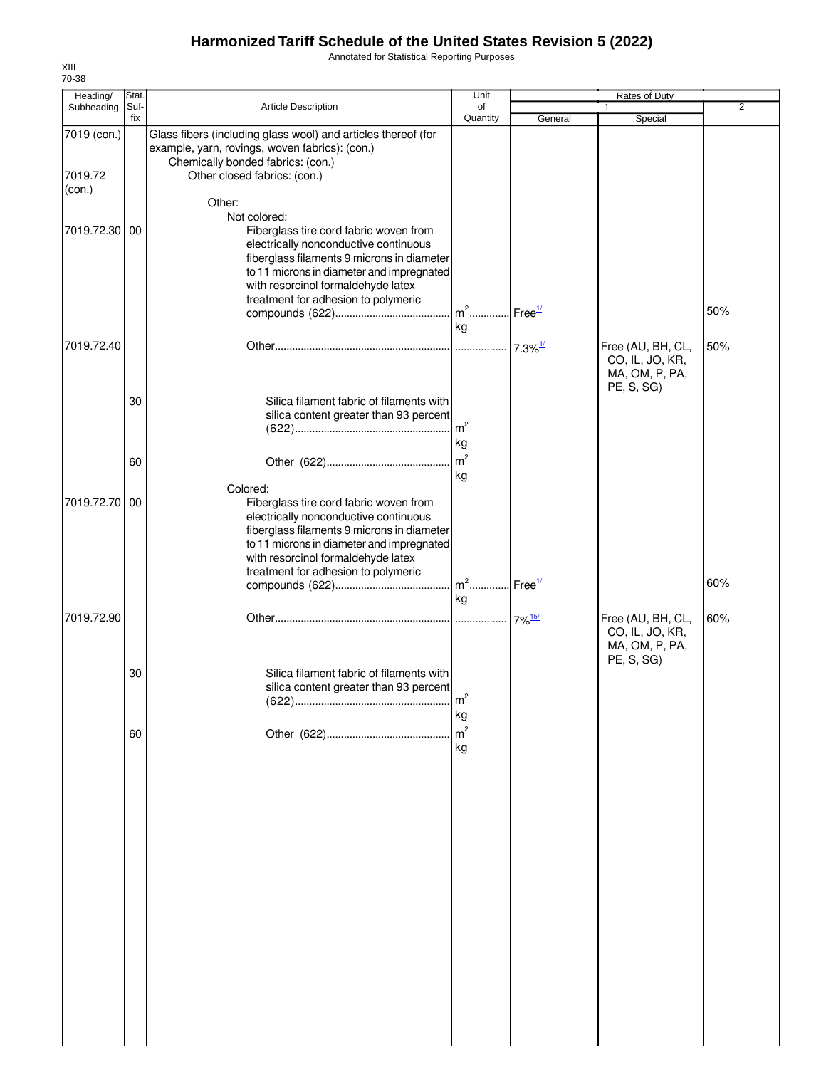Annotated for Statistical Reporting Purposes

| Heading/                         | Stat.       |                                                                                                                                                                                                                                                                         | Unit                                    | Rates of Duty      |                                                                      |                |  |
|----------------------------------|-------------|-------------------------------------------------------------------------------------------------------------------------------------------------------------------------------------------------------------------------------------------------------------------------|-----------------------------------------|--------------------|----------------------------------------------------------------------|----------------|--|
| Subheading                       | Suf-<br>fix | <b>Article Description</b>                                                                                                                                                                                                                                              | of<br>Quantity                          | General            | 1<br>Special                                                         | $\overline{2}$ |  |
| 7019 (con.)<br>7019.72<br>(con.) |             | Glass fibers (including glass wool) and articles thereof (for<br>example, yarn, rovings, woven fabrics): (con.)<br>Chemically bonded fabrics: (con.)<br>Other closed fabrics: (con.)<br>Other:                                                                          |                                         |                    |                                                                      |                |  |
| 7019.72.30                       | 00          | Not colored:<br>Fiberglass tire cord fabric woven from<br>electrically nonconductive continuous<br>fiberglass filaments 9 microns in diameter<br>to 11 microns in diameter and impregnated<br>with resorcinol formaldehyde latex<br>treatment for adhesion to polymeric | $m2$<br>kg                              | Free <sup>1/</sup> |                                                                      | 50%            |  |
| 7019.72.40                       | 30          | Silica filament fabric of filaments with                                                                                                                                                                                                                                |                                         |                    | Free (AU, BH, CL,<br>CO, IL, JO, KR,<br>MA, OM, P, PA,<br>PE, S, SG) | 50%            |  |
|                                  | 60          | silica content greater than 93 percent                                                                                                                                                                                                                                  | $\mathsf{Im}^2$<br>kg<br>m <sup>2</sup> |                    |                                                                      |                |  |
| 7019.72.70                       | 00          | Colored:<br>Fiberglass tire cord fabric woven from<br>electrically nonconductive continuous<br>fiberglass filaments 9 microns in diameter<br>to 11 microns in diameter and impregnated<br>with resorcinol formaldehyde latex<br>treatment for adhesion to polymeric     | kg<br>m <sup>2</sup> Free <sup>1/</sup> |                    |                                                                      | 60%            |  |
| 7019.72.90                       |             |                                                                                                                                                                                                                                                                         | kg                                      |                    | Free (AU, BH, CL,<br>CO, IL, JO, KR,<br>MA, OM, P, PA,               | 60%            |  |
|                                  | 30          | Silica filament fabric of filaments with<br>silica content greater than 93 percent                                                                                                                                                                                      | m <sup>2</sup>                          |                    | PE, S, SG)                                                           |                |  |
|                                  | 60          |                                                                                                                                                                                                                                                                         | kg<br>m <sup>2</sup><br>kg              |                    |                                                                      |                |  |
|                                  |             |                                                                                                                                                                                                                                                                         |                                         |                    |                                                                      |                |  |
|                                  |             |                                                                                                                                                                                                                                                                         |                                         |                    |                                                                      |                |  |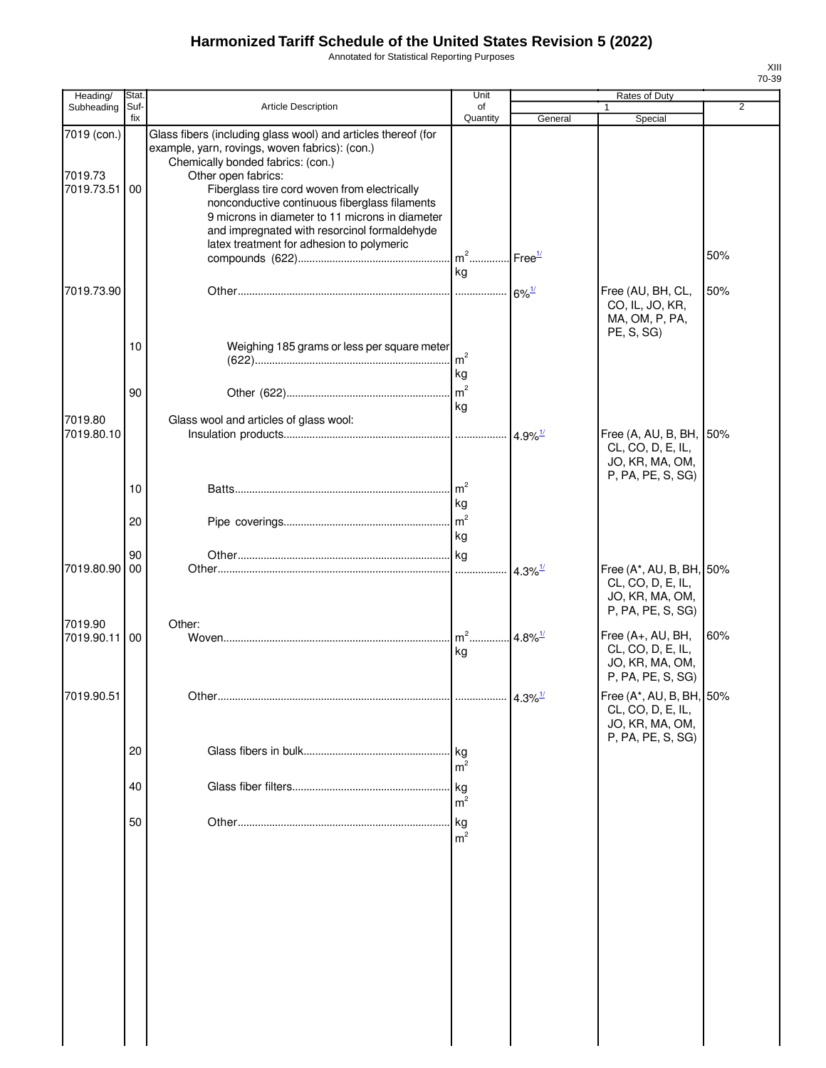Annotated for Statistical Reporting Purposes

| Heading/                             | Stat.       |                                                                                                                                                                                                                                                                                                                                                                                 | Unit                     |                       |                                                                                       |                |
|--------------------------------------|-------------|---------------------------------------------------------------------------------------------------------------------------------------------------------------------------------------------------------------------------------------------------------------------------------------------------------------------------------------------------------------------------------|--------------------------|-----------------------|---------------------------------------------------------------------------------------|----------------|
| Subheading                           | Suf-<br>fix | Article Description                                                                                                                                                                                                                                                                                                                                                             | of<br>Quantity           | General               | Special                                                                               | $\overline{2}$ |
| 7019 (con.)<br>7019.73<br>7019.73.51 | 00          | Glass fibers (including glass wool) and articles thereof (for<br>example, yarn, rovings, woven fabrics): (con.)<br>Chemically bonded fabrics: (con.)<br>Other open fabrics:<br>Fiberglass tire cord woven from electrically<br>nonconductive continuous fiberglass filaments<br>9 microns in diameter to 11 microns in diameter<br>and impregnated with resorcinol formaldehyde |                          |                       |                                                                                       |                |
|                                      |             | latex treatment for adhesion to polymeric                                                                                                                                                                                                                                                                                                                                       | $m^2$ Free <sup>1/</sup> |                       |                                                                                       | 50%            |
| 7019.73.90                           |             |                                                                                                                                                                                                                                                                                                                                                                                 | kg                       | $6\%$ <sup>1/</sup>   | Free (AU, BH, CL,<br>CO, IL, JO, KR,<br>MA, OM, P, PA,<br>PE, S, SG)                  | 50%            |
|                                      | 10          | Weighing 185 grams or less per square meter                                                                                                                                                                                                                                                                                                                                     |                          |                       |                                                                                       |                |
|                                      | 90          |                                                                                                                                                                                                                                                                                                                                                                                 | kg<br>kg                 |                       |                                                                                       |                |
| 7019.80<br>7019.80.10                |             | Glass wool and articles of glass wool:                                                                                                                                                                                                                                                                                                                                          |                          |                       | Free (A, AU, B, BH, 50%<br>CL, CO, D, E, IL,<br>JO, KR, MA, OM,                       |                |
|                                      | 10          |                                                                                                                                                                                                                                                                                                                                                                                 | $\mathsf{Im}^2$          |                       | P, PA, PE, S, SG)                                                                     |                |
|                                      | 20          |                                                                                                                                                                                                                                                                                                                                                                                 | kg<br>kg                 |                       |                                                                                       |                |
| 7019.80.90                           | 90<br>00    |                                                                                                                                                                                                                                                                                                                                                                                 |                          | $4.3\%$ <sup>1/</sup> | Free (A*, AU, B, BH, 50%<br>CL, CO, D, E, IL,<br>JO, KR, MA, OM,<br>P, PA, PE, S, SG) |                |
| 7019.90<br>7019.90.11                | 00          | Other:                                                                                                                                                                                                                                                                                                                                                                          | $m^2$<br>kg              | $4.8\%$ <sup>1/</sup> | Free (A+, AU, BH,<br>CL, CO, D, E, IL,<br>JO, KR, MA, OM,<br>P, PA, PE, S, SG)        | 60%            |
| 7019.90.51                           |             |                                                                                                                                                                                                                                                                                                                                                                                 |                          | $4.3\%$ <sup>1/</sup> | Free (A*, AU, B, BH, 50%<br>CL, CO, D, E, IL,<br>JO, KR, MA, OM,                      |                |
|                                      | 20          |                                                                                                                                                                                                                                                                                                                                                                                 | m <sup>2</sup>           |                       | P, PA, PE, S, SG)                                                                     |                |
|                                      | 40          |                                                                                                                                                                                                                                                                                                                                                                                 | kg<br>m <sup>2</sup>     |                       |                                                                                       |                |
|                                      | 50          |                                                                                                                                                                                                                                                                                                                                                                                 | lkg.<br>m <sup>2</sup>   |                       |                                                                                       |                |
|                                      |             |                                                                                                                                                                                                                                                                                                                                                                                 |                          |                       |                                                                                       |                |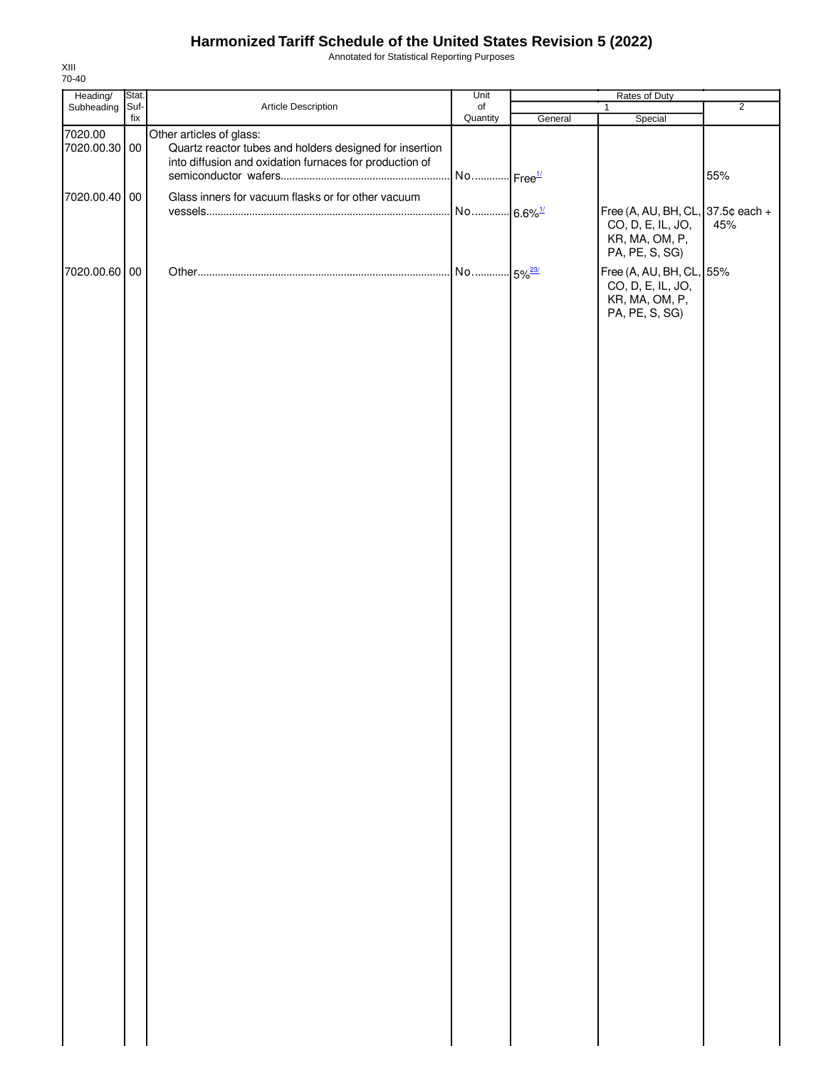Annotated for Statistical Reporting Purposes

| Heading/                 | Stat. |                                                                                                                                                | Unit                  | Rates of Duty |                                                                                            |                |
|--------------------------|-------|------------------------------------------------------------------------------------------------------------------------------------------------|-----------------------|---------------|--------------------------------------------------------------------------------------------|----------------|
| Subheading Suf-          |       | Article Description                                                                                                                            | $\circ$ f             |               | $\mathbf{1}$                                                                               | $\overline{2}$ |
|                          | fix   |                                                                                                                                                | Quantity              | General       | Special                                                                                    |                |
| 7020.00<br>7020.00.30 00 |       | Other articles of glass:<br>Quartz reactor tubes and holders designed for insertion<br>into diffusion and oxidation furnaces for production of | No Free <sup>1/</sup> |               |                                                                                            | 55%            |
|                          |       |                                                                                                                                                |                       |               |                                                                                            |                |
| 7020.00.40 00            |       | Glass inners for vacuum flasks or for other vacuum                                                                                             | No 6.6% <sup>1/</sup> |               | Free (A, AU, BH, CL, 37.5¢ each +<br>CO, D, E, IL, JO,<br>KR, MA, OM, P,<br>PA, PE, S, SG) | 45%            |
| 7020.00.60 00            |       |                                                                                                                                                |                       |               | Free (A, AU, BH, CL, 55%<br>CO, D, E, IL, JO,<br>KR, MA, OM, P,<br>PA, PE, S, SG)          |                |
|                          |       |                                                                                                                                                |                       |               |                                                                                            |                |
|                          |       |                                                                                                                                                |                       |               |                                                                                            |                |
|                          |       |                                                                                                                                                |                       |               |                                                                                            |                |
|                          |       |                                                                                                                                                |                       |               |                                                                                            |                |
|                          |       |                                                                                                                                                |                       |               |                                                                                            |                |
|                          |       |                                                                                                                                                |                       |               |                                                                                            |                |
|                          |       |                                                                                                                                                |                       |               |                                                                                            |                |
|                          |       |                                                                                                                                                |                       |               |                                                                                            |                |
|                          |       |                                                                                                                                                |                       |               |                                                                                            |                |